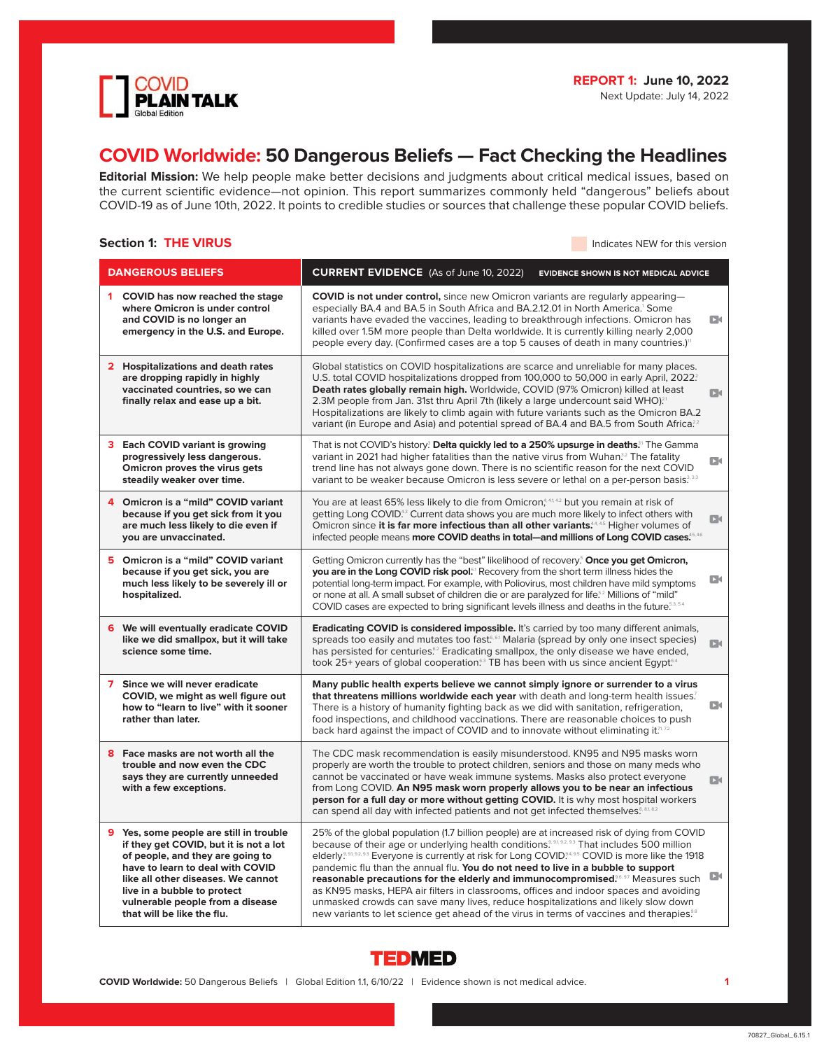

# **COVID Worldwide: 50 Dangerous Beliefs — Fact Checking the Headlines**

**Editorial Mission:** We help people make better decisions and judgments about critical medical issues, based on the current scientific evidence—not opinion. This report summarizes commonly held "dangerous" beliefs about COVID-19 as of June 10th, 2022. It points to credible studies or sources that challenge these popular COVID beliefs.

# **Section 1: THE VIRUS Indicates NEW for this version**

| <b>DANGEROUS BELIEFS</b>                                                                                                                                                                                                                                                                         | <b>CURRENT EVIDENCE</b> (As of June 10, 2022)<br><b>EVIDENCE SHOWN IS NOT MEDICAL ADVICE</b>                                                                                                                                                                                                                                                                                                                                                                                                                                                                                                                                                                                                                                                                                                                 |              |
|--------------------------------------------------------------------------------------------------------------------------------------------------------------------------------------------------------------------------------------------------------------------------------------------------|--------------------------------------------------------------------------------------------------------------------------------------------------------------------------------------------------------------------------------------------------------------------------------------------------------------------------------------------------------------------------------------------------------------------------------------------------------------------------------------------------------------------------------------------------------------------------------------------------------------------------------------------------------------------------------------------------------------------------------------------------------------------------------------------------------------|--------------|
| COVID has now reached the stage<br>1<br>where Omicron is under control<br>and COVID is no longer an<br>emergency in the U.S. and Europe.                                                                                                                                                         | <b>COVID is not under control,</b> since new Omicron variants are regularly appearing-<br>especially BA.4 and BA.5 in South Africa and BA.2.12.01 in North America.' Some<br>variants have evaded the vaccines, leading to breakthrough infections. Omicron has<br>killed over 1.5M more people than Delta worldwide. It is currently killing nearly 2,000<br>people every day. (Confirmed cases are a top 5 causes of death in many countries.) <sup>11</sup>                                                                                                                                                                                                                                                                                                                                               | D٤           |
| 2 Hospitalizations and death rates<br>are dropping rapidly in highly<br>vaccinated countries, so we can<br>finally relax and ease up a bit.                                                                                                                                                      | Global statistics on COVID hospitalizations are scarce and unreliable for many places.<br>U.S. total COVID hospitalizations dropped from 100,000 to 50,000 in early April, 2022?<br>Death rates globally remain high. Worldwide, COVID (97% Omicron) killed at least<br>2.3M people from Jan. 31st thru April 7th (likely a large undercount said WHO). <sup>21</sup><br>Hospitalizations are likely to climb again with future variants such as the Omicron BA.2<br>variant (in Europe and Asia) and potential spread of BA.4 and BA.5 from South Africa. <sup>22</sup>                                                                                                                                                                                                                                     | DК           |
| Each COVID variant is growing<br>progressively less dangerous.<br>Omicron proves the virus gets<br>steadily weaker over time.                                                                                                                                                                    | That is not COVID's history? Delta quickly led to a 250% upsurge in deaths. <sup>31</sup> The Gamma<br>variant in 2021 had higher fatalities than the native virus from Wuhan. <sup>32</sup> The fatality<br>trend line has not always gone down. There is no scientific reason for the next COVID<br>variant to be weaker because Omicron is less severe or lethal on a per-person basis. <sup>3,33</sup>                                                                                                                                                                                                                                                                                                                                                                                                   | DК           |
| Omicron is a "mild" COVID variant<br>4<br>because if you get sick from it you<br>are much less likely to die even if<br>you are unvaccinated.                                                                                                                                                    | You are at least 65% less likely to die from Omicron, <sup>4,41,42</sup> but you remain at risk of<br>getting Long COVID. <sup>43</sup> Current data shows you are much more likely to infect others with<br>Omicron since it is far more infectious than all other variants. <sup>44,45</sup> Higher volumes of<br>infected people means more COVID deaths in total—and millions of Long COVID cases. <sup>5,45</sup>                                                                                                                                                                                                                                                                                                                                                                                       | $\Box$       |
| Omicron is a "mild" COVID variant<br>5<br>because if you get sick, you are<br>much less likely to be severely ill or<br>hospitalized.                                                                                                                                                            | Getting Omicron currently has the "best" likelihood of recovery <sup>5</sup> Once you get Omicron,<br>you are in the Long COVID risk pool. <sup>51</sup> Recovery from the short term illness hides the<br>potential long-term impact. For example, with Poliovirus, most children have mild symptoms<br>or none at all. A small subset of children die or are paralyzed for life <sup>52</sup> Millions of "mild"<br>COVID cases are expected to bring significant levels illness and deaths in the future <sup>53.54</sup>                                                                                                                                                                                                                                                                                 | D٩           |
| 6 We will eventually eradicate COVID<br>like we did smallpox, but it will take<br>science some time.                                                                                                                                                                                             | <b>Eradicating COVID is considered impossible.</b> It's carried by too many different animals,<br>spreads too easily and mutates too fast <sup>6,61</sup> Malaria (spread by only one insect species)<br>has persisted for centuries. <sup>52</sup> Eradicating smallpox, the only disease we have ended,<br>took 25+ years of global cooperation. <sup>53</sup> TB has been with us since ancient Egypt. <sup>54</sup>                                                                                                                                                                                                                                                                                                                                                                                      | $\Box$       |
| $\overline{ }$<br>Since we will never eradicate<br>COVID, we might as well figure out<br>how to "learn to live" with it sooner<br>rather than later.                                                                                                                                             | Many public health experts believe we cannot simply ignore or surrender to a virus<br>that threatens millions worldwide each year with death and long-term health issues?<br>There is a history of humanity fighting back as we did with sanitation, refrigeration,<br>food inspections, and childhood vaccinations. There are reasonable choices to push<br>back hard against the impact of COVID and to innovate without eliminating it. <sup>7,72</sup>                                                                                                                                                                                                                                                                                                                                                   | $\mathbf{D}$ |
| Face masks are not worth all the<br>8<br>trouble and now even the CDC<br>says they are currently unneeded<br>with a few exceptions.                                                                                                                                                              | The CDC mask recommendation is easily misunderstood. KN95 and N95 masks worn<br>properly are worth the trouble to protect children, seniors and those on many meds who<br>cannot be vaccinated or have weak immune systems. Masks also protect everyone<br>from Long COVID. An N95 mask worn properly allows you to be near an infectious<br>person for a full day or more without getting COVID. It is why most hospital workers<br>can spend all day with infected patients and not get infected themselves. <sup>8, 81, 82</sup>                                                                                                                                                                                                                                                                          | DК           |
| 9 Yes, some people are still in trouble<br>if they get COVID, but it is not a lot<br>of people, and they are going to<br>have to learn to deal with COVID<br>like all other diseases. We cannot<br>live in a bubble to protect<br>vulnerable people from a disease<br>that will be like the flu. | 25% of the global population (1.7 billion people) are at increased risk of dying from COVID<br>because of their age or underlying health conditions. <sup>9, 91, 92, 93</sup> That includes 500 million<br>elderly. <sup>9,91,92,93</sup> Everyone is currently at risk for Long COVID. <sup>4,95</sup> COVID is more like the 1918<br>pandemic flu than the annual flu. You do not need to live in a bubble to support<br>reasonable precautions for the elderly and immunocompromised. <sup>6,67</sup> Measures such<br>as KN95 masks, HEPA air filters in classrooms, offices and indoor spaces and avoiding<br>unmasked crowds can save many lives, reduce hospitalizations and likely slow down<br>new variants to let science get ahead of the virus in terms of vaccines and therapies. <sup>38</sup> | D            |



**COVID Worldwide:** 50 Dangerous Beliefs | Global Edition 1.1, 6/10/22 | Evidence shown is not medical advice. **1**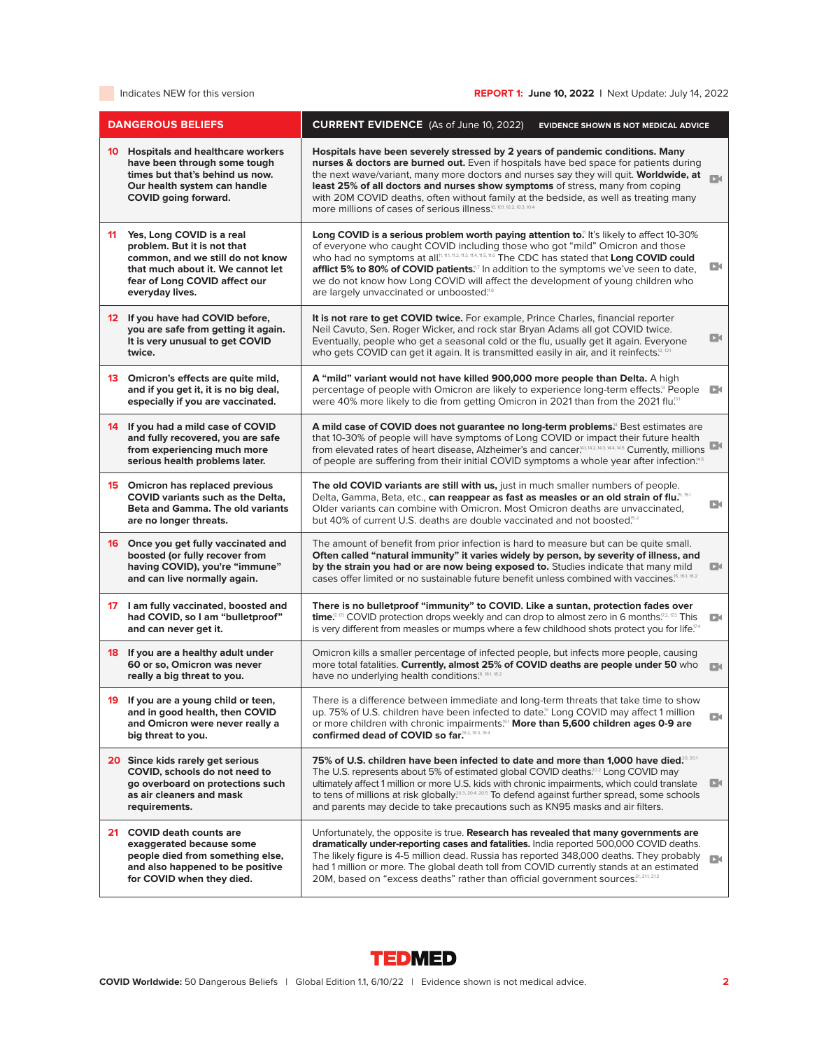# Indicates NEW for this version **REPORT 1: June 10, 2022** | Next Update: July 14, 2022 | **REPORT 1:**

| <b>DANGEROUS BELIEFS</b>                                                                                                                                                                    | <b>CURRENT EVIDENCE</b> (As of June 10, 2022)<br><b>EVIDENCE SHOWN IS NOT MEDICAL ADVICE</b>                                                                                                                                                                                                                                                                                                                                                                                                                                                         |
|---------------------------------------------------------------------------------------------------------------------------------------------------------------------------------------------|------------------------------------------------------------------------------------------------------------------------------------------------------------------------------------------------------------------------------------------------------------------------------------------------------------------------------------------------------------------------------------------------------------------------------------------------------------------------------------------------------------------------------------------------------|
| 10 Hospitals and healthcare workers<br>have been through some tough<br>times but that's behind us now.<br>Our health system can handle<br><b>COVID</b> going forward.                       | Hospitals have been severely stressed by 2 years of pandemic conditions. Many<br>nurses & doctors are burned out. Even if hospitals have bed space for patients during<br>the next wave/variant, many more doctors and nurses say they will quit. Worldwide, at<br>$\Box$<br>least 25% of all doctors and nurses show symptoms of stress, many from coping<br>with 20M COVID deaths, often without family at the bedside, as well as treating many<br>more millions of cases of serious illness <sup>10, 10.1, 10.2, 10.3, 10.4</sup>                |
| Yes, Long COVID is a real<br>11<br>problem. But it is not that<br>common, and we still do not know<br>that much about it. We cannot let<br>fear of Long COVID affect our<br>everyday lives. | Long COVID is a serious problem worth paying attention to." It's likely to affect 10-30%<br>of everyone who caught COVID including those who got "mild" Omicron and those<br>who had no symptoms at all. <sup>11, 11, 11, 11, 11, 11, 11, 116</sup> The CDC has stated that Long COVID could<br>Dк<br>afflict 5% to 80% of COVID patients. <sup>117</sup> In addition to the symptoms we've seen to date,<br>we do not know how Long COVID will affect the development of young children who<br>are largely unvaccinated or unboosted. <sup>18</sup> |
| 12 If you have had COVID before,<br>you are safe from getting it again.<br>It is very unusual to get COVID<br>twice.                                                                        | It is not rare to get COVID twice. For example, Prince Charles, financial reporter<br>Neil Cavuto, Sen. Roger Wicker, and rock star Bryan Adams all got COVID twice.<br>DЮ<br>Eventually, people who get a seasonal cold or the flu, usually get it again. Everyone<br>who gets COVID can get it again. It is transmitted easily in air, and it reinfects. <sup>2, 121</sup>                                                                                                                                                                         |
| 13 Omicron's effects are quite mild,<br>and if you get it, it is no big deal,<br>especially if you are vaccinated.                                                                          | A "mild" variant would not have killed 900,000 more people than Delta. A high<br>percentage of people with Omicron are likely to experience long-term effects. <sup>13</sup> People<br>$\mathbf{D}$<br>were 40% more likely to die from getting Omicron in 2021 than from the 2021 flu. <sup>331</sup>                                                                                                                                                                                                                                               |
| 14 If you had a mild case of COVID<br>and fully recovered, you are safe<br>from experiencing much more<br>serious health problems later.                                                    | A mild case of COVID does not guarantee no long-term problems. <sup>4</sup> Best estimates are<br>that 10-30% of people will have symptoms of Long COVID or impact their future health<br>from elevated rates of heart disease, Alzheimer's and cancer <sup>M1, M2, M3, M4, M5</sup> Currently, millions<br>of people are suffering from their initial COVID symptoms a whole year after infection. <sup>146</sup>                                                                                                                                   |
| 15 Omicron has replaced previous<br><b>COVID</b> variants such as the Delta.<br><b>Beta and Gamma, The old variants</b><br>are no longer threats.                                           | The old COVID variants are still with us, just in much smaller numbers of people.<br>Delta, Gamma, Beta, etc., can reappear as fast as measles or an old strain of flu. <sup>5, 53</sup><br>DО<br>Older variants can combine with Omicron. Most Omicron deaths are unvaccinated,<br>but 40% of current U.S. deaths are double vaccinated and not boosted. <sup>5.2</sup>                                                                                                                                                                             |
| 16 Once you get fully vaccinated and<br>boosted (or fully recover from<br>having COVID), you're "immune"<br>and can live normally again.                                                    | The amount of benefit from prior infection is hard to measure but can be quite small.<br>Often called "natural immunity" it varies widely by person, by severity of illness, and<br>by the strain you had or are now being exposed to. Studies indicate that many mild<br>D٩<br>cases offer limited or no sustainable future benefit unless combined with vaccines. <sup>16, 16,1, 16,2</sup>                                                                                                                                                        |
| 17 I am fully vaccinated, boosted and<br>had COVID, so I am "bulletproof"<br>and can never get it.                                                                                          | There is no bulletproof "immunity" to COVID. Like a suntan, protection fades over<br>time. <sup><math>\mathbb{Z}^{[7,72]}</math></sup> COVID protection drops weekly and can drop to almost zero in 6 months. <sup><math>\mathbb{Z}^{2,73}</math></sup> This<br>DК<br>is very different from measles or mumps where a few childhood shots protect you for life. <sup>774</sup>                                                                                                                                                                       |
| 18 If you are a healthy adult under<br>60 or so, Omicron was never<br>really a big threat to you.                                                                                           | Omicron kills a smaller percentage of infected people, but infects more people, causing<br>more total fatalities. Currently, almost 25% of COVID deaths are people under 50 who<br>$\mathbf{D}$<br>have no underlying health conditions! <sup>8, 18.1, 18.2</sup>                                                                                                                                                                                                                                                                                    |
| 19 If you are a young child or teen,<br>and in good health, then COVID<br>and Omicron were never really a<br>big threat to you.                                                             | There is a difference between immediate and long-term threats that take time to show<br>up. 75% of U.S. children have been infected to date. <sup>9</sup> Long COVID may affect 1 million<br>D٩<br>or more children with chronic impairments. <sup>[31</sup> More than 5,600 children ages 0-9 are<br>confirmed dead of COVID so far. <sup>9.2, 19.3, 19.4</sup>                                                                                                                                                                                     |
| 20 Since kids rarely get serious<br>COVID, schools do not need to<br>go overboard on protections such<br>as air cleaners and mask<br>requirements.                                          | 75% of U.S. children have been infected to date and more than 1,000 have died? 201<br>The U.S. represents about 5% of estimated global COVID deaths. <sup>20,2</sup> Long COVID may<br>ultimately affect 1 million or more U.S. kids with chronic impairments, which could translate<br>$\mathbf{D}$<br>to tens of millions at risk globally <sup>20.3, 20.4, 20.5</sup> To defend against further spread, some schools<br>and parents may decide to take precautions such as KN95 masks and air filters.                                            |
| 21 COVID death counts are<br>exaggerated because some<br>people died from something else,<br>and also happened to be positive<br>for COVID when they died.                                  | Unfortunately, the opposite is true. Research has revealed that many governments are<br>dramatically under-reporting cases and fatalities. India reported 500,000 COVID deaths.<br>The likely figure is 4-5 million dead. Russia has reported 348,000 deaths. They probably<br>$\Box$<br>had 1 million or more. The global death toll from COVID currently stands at an estimated<br>20M, based on "excess deaths" rather than official government sources. <sup>21, 211, 21.2</sup>                                                                 |

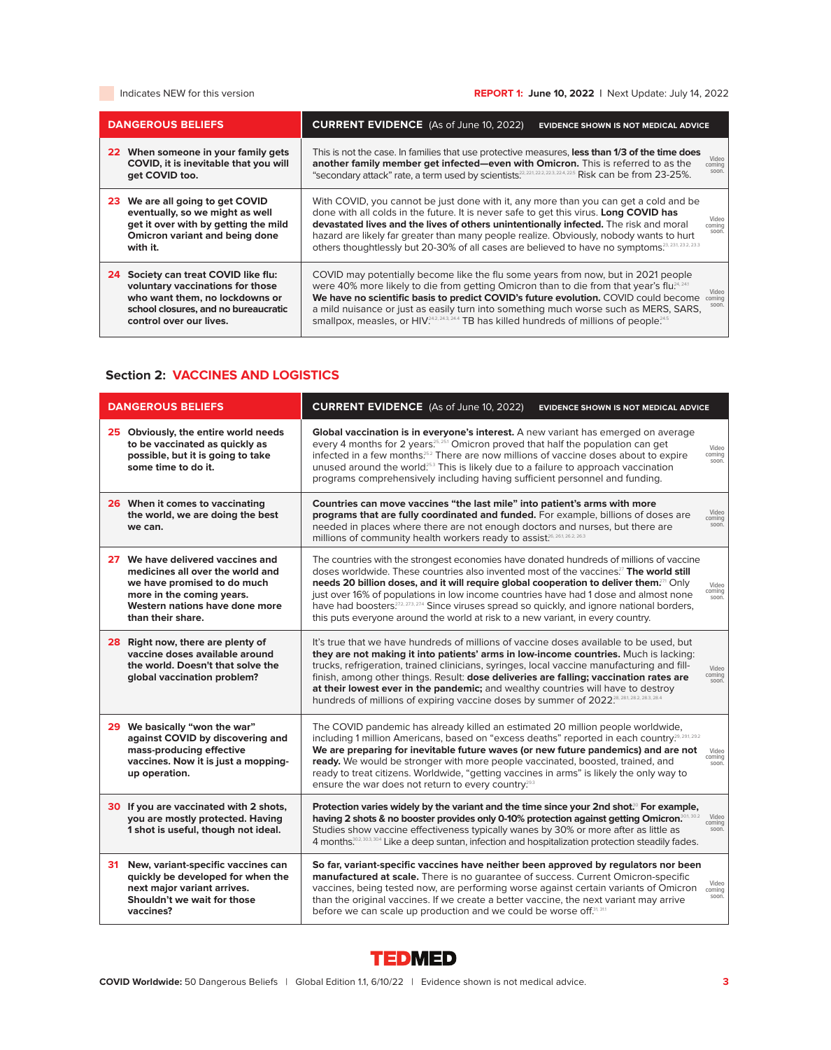# Indicates NEW for this version **REPORT 1: June 10, 2022** | Next Update: July 14, 2022

| <b>DANGEROUS BELIEFS</b>                                                                                                                                                         | <b>CURRENT EVIDENCE</b> (As of June 10, 2022)<br><b>EVIDENCE SHOWN IS NOT MEDICAL ADVICE</b>                                                                                                                                                                                                                                                                                                                                                                                                                          |
|----------------------------------------------------------------------------------------------------------------------------------------------------------------------------------|-----------------------------------------------------------------------------------------------------------------------------------------------------------------------------------------------------------------------------------------------------------------------------------------------------------------------------------------------------------------------------------------------------------------------------------------------------------------------------------------------------------------------|
| 22 When someone in your family gets<br>COVID, it is inevitable that you will<br>get COVID too.                                                                                   | This is not the case. In families that use protective measures, less than 1/3 of the time does<br>Video<br>another family member get infected-even with Omicron. This is referred to as the<br>coming<br>soon<br>"secondary attack" rate, a term used by scientists.", $^{22, 22, 22, 22, 224, 225}$ Risk can be from 23-25%.                                                                                                                                                                                         |
| 23 We are all going to get COVID<br>eventually, so we might as well<br>get it over with by getting the mild<br>Omicron variant and being done<br>with it.                        | With COVID, you cannot be just done with it, any more than you can get a cold and be<br>done with all colds in the future. It is never safe to get this virus. Long COVID has<br>Video<br>devastated lives and the lives of others unintentionally infected. The risk and moral<br>coming<br>soon<br>hazard are likely far greater than many people realize. Obviously, nobody wants to hurt<br>others thoughtlessly but 20-30% of all cases are believed to have no symptoms <sup>23, 231, 232, 233</sup>            |
| Society can treat COVID like flu:<br>24<br>voluntary vaccinations for those<br>who want them, no lockdowns or<br>school closures, and no bureaucratic<br>control over our lives. | COVID may potentially become like the flu some years from now, but in 2021 people<br>were 40% more likely to die from getting Omicron than to die from that year's flu <sup>24,241</sup><br>Video<br>We have no scientific basis to predict COVID's future evolution. COVID could become<br>coming<br>soon<br>a mild nuisance or just as easily turn into something much worse such as MERS, SARS,<br>smallpox, measles, or HIV <sup>242, 243, 244</sup> TB has killed hundreds of millions of people. <sup>245</sup> |

# **Section 2: VACCINES AND LOGISTICS**

| <b>DANGEROUS BELIEFS</b>                                                                                                                                                                 | <b>CURRENT EVIDENCE</b> (As of June 10, 2022)<br><b>EVIDENCE SHOWN IS NOT MEDICAL ADVICE</b>                                                                                                                                                                                                                                                                                                                                                                                                                                                                                                                            |
|------------------------------------------------------------------------------------------------------------------------------------------------------------------------------------------|-------------------------------------------------------------------------------------------------------------------------------------------------------------------------------------------------------------------------------------------------------------------------------------------------------------------------------------------------------------------------------------------------------------------------------------------------------------------------------------------------------------------------------------------------------------------------------------------------------------------------|
| 25 Obviously, the entire world needs<br>to be vaccinated as quickly as<br>possible, but it is going to take<br>some time to do it.                                                       | Global vaccination is in everyone's interest. A new variant has emerged on average<br>every 4 months for 2 years <sup>25,251</sup> Omicron proved that half the population can get<br>Video<br>infected in a few months. <sup>252</sup> There are now millions of vaccine doses about to expire<br>coming<br>soon.<br>unused around the world. <sup>253</sup> This is likely due to a failure to approach vaccination<br>programs comprehensively including having sufficient personnel and funding.                                                                                                                    |
| 26 When it comes to vaccinating<br>the world, we are doing the best<br>we can.                                                                                                           | Countries can move vaccines "the last mile" into patient's arms with more<br>Video<br>programs that are fully coordinated and funded. For example, billions of doses are<br>coming<br>soon.<br>needed in places where there are not enough doctors and nurses, but there are<br>millions of community health workers ready to assist. <sup>26, 26,1</sup> ,26,2, 26,3                                                                                                                                                                                                                                                   |
| 27 We have delivered vaccines and<br>medicines all over the world and<br>we have promised to do much<br>more in the coming years.<br>Western nations have done more<br>than their share. | The countries with the strongest economies have donated hundreds of millions of vaccine<br>doses worldwide. These countries also invented most of the vaccines? <sup>7</sup> The world still<br>needs 20 billion doses, and it will require global cooperation to deliver them? <sup>71</sup> Only<br>Video<br>coming<br>just over 16% of populations in low income countries have had 1 dose and almost none<br>soon.<br>have had boosters. <sup>77, 77, 77, 77</sup> Since viruses spread so quickly, and ignore national borders,<br>this puts everyone around the world at risk to a new variant, in every country. |
| 28 Right now, there are plenty of<br>vaccine doses available around<br>the world. Doesn't that solve the<br>global vaccination problem?                                                  | It's true that we have hundreds of millions of vaccine doses available to be used, but<br>they are not making it into patients' arms in low-income countries. Much is lacking:<br>trucks, refrigeration, trained clinicians, syringes, local vaccine manufacturing and fill-<br>Video<br>coming<br>finish, among other things. Result: dose deliveries are falling; vaccination rates are<br>soon.<br>at their lowest ever in the pandemic; and wealthy countries will have to destroy<br>hundreds of millions of expiring vaccine doses by summer of 2022 <sup>28, 28.1</sup> .28.2, 28.3, 28.4                        |
| 29 We basically "won the war"<br>against COVID by discovering and<br>mass-producing effective<br>vaccines. Now it is just a mopping-<br>up operation.                                    | The COVID pandemic has already killed an estimated 20 million people worldwide,<br>including 1 million Americans, based on "excess deaths" reported in each country. <sup>29, 291, 292</sup><br>We are preparing for inevitable future waves (or new future pandemics) and are not<br>Video<br>coming<br>ready. We would be stronger with more people vaccinated, boosted, trained, and<br>soon.<br>ready to treat citizens. Worldwide, "getting vaccines in arms" is likely the only way to<br>ensure the war does not return to every country. <sup>29.3</sup>                                                        |
| 30 If you are vaccinated with 2 shots,<br>you are mostly protected. Having<br>1 shot is useful, though not ideal.                                                                        | Protection varies widely by the variant and the time since your 2nd shot. <sup>®</sup> For example,<br>Video<br>having 2 shots & no booster provides only 0-10% protection against getting Omicron.<br>coming<br>Studies show vaccine effectiveness typically wanes by 30% or more after as little as<br>soon.<br>4 months <sup>30,2,30,3</sup> Like a deep suntan, infection and hospitalization protection steadily fades.                                                                                                                                                                                            |
| 31<br>New, variant-specific vaccines can<br>quickly be developed for when the<br>next major variant arrives.<br>Shouldn't we wait for those<br>vaccines?                                 | So far, variant-specific vaccines have neither been approved by regulators nor been<br>manufactured at scale. There is no quarantee of success. Current Omicron-specific<br>Video<br>vaccines, being tested now, are performing worse against certain variants of Omicron<br>coming<br>soon.<br>than the original vaccines. If we create a better vaccine, the next variant may arrive<br>before we can scale up production and we could be worse off.31, 31.1                                                                                                                                                          |

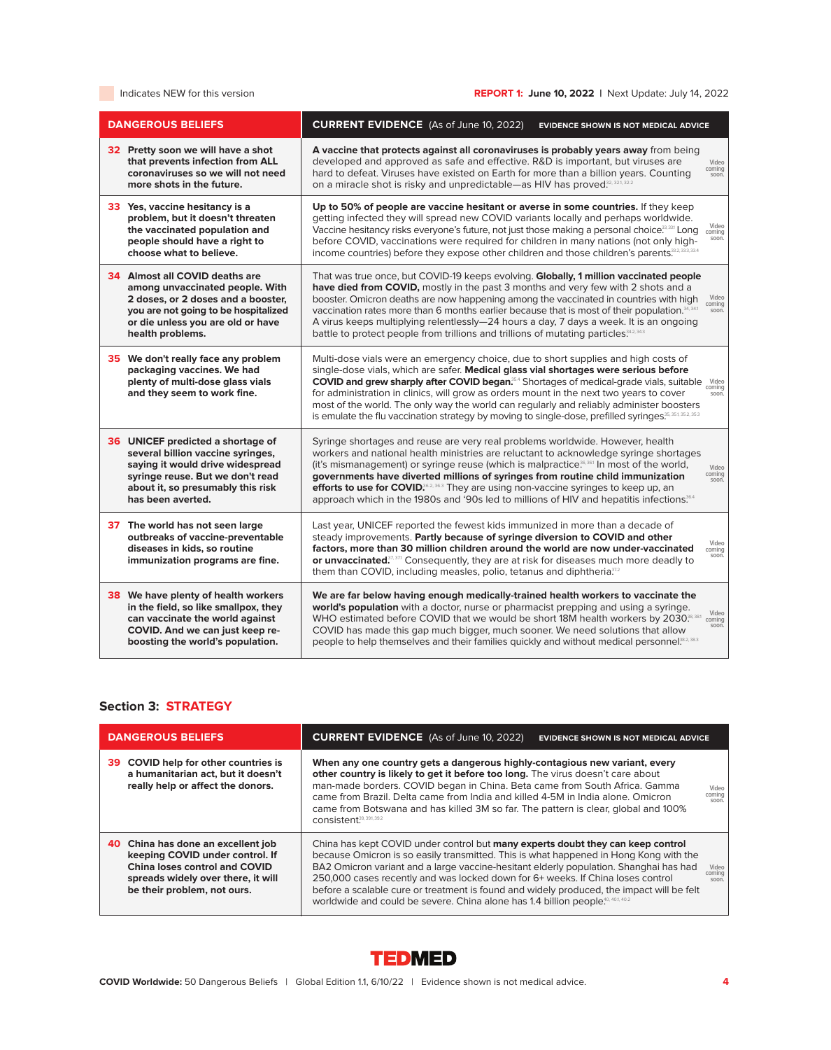# Indicates NEW for this version **REPORT 1: June 10, 2022** | Next Update: July 14, 2022

| <b>DANGEROUS BELIEFS</b>                                                                                                                                                                                 | <b>CURRENT EVIDENCE</b> (As of June 10, 2022)<br><b>EVIDENCE SHOWN IS NOT MEDICAL ADVICE</b>                                                                                                                                                                                                                                                                                                                                                                                                                                                                                                                 |
|----------------------------------------------------------------------------------------------------------------------------------------------------------------------------------------------------------|--------------------------------------------------------------------------------------------------------------------------------------------------------------------------------------------------------------------------------------------------------------------------------------------------------------------------------------------------------------------------------------------------------------------------------------------------------------------------------------------------------------------------------------------------------------------------------------------------------------|
| 32 Pretty soon we will have a shot<br>that prevents infection from ALL<br>coronaviruses so we will not need<br>more shots in the future.                                                                 | A vaccine that protects against all coronaviruses is probably years away from being<br>developed and approved as safe and effective. R&D is important, but viruses are<br>Video<br>coming<br>hard to defeat. Viruses have existed on Earth for more than a billion years. Counting<br>soon.<br>on a miracle shot is risky and unpredictable—as HIV has proved. <sup>32, 32,</sup> 32.2                                                                                                                                                                                                                       |
| 33 Yes, vaccine hesitancy is a<br>problem, but it doesn't threaten<br>the vaccinated population and<br>people should have a right to<br>choose what to believe.                                          | Up to 50% of people are vaccine hesitant or averse in some countries. If they keep<br>getting infected they will spread new COVID variants locally and perhaps worldwide.<br>Video<br>Vaccine hesitancy risks everyone's future, not just those making a personal choice. <sup>33,331</sup> Long<br>coming<br>soon.<br>before COVID, vaccinations were required for children in many nations (not only high-<br>income countries) before they expose other children and those children's parents. 33, 33, 33, 33, 4                                                                                          |
| 34 Almost all COVID deaths are<br>among unvaccinated people. With<br>2 doses, or 2 doses and a booster,<br>you are not going to be hospitalized<br>or die unless you are old or have<br>health problems. | That was true once, but COVID-19 keeps evolving. Globally, 1 million vaccinated people<br>have died from COVID, mostly in the past 3 months and very few with 2 shots and a<br>booster. Omicron deaths are now happening among the vaccinated in countries with high<br>Video<br>coming<br>vaccination rates more than 6 months earlier because that is most of their population. <sup>34, 341</sup><br>soon.<br>A virus keeps multiplying relentlessly-24 hours a day, 7 days a week. It is an ongoing<br>battle to protect people from trillions and trillions of mutating particles. <sup>34,2,34,3</sup> |
| 35 We don't really face any problem<br>packaging vaccines. We had<br>plenty of multi-dose glass vials<br>and they seem to work fine.                                                                     | Multi-dose vials were an emergency choice, due to short supplies and high costs of<br>single-dose vials, which are safer. Medical glass vial shortages were serious before<br>COVID and grew sharply after COVID began. <sup>354</sup> Shortages of medical-grade vials, suitable Video<br>coming<br>for administration in clinics, will grow as orders mount in the next two years to cover<br>soon.<br>most of the world. The only way the world can regularly and reliably administer boosters<br>is emulate the flu vaccination strategy by moving to single-dose, prefilled syringes. <sup>35,1</sup>   |
| 36 UNICEF predicted a shortage of<br>several billion vaccine syringes,<br>saying it would drive widespread<br>syringe reuse. But we don't read<br>about it, so presumably this risk<br>has been averted. | Syringe shortages and reuse are very real problems worldwide. However, health<br>workers and national health ministries are reluctant to acknowledge syringe shortages<br>(it's mismanagement) or syringe reuse (which is malpractice <sup>36,361</sup> In most of the world,<br>Video<br>coming<br>governments have diverted millions of syringes from routine child immunization<br>soon.<br>efforts to use for COVID. <sup>862, 363</sup> They are using non-vaccine syringes to keep up, an<br>approach which in the 1980s and '90s led to millions of HIV and hepatitis infections. <sup>364</sup>      |
| 37 The world has not seen large<br>outbreaks of vaccine-preventable<br>diseases in kids, so routine<br>immunization programs are fine.                                                                   | Last year, UNICEF reported the fewest kids immunized in more than a decade of<br>steady improvements. Partly because of syringe diversion to COVID and other<br>Video<br>factors, more than 30 million children around the world are now under-vaccinated<br>coming<br>soon.<br>or unvaccinated. <sup>37, 371</sup> Consequently, they are at risk for diseases much more deadly to<br>them than COVID, including measles, polio, tetanus and diphtheria. <sup>37.2</sup>                                                                                                                                    |
| <b>38</b> We have plenty of health workers<br>in the field, so like smallpox, they<br>can vaccinate the world against<br>COVID. And we can just keep re-<br>boosting the world's population.             | We are far below having enough medically-trained health workers to vaccinate the<br>world's population with a doctor, nurse or pharmacist prepping and using a syringe.<br>Video<br>WHO estimated before COVID that we would be short 18M health workers by 2030. <sup>8,381</sup><br>coming<br>soon.<br>COVID has made this gap much bigger, much sooner. We need solutions that allow<br>people to help themselves and their families quickly and without medical personnel <sup>382,383</sup>                                                                                                             |

# **Section 3: STRATEGY**

| <b>DANGEROUS BELIEFS</b>                                                                                                                                                    | <b>CURRENT EVIDENCE</b> (As of June 10, 2022)<br><b>EVIDENCE SHOWN IS NOT MEDICAL ADVICE</b>                                                                                                                                                                                                                                                                                                                                                                                                                                                                                |  |
|-----------------------------------------------------------------------------------------------------------------------------------------------------------------------------|-----------------------------------------------------------------------------------------------------------------------------------------------------------------------------------------------------------------------------------------------------------------------------------------------------------------------------------------------------------------------------------------------------------------------------------------------------------------------------------------------------------------------------------------------------------------------------|--|
| 39 COVID help for other countries is<br>a humanitarian act, but it doesn't<br>really help or affect the donors.                                                             | When any one country gets a dangerous highly-contagious new variant, every<br>other country is likely to get it before too long. The virus doesn't care about<br>man-made borders. COVID began in China. Beta came from South Africa. Gamma<br>Video<br>coming<br>came from Brazil. Delta came from India and killed 4-5M in India alone. Omicron<br>soon.<br>came from Botswana and has killed 3M so far. The pattern is clear, global and 100%<br>CONSistent <sup>39, 391, 392</sup>                                                                                      |  |
| 40 China has done an excellent job<br>keeping COVID under control. If<br>China loses control and COVID<br>spreads widely over there, it will<br>be their problem, not ours. | China has kept COVID under control but many experts doubt they can keep control<br>because Omicron is so easily transmitted. This is what happened in Hong Kong with the<br>BA2 Omicron variant and a large vaccine-hesitant elderly population. Shanghai has had<br>Video<br>coming<br>250,000 cases recently and was locked down for 6+ weeks. If China loses control<br>soon.<br>before a scalable cure or treatment is found and widely produced, the impact will be felt<br>worldwide and could be severe. China alone has 1.4 billion people. <sup>40, 401, 402</sup> |  |

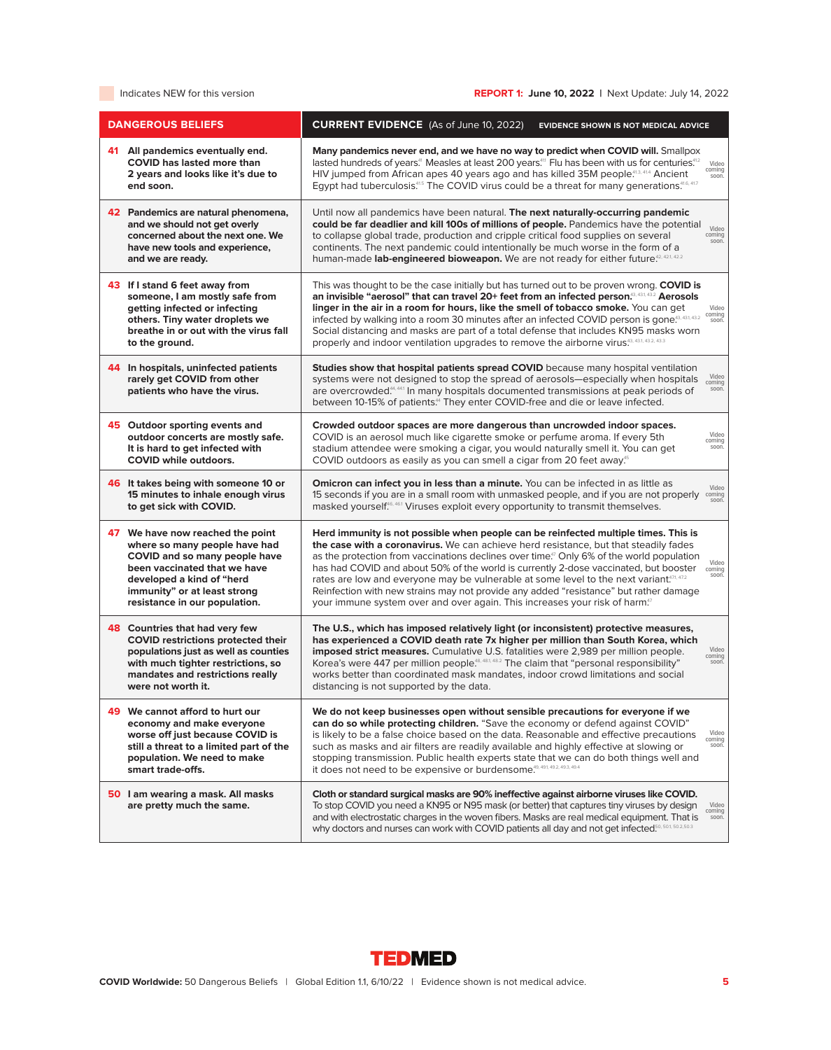| <b>DANGEROUS BELIEFS</b>                                                                                                                                                                                                         | <b>CURRENT EVIDENCE</b> (As of June 10, 2022)<br><b>EVIDENCE SHOWN IS NOT MEDICAL ADVICE</b>                                                                                                                                                                                                                                                                                                                                                                                                                                                                                                                                                                                            |
|----------------------------------------------------------------------------------------------------------------------------------------------------------------------------------------------------------------------------------|-----------------------------------------------------------------------------------------------------------------------------------------------------------------------------------------------------------------------------------------------------------------------------------------------------------------------------------------------------------------------------------------------------------------------------------------------------------------------------------------------------------------------------------------------------------------------------------------------------------------------------------------------------------------------------------------|
| 41 All pandemics eventually end.<br><b>COVID</b> has lasted more than<br>2 years and looks like it's due to<br>end soon.                                                                                                         | Many pandemics never end, and we have no way to predict when COVID will. Smallpox<br>lasted hundreds of years. <sup>41</sup> Measles at least 200 years. <sup>411</sup> Flu has been with us for centuries. <sup>412</sup><br>Video<br>coming<br>HIV jumped from African apes 40 years ago and has killed 35M people. <sup>413, 414</sup> Ancient<br>soon.<br>Egypt had tuberculosis. <sup>415</sup> The COVID virus could be a threat for many generations. <sup>416, 417</sup>                                                                                                                                                                                                        |
| 42 Pandemics are natural phenomena,<br>and we should not get overly<br>concerned about the next one. We<br>have new tools and experience.<br>and we are ready.                                                                   | Until now all pandemics have been natural. The next naturally-occurring pandemic<br>could be far deadlier and kill 100s of millions of people. Pandemics have the potential<br>Video<br>to collapse global trade, production and cripple critical food supplies on several<br>coming<br>soon.<br>continents. The next pandemic could intentionally be much worse in the form of a<br>human-made lab-engineered bioweapon. We are not ready for either future <sup>42,421,422</sup>                                                                                                                                                                                                      |
| 43 If I stand 6 feet away from<br>someone, I am mostly safe from<br>getting infected or infecting<br>others. Tiny water droplets we<br>breathe in or out with the virus fall<br>to the ground.                                   | This was thought to be the case initially but has turned out to be proven wrong. COVID is<br>an invisible "aerosol" that can travel 20+ feet from an infected person. <sup>43, 432</sup> Aerosols<br>linger in the air in a room for hours, like the smell of tobacco smoke. You can get<br>Video<br>coming<br>infected by walking into a room 30 minutes after an infected COVID person is gone. <sup>43, 431, 432</sup><br>soon.<br>Social distancing and masks are part of a total defense that includes KN95 masks worn<br>properly and indoor ventilation upgrades to remove the airborne virus.43, 43.3, 43.3, 43.3                                                               |
| 44 In hospitals, uninfected patients<br>rarely get COVID from other<br>patients who have the virus.                                                                                                                              | Studies show that hospital patients spread COVID because many hospital ventilation<br>Video<br>systems were not designed to stop the spread of aerosols—especially when hospitals<br>coming<br>are overcrowded. <sup>44, 441</sup> In many hospitals documented transmissions at peak periods of<br>soon.<br>between 10-15% of patients. <sup>44</sup> They enter COVID-free and die or leave infected.                                                                                                                                                                                                                                                                                 |
| 45 Outdoor sporting events and<br>outdoor concerts are mostly safe.<br>It is hard to get infected with<br><b>COVID while outdoors.</b>                                                                                           | Crowded outdoor spaces are more dangerous than uncrowded indoor spaces.<br>Video<br>COVID is an aerosol much like cigarette smoke or perfume aroma. If every 5th<br>coming<br>soon.<br>stadium attendee were smoking a cigar, you would naturally smell it. You can get<br>COVID outdoors as easily as you can smell a cigar from 20 feet away. <sup>55</sup>                                                                                                                                                                                                                                                                                                                           |
| 46 It takes being with someone 10 or<br>15 minutes to inhale enough virus<br>to get sick with COVID.                                                                                                                             | Omicron can infect you in less than a minute. You can be infected in as little as<br>Video<br>15 seconds if you are in a small room with unmasked people, and if you are not properly<br>coming<br>soon.<br>masked yourself. <sup>46, 46.1</sup> Viruses exploit every opportunity to transmit themselves.                                                                                                                                                                                                                                                                                                                                                                              |
| 47 We have now reached the point<br>where so many people have had<br>COVID and so many people have<br>been vaccinated that we have<br>developed a kind of "herd<br>immunity" or at least strong<br>resistance in our population. | Herd immunity is not possible when people can be reinfected multiple times. This is<br>the case with a coronavirus. We can achieve herd resistance, but that steadily fades<br>as the protection from vaccinations declines over time. <sup>77</sup> Only 6% of the world population<br>Video<br>has had COVID and about 50% of the world is currently 2-dose vaccinated, but booster<br>coming<br>soon.<br>rates are low and everyone may be vulnerable at some level to the next variant.471, 472<br>Reinfection with new strains may not provide any added "resistance" but rather damage<br>your immune system over and over again. This increases your risk of harm. <sup>37</sup> |
| 48 Countries that had very few<br><b>COVID restrictions protected their</b><br>populations just as well as counties<br>with much tighter restrictions, so<br>mandates and restrictions really<br>were not worth it.              | The U.S., which has imposed relatively light (or inconsistent) protective measures,<br>has experienced a COVID death rate 7x higher per million than South Korea, which<br>Video<br>imposed strict measures. Cumulative U.S. fatalities were 2,989 per million people.<br>COLLIILIQ<br>Korea's were 447 per million people. <sup>48, 481, 482</sup> The claim that "personal responsibility"<br>soon.<br>works better than coordinated mask mandates, indoor crowd limitations and social<br>distancing is not supported by the data.                                                                                                                                                   |
| 49 We cannot afford to hurt our<br>economy and make everyone<br>worse off just because COVID is<br>still a threat to a limited part of the<br>population. We need to make<br>smart trade-offs.                                   | We do not keep businesses open without sensible precautions for everyone if we<br>can do so while protecting children. "Save the economy or defend against COVID"<br>Video<br>is likely to be a false choice based on the data. Reasonable and effective precautions<br>coming<br>such as masks and air filters are readily available and highly effective at slowing or<br>soon.<br>stopping transmission. Public health experts state that we can do both things well and<br>it does not need to be expensive or burdensome. <sup>49, 491, 49.2, 49.3</sup> , 49.4                                                                                                                    |
| 50 I am wearing a mask. All masks<br>are pretty much the same.                                                                                                                                                                   | Cloth or standard surgical masks are 90% ineffective against airborne viruses like COVID.<br>To stop COVID you need a KN95 or N95 mask (or better) that captures tiny viruses by design<br>Video<br>coming<br>and with electrostatic charges in the woven fibers. Masks are real medical equipment. That is<br>soon.<br>why doctors and nurses can work with COVID patients all day and not get infected. <sup>50, 501, 502,503</sup>                                                                                                                                                                                                                                                   |

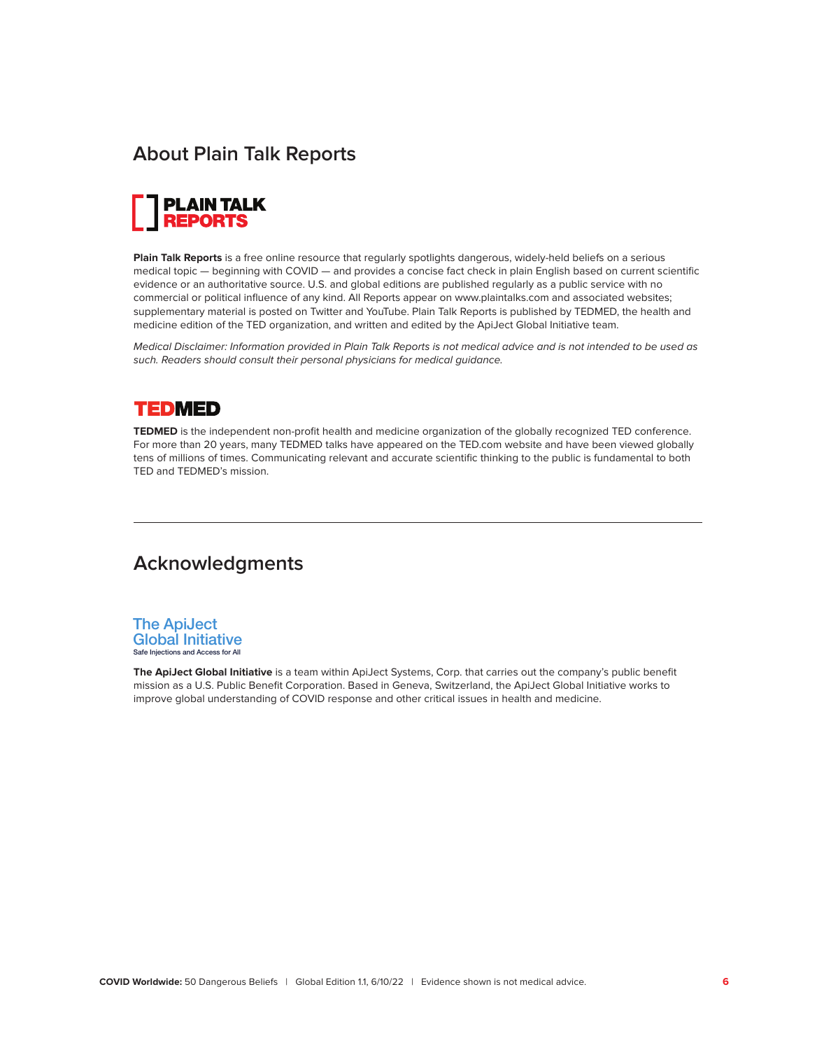# **About Plain Talk Reports**



**Plain Talk Reports** is a free online resource that regularly spotlights dangerous, widely-held beliefs on a serious medical topic — beginning with COVID — and provides a concise fact check in plain English based on current scientific evidence or an authoritative source. U.S. and global editions are published regularly as a public service with no commercial or political influence of any kind. All Reports appear on www.plaintalks.com and associated websites; supplementary material is posted on Twitter and YouTube. Plain Talk Reports is published by TEDMED, the health and medicine edition of the TED organization, and written and edited by the ApiJect Global Initiative team.

Medical Disclaimer: Information provided in Plain Talk Reports is not medical advice and is not intended to be used as such. Readers should consult their personal physicians for medical guidance.

# **TEDMED**

**TEDMED** is the independent non-profit health and medicine organization of the globally recognized TED conference. For more than 20 years, many TEDMED talks have appeared on the TED.com website and have been viewed globally tens of millions of times. Communicating relevant and accurate scientific thinking to the public is fundamental to both TED and TEDMED's mission.

# **Acknowledgments**



**The ApiJect Global Initiative** is a team within ApiJect Systems, Corp. that carries out the company's public benefit mission as a U.S. Public Benefit Corporation. Based in Geneva, Switzerland, the ApiJect Global Initiative works to improve global understanding of COVID response and other critical issues in health and medicine.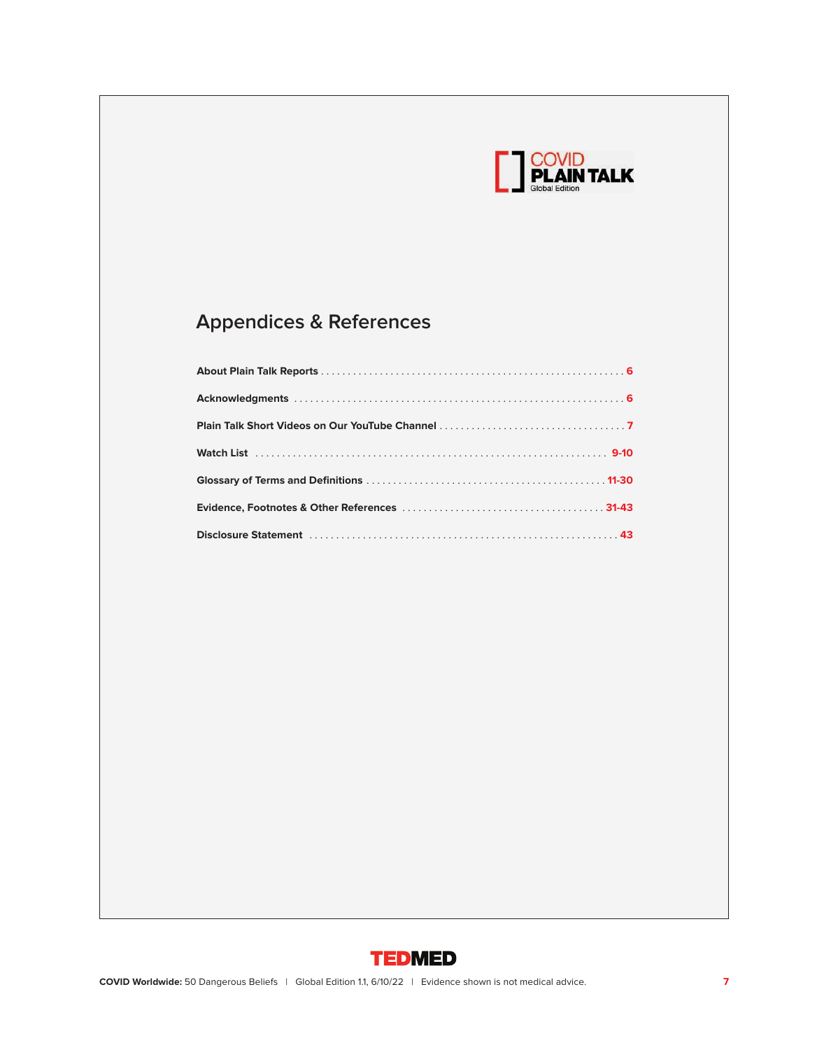

# **Appendices & References**

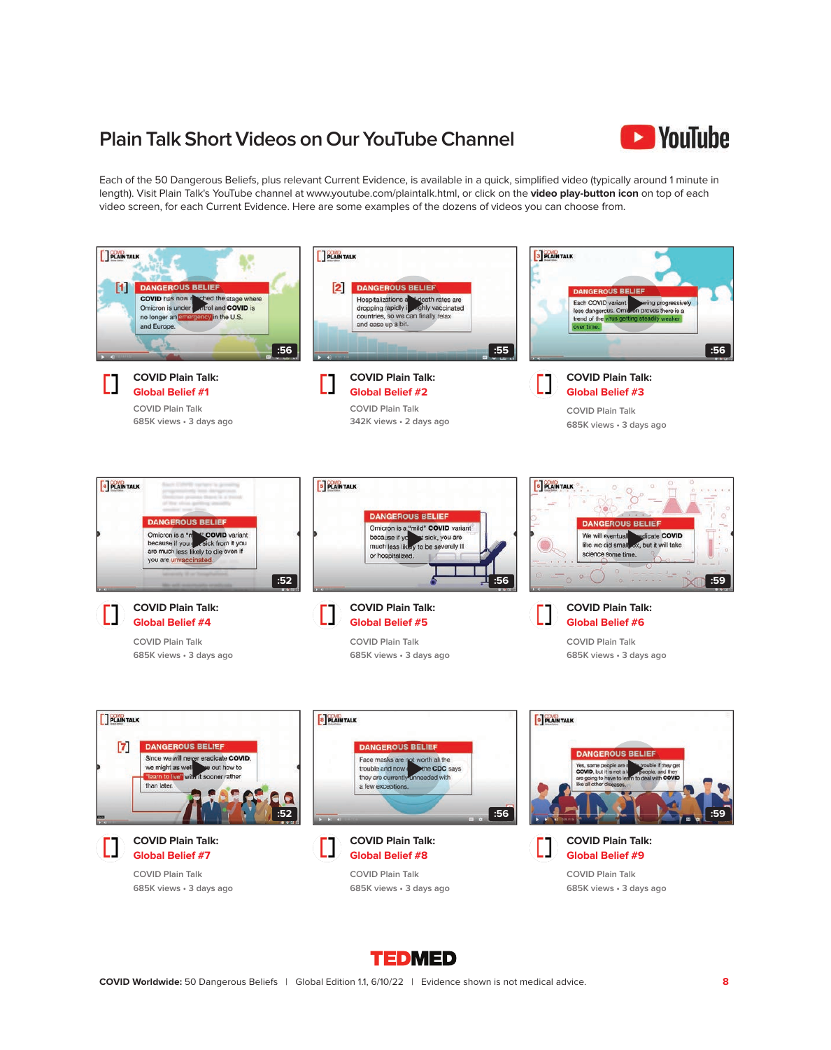# **Plain Talk Short Videos on Our YouTube Channel**



Each of the 50 Dangerous Beliefs, plus relevant Current Evidence, is available in a quick, simplified video (typically around 1 minute in length). Visit Plain Talk's YouTube channel at www.youtube.com/plaintalk.html, or click on the **video play-button icon** on top of each video screen, for each Current Evidence. Here are some examples of the dozens of videos you can choose from.



**TEDMED**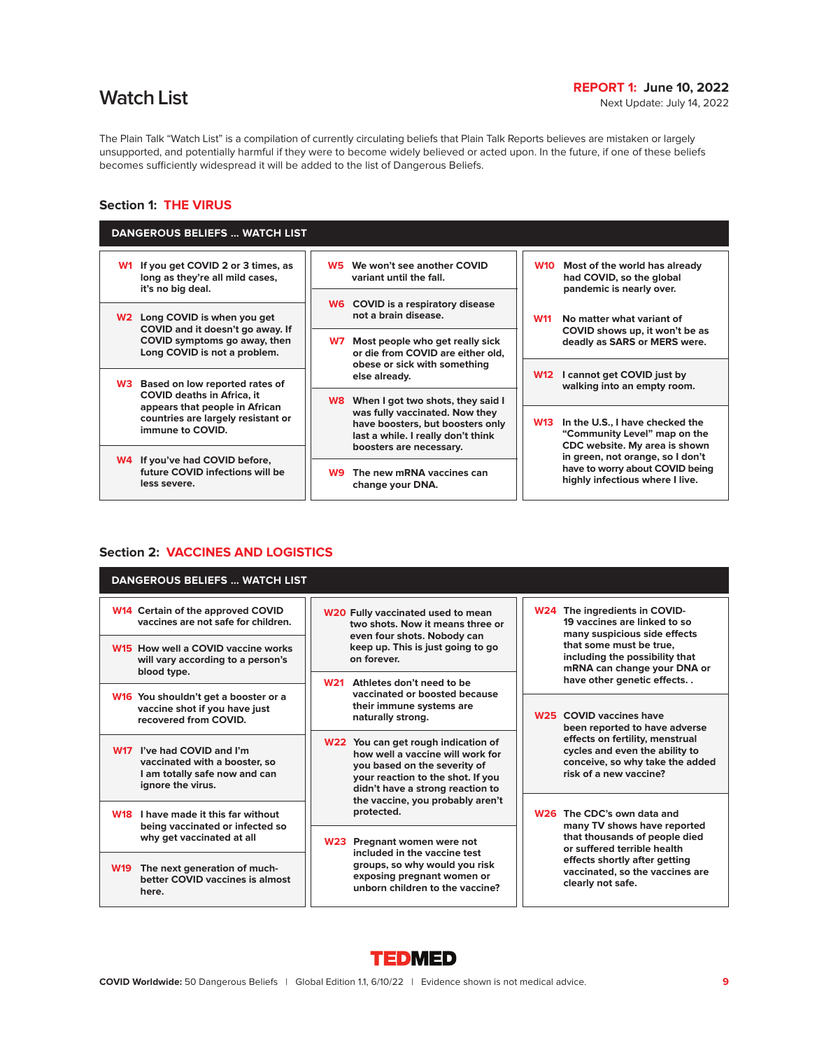# **Match List REPORT 1: June 10, 2022**<br>Next Update: July 14, 2022

The Plain Talk "Watch List" is a compilation of currently circulating beliefs that Plain Talk Reports believes are mistaken or largely unsupported, and potentially harmful if they were to become widely believed or acted upon. In the future, if one of these beliefs becomes sufficiently widespread it will be added to the list of Dangerous Beliefs.

# **Section 1: THE VIRUS**

| <b>DANGEROUS BELIEFS  WATCH LIST</b>                                                                                                                                   |                                                                                                                                                                                 |                                                                                                                |  |
|------------------------------------------------------------------------------------------------------------------------------------------------------------------------|---------------------------------------------------------------------------------------------------------------------------------------------------------------------------------|----------------------------------------------------------------------------------------------------------------|--|
| If you get COVID 2 or 3 times, as<br><b>W1</b><br>long as they're all mild cases,<br>it's no big deal.                                                                 | We won't see another COVID<br>W5<br>variant until the fall.                                                                                                                     | <b>W10</b><br>Most of the world has already<br>had COVID, so the global<br>pandemic is nearly over.            |  |
| Long COVID is when you get<br>W2<br>COVID and it doesn't go away. If                                                                                                   | <b>W6</b> COVID is a respiratory disease<br>not a brain disease.                                                                                                                | No matter what variant of<br><b>W11</b><br>COVID shows up, it won't be as                                      |  |
| COVID symptoms go away, then<br>Long COVID is not a problem.                                                                                                           | Most people who get really sick<br>W7<br>or die from COVID are either old.<br>obese or sick with something                                                                      | deadly as SARS or MERS were.                                                                                   |  |
| Based on low reported rates of<br>W3.<br><b>COVID deaths in Africa, it</b><br>appears that people in African<br>countries are largely resistant or<br>immune to COVID. | else already.                                                                                                                                                                   | I cannot get COVID just by<br><b>W12</b><br>walking into an empty room.                                        |  |
|                                                                                                                                                                        | When I got two shots, they said I<br>W8.<br>was fully vaccinated. Now they<br>have boosters, but boosters only<br>last a while. I really don't think<br>boosters are necessary. |                                                                                                                |  |
|                                                                                                                                                                        |                                                                                                                                                                                 | In the U.S., I have checked the<br><b>W13</b><br>"Community Level" map on the<br>CDC website. My area is shown |  |
| W4 If you've had COVID before,                                                                                                                                         |                                                                                                                                                                                 | in green, not orange, so I don't<br>have to worry about COVID being                                            |  |
| future COVID infections will be<br>less severe.                                                                                                                        | The new mRNA vaccines can<br>W9.<br>change your DNA.                                                                                                                            | highly infectious where I live.                                                                                |  |
|                                                                                                                                                                        |                                                                                                                                                                                 |                                                                                                                |  |

# **Section 2: VACCINES AND LOGISTICS**

| <b>DANGEROUS BELIEFS  WATCH LIST</b>                                                                              |                                                                                                                                                                                  |                                                                                                                                       |
|-------------------------------------------------------------------------------------------------------------------|----------------------------------------------------------------------------------------------------------------------------------------------------------------------------------|---------------------------------------------------------------------------------------------------------------------------------------|
| W14 Certain of the approved COVID<br>vaccines are not safe for children.                                          | W20 Fully vaccinated used to mean<br>two shots. Now it means three or                                                                                                            | W24 The ingredients in COVID-<br>19 vaccines are linked to so<br>many suspicious side effects                                         |
| W15 How well a COVID vaccine works<br>will vary according to a person's<br>blood type.                            | even four shots. Nobody can<br>keep up. This is just going to go<br>on forever.                                                                                                  | that some must be true.<br>including the possibility that<br>mRNA can change your DNA or                                              |
|                                                                                                                   | Athletes don't need to be<br><b>W21</b><br>vaccinated or boosted because                                                                                                         | have other genetic effects                                                                                                            |
| W16 You shouldn't get a booster or a<br>vaccine shot if you have just<br>recovered from COVID.                    | their immune systems are<br>naturally strong.                                                                                                                                    | W <sub>25</sub> COVID vaccines have<br>been reported to have adverse                                                                  |
| W17 I've had COVID and I'm<br>vaccinated with a booster, so<br>I am totally safe now and can<br>ignore the virus. | W22 You can get rough indication of<br>how well a vaccine will work for<br>you based on the severity of<br>your reaction to the shot. If you<br>didn't have a strong reaction to | effects on fertility, menstrual<br>cycles and even the ability to<br>conceive, so why take the added<br>risk of a new vaccine?        |
| I have made it this far without<br><b>W18</b>                                                                     | the vaccine, you probably aren't<br>protected.                                                                                                                                   | W <sub>26</sub> The CDC's own data and<br>many TV shows have reported<br>that thousands of people died<br>or suffered terrible health |
| being vaccinated or infected so                                                                                   |                                                                                                                                                                                  |                                                                                                                                       |
| why get vaccinated at all                                                                                         | W23 Pregnant women were not<br>included in the vaccine test<br>groups, so why would you risk<br>exposing pregnant women or<br>unborn children to the vaccine?                    |                                                                                                                                       |
| <b>W19</b><br>The next generation of much-<br>better COVID vaccines is almost<br>here.                            |                                                                                                                                                                                  | effects shortly after getting<br>vaccinated, so the vaccines are<br>clearly not safe.                                                 |

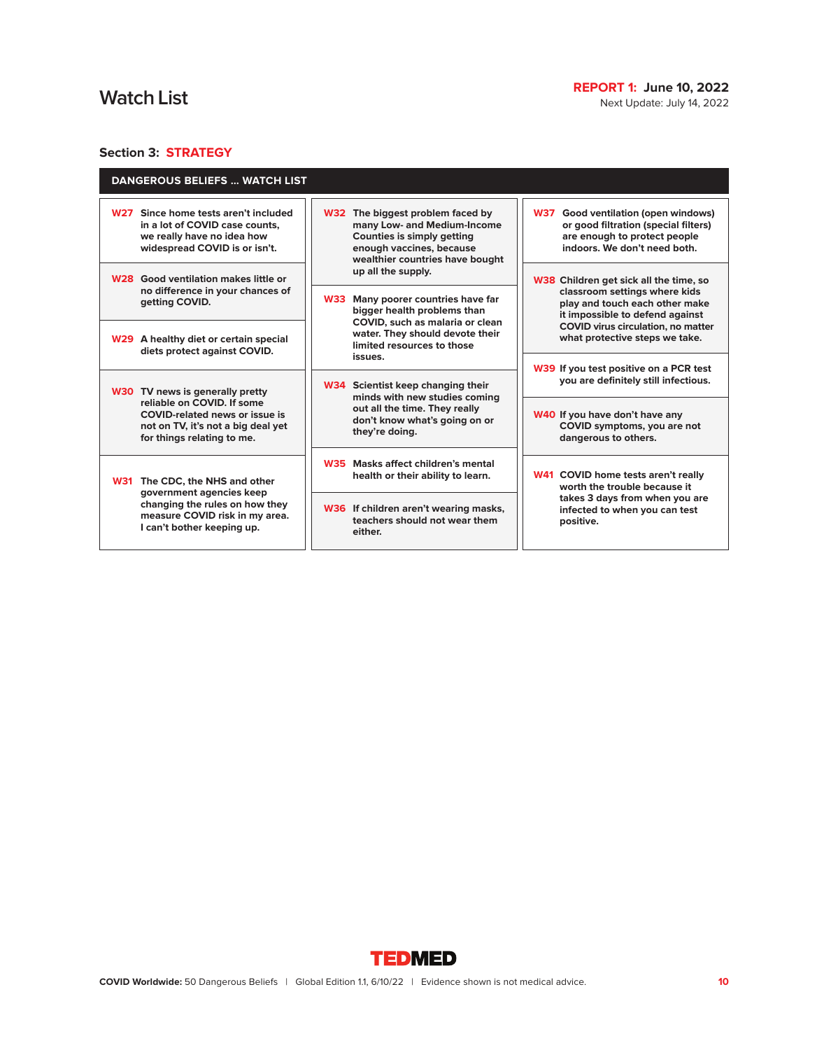Next Update: July 14, 2022

# **Section 3: STRATEGY**

| <b>DANGEROUS BELIEFS  WATCH LIST</b>                                                                                                                                   |                                                                                                                                                                     |                                                                                                                                                       |
|------------------------------------------------------------------------------------------------------------------------------------------------------------------------|---------------------------------------------------------------------------------------------------------------------------------------------------------------------|-------------------------------------------------------------------------------------------------------------------------------------------------------|
| Since home tests aren't included<br><b>W27</b><br>in a lot of COVID case counts.<br>we really have no idea how<br>widespread COVID is or isn't.                        | W32 The biggest problem faced by<br>many Low- and Medium-Income<br><b>Counties is simply getting</b><br>enough vaccines, because<br>wealthier countries have bought | <b>W37</b><br>Good ventilation (open windows)<br>or good filtration (special filters)<br>are enough to protect people<br>indoors. We don't need both. |
| W <sub>28</sub> Good ventilation makes little or<br>no difference in your chances of<br>getting COVID.                                                                 | up all the supply.<br>Many poorer countries have far<br><b>W33</b><br>bigger health problems than                                                                   | W38 Children get sick all the time, so<br>classroom settings where kids<br>play and touch each other make<br>it impossible to defend against          |
| W29 A healthy diet or certain special<br>diets protect against COVID.                                                                                                  | COVID, such as malaria or clean<br>water. They should devote their<br>limited resources to those<br>issues.                                                         | <b>COVID</b> virus circulation, no matter<br>what protective steps we take.                                                                           |
| W30 TV news is generally pretty                                                                                                                                        | W34 Scientist keep changing their<br>minds with new studies coming<br>out all the time. They really<br>don't know what's going on or<br>they're doing.              | W39 If you test positive on a PCR test<br>you are definitely still infectious.                                                                        |
| reliable on COVID. If some<br><b>COVID-related news or issue is</b><br>not on TV, it's not a big deal yet<br>for things relating to me.                                |                                                                                                                                                                     | W40 If you have don't have any<br>COVID symptoms, you are not<br>dangerous to others.                                                                 |
| <b>W31</b><br>The CDC, the NHS and other<br>government agencies keep<br>changing the rules on how they<br>measure COVID risk in my area.<br>I can't bother keeping up. | W35 Masks affect children's mental<br>health or their ability to learn.                                                                                             | W41 COVID home tests aren't really<br>worth the trouble because it                                                                                    |
|                                                                                                                                                                        | W36 If children aren't wearing masks,<br>teachers should not wear them<br>either.                                                                                   | takes 3 days from when you are<br>infected to when you can test<br>positive.                                                                          |

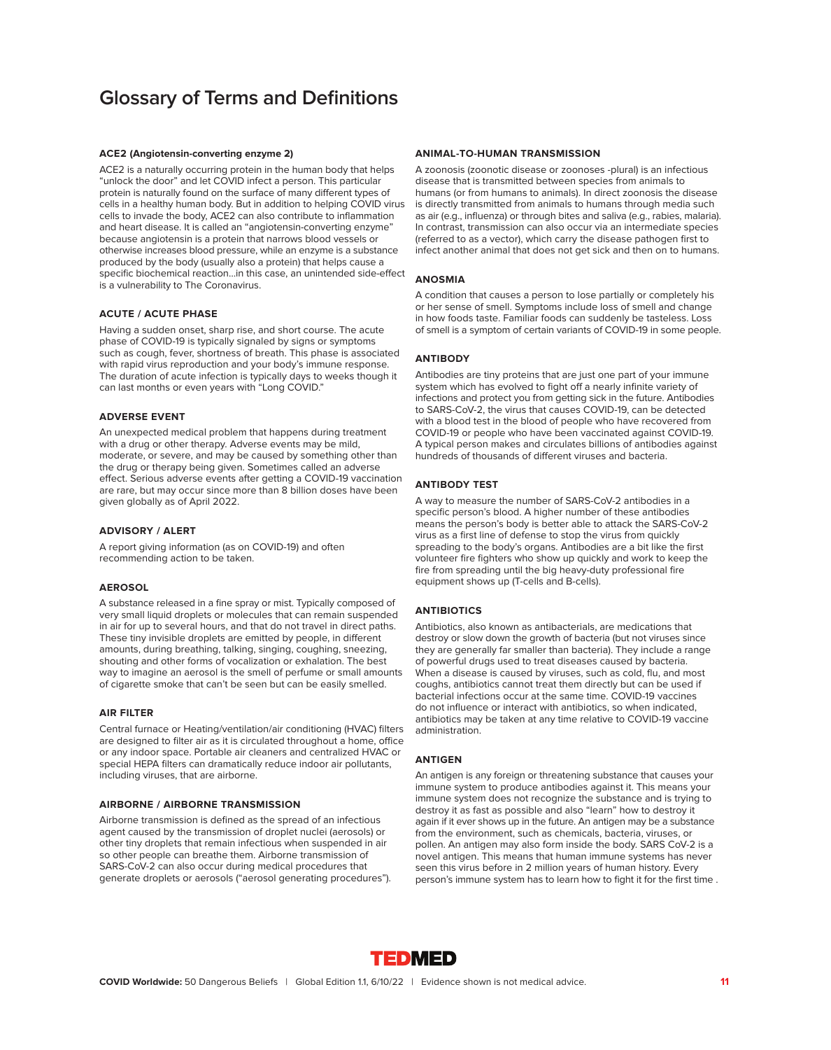# **Glossary of Terms and Definitions**

#### **ACE2 (Angiotensin-converting enzyme 2)**

ACE2 is a naturally occurring protein in the human body that helps "unlock the door" and let COVID infect a person. This particular protein is naturally found on the surface of many different types of cells in a healthy human body. But in addition to helping COVID virus cells to invade the body, ACE2 can also contribute to inflammation and heart disease. It is called an "angiotensin-converting enzyme" because angiotensin is a protein that narrows blood vessels or otherwise increases blood pressure, while an enzyme is a substance produced by the body (usually also a protein) that helps cause a specific biochemical reaction…in this case, an unintended side-effect is a vulnerability to The Coronavirus.

#### **ACUTE / ACUTE PHASE**

Having a sudden onset, sharp rise, and short course. The acute phase of COVID-19 is typically signaled by signs or symptoms such as cough, fever, shortness of breath. This phase is associated with rapid virus reproduction and your body's immune response. The duration of acute infection is typically days to weeks though it can last months or even years with "Long COVID."

#### **ADVERSE EVENT**

An unexpected medical problem that happens during treatment with a drug or other therapy. Adverse events may be mild, moderate, or severe, and may be caused by something other than the drug or therapy being given. Sometimes called an adverse effect. Serious adverse events after getting a COVID-19 vaccination are rare, but may occur since more than 8 billion doses have been given globally as of April 2022.

#### **ADVISORY / ALERT**

A report giving information (as on COVID-19) and often recommending action to be taken.

#### **AEROSOL**

A substance released in a fine spray or mist. Typically composed of very small liquid droplets or molecules that can remain suspended in air for up to several hours, and that do not travel in direct paths. These tiny invisible droplets are emitted by people, in different amounts, during breathing, talking, singing, coughing, sneezing, shouting and other forms of vocalization or exhalation. The best way to imagine an aerosol is the smell of perfume or small amounts of cigarette smoke that can't be seen but can be easily smelled.

#### **AIR FILTER**

Central furnace or Heating/ventilation/air conditioning (HVAC) filters are designed to filter air as it is circulated throughout a home, office or any indoor space. Portable air cleaners and centralized HVAC or special HEPA filters can dramatically reduce indoor air pollutants, including viruses, that are airborne.

#### **AIRBORNE / AIRBORNE TRANSMISSION**

Airborne transmission is defined as the spread of an infectious agent caused by the transmission of droplet nuclei (aerosols) or other tiny droplets that remain infectious when suspended in air so other people can breathe them. Airborne transmission of SARS-CoV-2 can also occur during medical procedures that generate droplets or aerosols ("aerosol generating procedures").

#### **ANIMAL-TO-HUMAN TRANSMISSION**

A zoonosis (zoonotic disease or zoonoses -plural) is an infectious disease that is transmitted between species from animals to humans (or from humans to animals). In direct zoonosis the disease is directly transmitted from animals to humans through media such as air (e.g., influenza) or through bites and saliva (e.g., rabies, malaria). In contrast, transmission can also occur via an intermediate species (referred to as a vector), which carry the disease pathogen first to infect another animal that does not get sick and then on to humans.

#### **ANOSMIA**

A condition that causes a person to lose partially or completely his or her sense of smell. Symptoms include loss of smell and change in how foods taste. Familiar foods can suddenly be tasteless. Loss of smell is a symptom of certain variants of COVID-19 in some people.

#### **ANTIBODY**

Antibodies are tiny proteins that are just one part of your immune system which has evolved to fight off a nearly infinite variety of infections and protect you from getting sick in the future. Antibodies to SARS-CoV-2, the virus that causes COVID-19, can be detected with a blood test in the blood of people who have recovered from COVID-19 or people who have been vaccinated against COVID-19. A typical person makes and circulates billions of antibodies against hundreds of thousands of different viruses and bacteria.

#### **ANTIBODY TEST**

A way to measure the number of SARS-CoV-2 antibodies in a specific person's blood. A higher number of these antibodies means the person's body is better able to attack the SARS-CoV-2 virus as a first line of defense to stop the virus from quickly spreading to the body's organs. Antibodies are a bit like the first volunteer fire fighters who show up quickly and work to keep the fire from spreading until the big heavy-duty professional fire equipment shows up (T-cells and B-cells).

### **ANTIBIOTICS**

Antibiotics, also known as antibacterials, are medications that destroy or slow down the growth of bacteria (but not viruses since they are generally far smaller than bacteria). They include a range of powerful drugs used to treat diseases caused by bacteria. When a disease is caused by viruses, such as cold, flu, and most coughs, antibiotics cannot treat them directly but can be used if bacterial infections occur at the same time. COVID-19 vaccines do not influence or interact with antibiotics, so when indicated, antibiotics may be taken at any time relative to COVID-19 vaccine administration.

### **ANTIGEN**

An antigen is any foreign or threatening substance that causes your immune system to produce antibodies against it. This means your immune system does not recognize the substance and is trying to destroy it as fast as possible and also "learn" how to destroy it again if it ever shows up in the future. An antigen may be a substance from the environment, such as chemicals, bacteria, viruses, or pollen. An antigen may also form inside the body. SARS CoV-2 is a novel antigen. This means that human immune systems has never seen this virus before in 2 million years of human history. Every person's immune system has to learn how to fight it for the first time .

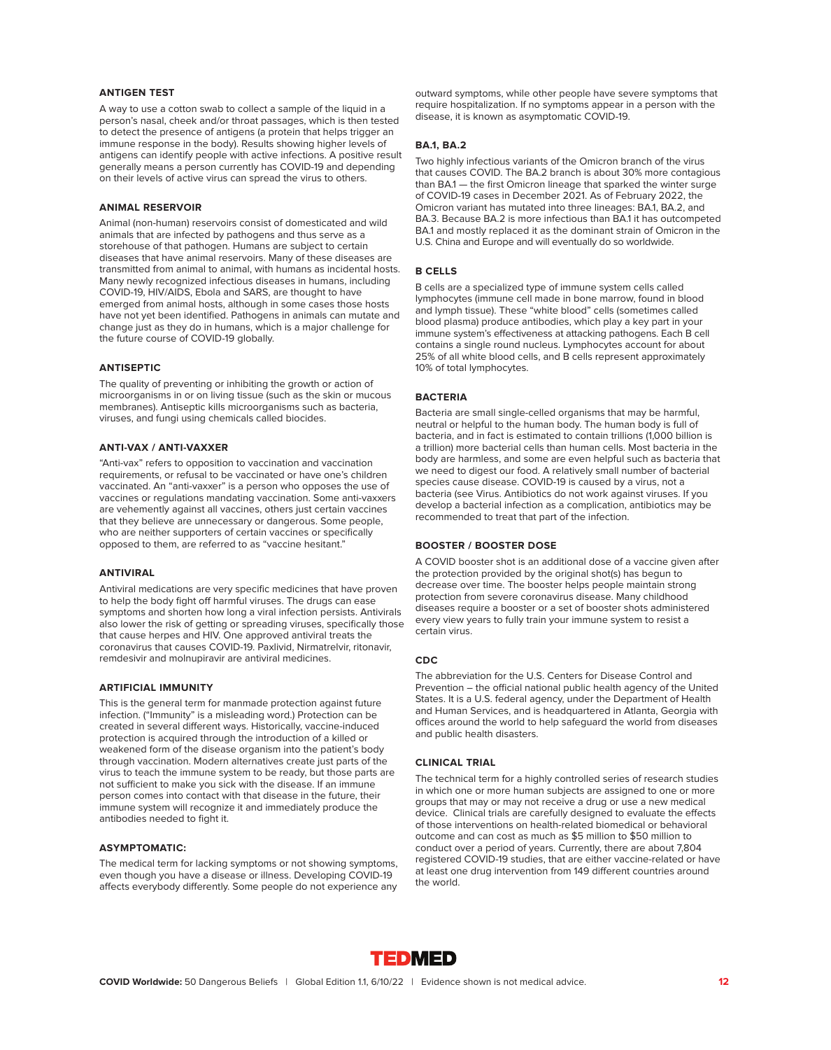### **ANTIGEN TEST**

A way to use a cotton swab to collect a sample of the liquid in a person's nasal, cheek and/or throat passages, which is then tested to detect the presence of antigens (a protein that helps trigger an immune response in the body). Results showing higher levels of antigens can identify people with active infections. A positive result generally means a person currently has COVID-19 and depending on their levels of active virus can spread the virus to others.

#### **ANIMAL RESERVOIR**

Animal (non-human) reservoirs consist of domesticated and wild animals that are infected by pathogens and thus serve as a storehouse of that pathogen. Humans are subject to certain diseases that have animal reservoirs. Many of these diseases are transmitted from animal to animal, with humans as incidental hosts. Many newly recognized infectious diseases in humans, including COVID-19, HIV/AIDS, Ebola and SARS, are thought to have emerged from animal hosts, although in some cases those hosts have not yet been identified. Pathogens in animals can mutate and change just as they do in humans, which is a major challenge for the future course of COVID-19 globally.

#### **ANTISEPTIC**

The quality of preventing or inhibiting the growth or action of microorganisms in or on living tissue (such as the skin or mucous membranes). Antiseptic kills microorganisms such as bacteria, viruses, and fungi using chemicals called biocides.

#### **ANTI-VAX / ANTI-VAXXER**

"Anti-vax" refers to opposition to vaccination and vaccination requirements, or refusal to be vaccinated or have one's children vaccinated. An "anti-vaxxer" is a person who opposes the use of vaccines or regulations mandating vaccination. Some anti-vaxxers are vehemently against all vaccines, others just certain vaccines that they believe are unnecessary or dangerous. Some people, who are neither supporters of certain vaccines or specifically opposed to them, are referred to as "vaccine hesitant."

#### **ANTIVIRAL**

Antiviral medications are very specific medicines that have proven to help the body fight off harmful viruses. The drugs can ease symptoms and shorten how long a viral infection persists. Antivirals also lower the risk of getting or spreading viruses, specifically those that cause herpes and HIV. One approved antiviral treats the coronavirus that causes COVID-19. Paxlivid, Nirmatrelvir, ritonavir, remdesivir and molnupiravir are antiviral medicines.

#### **ARTIFICIAL IMMUNITY**

This is the general term for manmade protection against future infection. ("Immunity" is a misleading word.) Protection can be created in several different ways. Historically, vaccine-induced protection is acquired through the introduction of a killed or weakened form of the disease organism into the patient's body through vaccination. Modern alternatives create just parts of the virus to teach the immune system to be ready, but those parts are not sufficient to make you sick with the disease. If an immune person comes into contact with that disease in the future, their immune system will recognize it and immediately produce the antibodies needed to fight it.

### **ASYMPTOMATIC:**

The medical term for lacking symptoms or not showing symptoms, even though you have a disease or illness. Developing COVID-19 affects everybody differently. Some people do not experience any outward symptoms, while other people have severe symptoms that require hospitalization. If no symptoms appear in a person with the disease, it is known as asymptomatic COVID-19.

#### **BA.1, BA.2**

Two highly infectious variants of the Omicron branch of the virus that causes COVID. The BA.2 branch is about 30% more contagious than BA.1 — the first Omicron lineage that sparked the winter surge of COVID-19 cases in December 2021. As of February 2022, the Omicron variant has mutated into three lineages: BA.1, BA.2, and BA.3. Because BA.2 is more infectious than BA.1 it has outcompeted BA.1 and mostly replaced it as the dominant strain of Omicron in the U.S. China and Europe and will eventually do so worldwide.

### **B CELLS**

B cells are a specialized type of immune system cells called lymphocytes (immune cell made in bone marrow, found in blood and lymph tissue). These "white blood" cells (sometimes called blood plasma) produce antibodies, which play a key part in your immune system's effectiveness at attacking pathogens. Each B cell contains a single round nucleus. Lymphocytes account for about 25% of all white blood cells, and B cells represent approximately 10% of total lymphocytes.

#### **BACTERIA**

Bacteria are small single-celled organisms that may be harmful, neutral or helpful to the human body. The human body is full of bacteria, and in fact is estimated to contain trillions (1,000 billion is a trillion) more bacterial cells than human cells. Most bacteria in the body are harmless, and some are even helpful such as bacteria that we need to digest our food. A relatively small number of bacterial species cause disease. COVID-19 is caused by a virus, not a bacteria (see Virus. Antibiotics do not work against viruses. If you develop a bacterial infection as a complication, antibiotics may be recommended to treat that part of the infection.

#### **BOOSTER / BOOSTER DOSE**

A COVID booster shot is an additional dose of a vaccine given after the protection provided by the original shot(s) has begun to decrease over time. The booster helps people maintain strong protection from severe coronavirus disease. Many childhood diseases require a booster or a set of booster shots administered every view years to fully train your immune system to resist a certain virus.

#### **CDC**

The abbreviation for the U.S. Centers for Disease Control and Prevention – the official national public health agency of the United States. It is a U.S. federal agency, under the Department of Health and Human Services, and is headquartered in Atlanta, Georgia with offices around the world to help safeguard the world from diseases and public health disasters.

# **CLINICAL TRIAL**

The technical term for a highly controlled series of research studies in which one or more human subjects are assigned to one or more groups that may or may not receive a drug or use a new medical device. Clinical trials are carefully designed to evaluate the effects of those interventions on health-related biomedical or behavioral outcome and can cost as much as \$5 million to \$50 million to conduct over a period of years. Currently, there are about 7,804 registered COVID-19 studies, that are either vaccine-related or have at least one drug intervention from 149 different countries around the world.

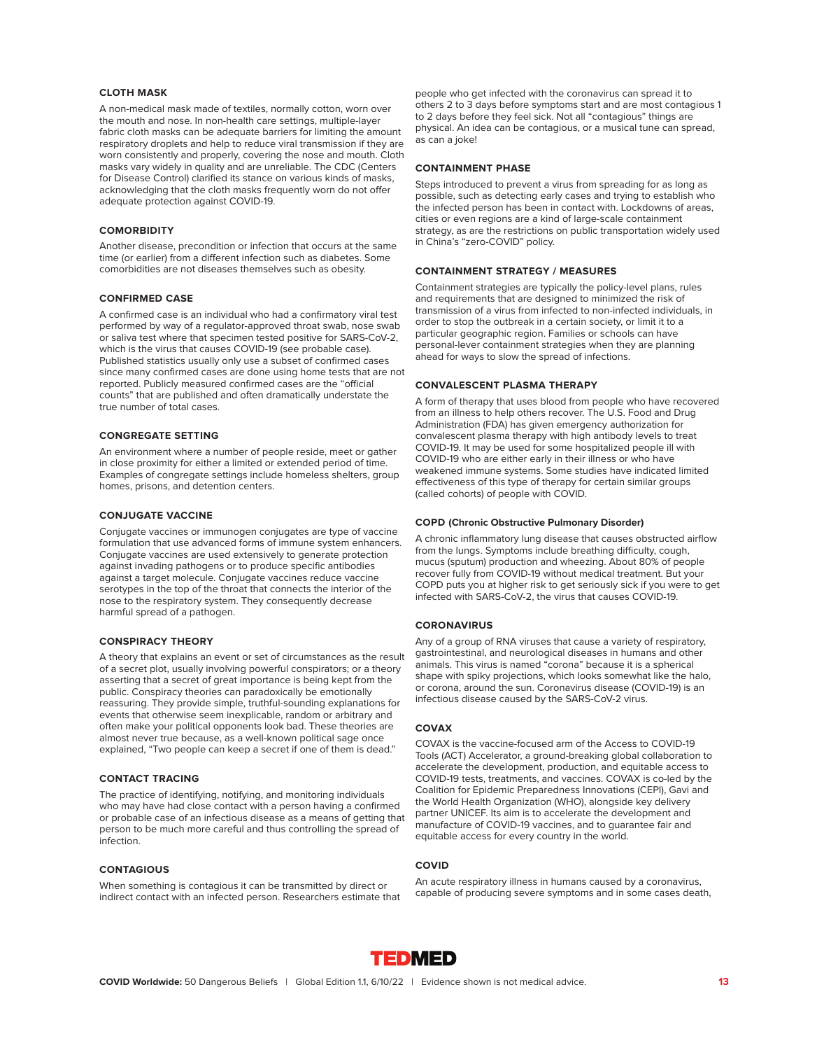### **CLOTH MASK**

A non-medical mask made of textiles, normally cotton, worn over the mouth and nose. In non-health care settings, multiple-layer fabric cloth masks can be adequate barriers for limiting the amount respiratory droplets and help to reduce viral transmission if they are worn consistently and properly, covering the nose and mouth. Cloth masks vary widely in quality and are unreliable. The CDC (Centers for Disease Control) clarified its stance on various kinds of masks, acknowledging that the cloth masks frequently worn do not offer adequate protection against COVID-19.

#### **COMORBIDITY**

Another disease, precondition or infection that occurs at the same time (or earlier) from a different infection such as diabetes. Some comorbidities are not diseases themselves such as obesity.

#### **CONFIRMED CASE**

A confirmed case is an individual who had a confirmatory viral test performed by way of a regulator-approved throat swab, nose swab or saliva test where that specimen tested positive for SARS-CoV-2, which is the virus that causes COVID-19 (see probable case). Published statistics usually only use a subset of confirmed cases since many confirmed cases are done using home tests that are not reported. Publicly measured confirmed cases are the "official counts" that are published and often dramatically understate the true number of total cases.

#### **CONGREGATE SETTING**

An environment where a number of people reside, meet or gather in close proximity for either a limited or extended period of time. Examples of congregate settings include homeless shelters, group homes, prisons, and detention centers.

# **CONJUGATE VACCINE**

Conjugate vaccines or immunogen conjugates are type of vaccine formulation that use advanced forms of immune system enhancers. Conjugate vaccines are used extensively to generate protection against invading pathogens or to produce specific antibodies against a target molecule. Conjugate vaccines reduce vaccine serotypes in the top of the throat that connects the interior of the nose to the respiratory system. They consequently decrease harmful spread of a pathogen.

# **CONSPIRACY THEORY**

A theory that explains an event or set of circumstances as the result of a secret plot, usually involving powerful conspirators; or a theory asserting that a secret of great importance is being kept from the public. Conspiracy theories can paradoxically be emotionally reassuring. They provide simple, truthful-sounding explanations for events that otherwise seem inexplicable, random or arbitrary and often make your political opponents look bad. These theories are almost never true because, as a well-known political sage once explained, "Two people can keep a secret if one of them is dead."

#### **CONTACT TRACING**

The practice of identifying, notifying, and monitoring individuals who may have had close contact with a person having a confirmed or probable case of an infectious disease as a means of getting that person to be much more careful and thus controlling the spread of infection.

### **CONTAGIOUS**

When something is contagious it can be transmitted by direct or indirect contact with an infected person. Researchers estimate that people who get infected with the coronavirus can spread it to others 2 to 3 days before symptoms start and are most contagious 1 to 2 days before they feel sick. Not all "contagious" things are physical. An idea can be contagious, or a musical tune can spread, as can a joke!

#### **CONTAINMENT PHASE**

Steps introduced to prevent a virus from spreading for as long as possible, such as detecting early cases and trying to establish who the infected person has been in contact with. Lockdowns of areas, cities or even regions are a kind of large-scale containment strategy, as are the restrictions on public transportation widely used in China's "zero-COVID" policy.

#### **CONTAINMENT STRATEGY / MEASURES**

Containment strategies are typically the policy-level plans, rules and requirements that are designed to minimized the risk of transmission of a virus from infected to non-infected individuals, in order to stop the outbreak in a certain society, or limit it to a particular geographic region. Families or schools can have personal-lever containment strategies when they are planning ahead for ways to slow the spread of infections.

#### **CONVALESCENT PLASMA THERAPY**

A form of therapy that uses blood from people who have recovered from an illness to help others recover. The U.S. Food and Drug Administration (FDA) has given emergency authorization for convalescent plasma therapy with high antibody levels to treat COVID-19. It may be used for some hospitalized people ill with COVID-19 who are either early in their illness or who have weakened immune systems. Some studies have indicated limited effectiveness of this type of therapy for certain similar groups (called cohorts) of people with COVID.

#### **COPD (Chronic Obstructive Pulmonary Disorder)**

A chronic inflammatory lung disease that causes obstructed airflow from the lungs. Symptoms include breathing difficulty, cough, mucus (sputum) production and wheezing. About 80% of people recover fully from COVID-19 without medical treatment. But your COPD puts you at higher risk to get seriously sick if you were to get infected with SARS-CoV-2, the virus that causes COVID-19.

#### **CORONAVIRUS**

Any of a group of RNA viruses that cause a variety of respiratory, gastrointestinal, and neurological diseases in humans and other animals. This virus is named "corona" because it is a spherical shape with spiky projections, which looks somewhat like the halo, or corona, around the sun. Coronavirus disease (COVID-19) is an infectious disease caused by the SARS-CoV-2 virus.

### **COVAX**

COVAX is the vaccine-focused arm of the Access to COVID-19 Tools (ACT) Accelerator, a ground-breaking global collaboration to accelerate the development, production, and equitable access to COVID-19 tests, treatments, and vaccines. COVAX is co-led by the Coalition for Epidemic Preparedness Innovations (CEPI), Gavi and the World Health Organization (WHO), alongside key delivery partner UNICEF. Its aim is to accelerate the development and manufacture of COVID-19 vaccines, and to guarantee fair and equitable access for every country in the world.

#### **COVID**

An acute respiratory illness in humans caused by a coronavirus, capable of producing severe symptoms and in some cases death,

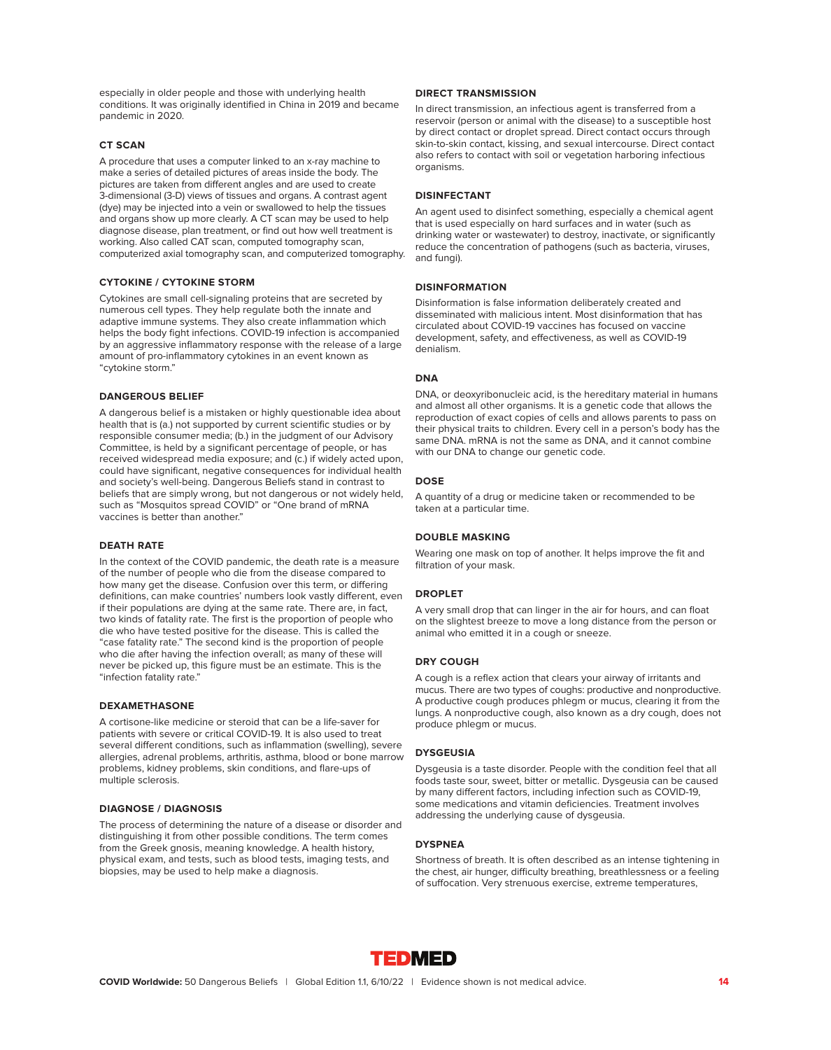especially in older people and those with underlying health conditions. It was originally identified in China in 2019 and became pandemic in 2020.

### **CT SCAN**

A procedure that uses a computer linked to an x-ray machine to make a series of detailed pictures of areas inside the body. The pictures are taken from different angles and are used to create 3-dimensional (3-D) views of tissues and organs. A contrast agent (dye) may be injected into a vein or swallowed to help the tissues and organs show up more clearly. A CT scan may be used to help diagnose disease, plan treatment, or find out how well treatment is working. Also called CAT scan, computed tomography scan, computerized axial tomography scan, and computerized tomography.

#### **CYTOKINE / CYTOKINE STORM**

Cytokines are small cell-signaling proteins that are secreted by numerous cell types. They help regulate both the innate and adaptive immune systems. They also create inflammation which helps the body fight infections. COVID-19 infection is accompanied by an aggressive inflammatory response with the release of a large amount of pro-inflammatory cytokines in an event known as "cytokine storm."

#### **DANGEROUS BELIEF**

A dangerous belief is a mistaken or highly questionable idea about health that is (a.) not supported by current scientific studies or by responsible consumer media; (b.) in the judgment of our Advisory Committee, is held by a significant percentage of people, or has received widespread media exposure; and (c.) if widely acted upon, could have significant, negative consequences for individual health and society's well-being. Dangerous Beliefs stand in contrast to beliefs that are simply wrong, but not dangerous or not widely held, such as "Mosquitos spread COVID" or "One brand of mRNA vaccines is better than another."

#### **DEATH RATE**

In the context of the COVID pandemic, the death rate is a measure of the number of people who die from the disease compared to how many get the disease. Confusion over this term, or differing definitions, can make countries' numbers look vastly different, even if their populations are dying at the same rate. There are, in fact, two kinds of fatality rate. The first is the proportion of people who die who have tested positive for the disease. This is called the "case fatality rate." The second kind is the proportion of people who die after having the infection overall; as many of these will never be picked up, this figure must be an estimate. This is the "infection fatality rate."

#### **DEXAMETHASONE**

A cortisone-like medicine or steroid that can be a life-saver for patients with severe or critical COVID-19. It is also used to treat several different conditions, such as inflammation (swelling), severe allergies, adrenal problems, arthritis, asthma, blood or bone marrow problems, kidney problems, skin conditions, and flare-ups of multiple sclerosis.

### **DIAGNOSE / DIAGNOSIS**

The process of determining the nature of a disease or disorder and distinguishing it from other possible conditions. The term comes from the Greek gnosis, meaning knowledge. A health history, physical exam, and tests, such as blood tests, imaging tests, and biopsies, may be used to help make a diagnosis.

#### **DIRECT TRANSMISSION**

In direct transmission, an infectious agent is transferred from a reservoir (person or animal with the disease) to a susceptible host by direct contact or droplet spread. Direct contact occurs through skin-to-skin contact, kissing, and sexual intercourse. Direct contact also refers to contact with soil or vegetation harboring infectious organisms.

#### **DISINFECTANT**

An agent used to disinfect something, especially a chemical agent that is used especially on hard surfaces and in water (such as drinking water or wastewater) to destroy, inactivate, or significantly reduce the concentration of pathogens (such as bacteria, viruses, and fungi).

#### **DISINFORMATION**

Disinformation is false information deliberately created and disseminated with malicious intent. Most disinformation that has circulated about COVID-19 vaccines has focused on vaccine development, safety, and effectiveness, as well as COVID-19 denialism.

# **DNA**

DNA, or deoxyribonucleic acid, is the hereditary material in humans and almost all other organisms. It is a genetic code that allows the reproduction of exact copies of cells and allows parents to pass on their physical traits to children. Every cell in a person's body has the same DNA. mRNA is not the same as DNA, and it cannot combine with our DNA to change our genetic code.

#### **DOSE**

A quantity of a drug or medicine taken or recommended to be taken at a particular time.

#### **DOUBLE MASKING**

Wearing one mask on top of another. It helps improve the fit and filtration of your mask.

#### **DROPLET**

A very small drop that can linger in the air for hours, and can float on the slightest breeze to move a long distance from the person or animal who emitted it in a cough or sneeze.

#### **DRY COUGH**

A cough is a reflex action that clears your airway of irritants and mucus. There are two types of coughs: productive and nonproductive. A productive cough produces phlegm or mucus, clearing it from the lungs. A nonproductive cough, also known as a dry cough, does not produce phlegm or mucus.

#### **DYSGEUSIA**

Dysgeusia is a taste disorder. People with the condition feel that all foods taste sour, sweet, bitter or metallic. Dysgeusia can be caused by many different factors, including infection such as COVID-19, some medications and vitamin deficiencies. Treatment involves addressing the underlying cause of dysgeusia.

#### **DYSPNEA**

Shortness of breath. It is often described as an intense tightening in the chest, air hunger, difficulty breathing, breathlessness or a feeling of suffocation. Very strenuous exercise, extreme temperatures,

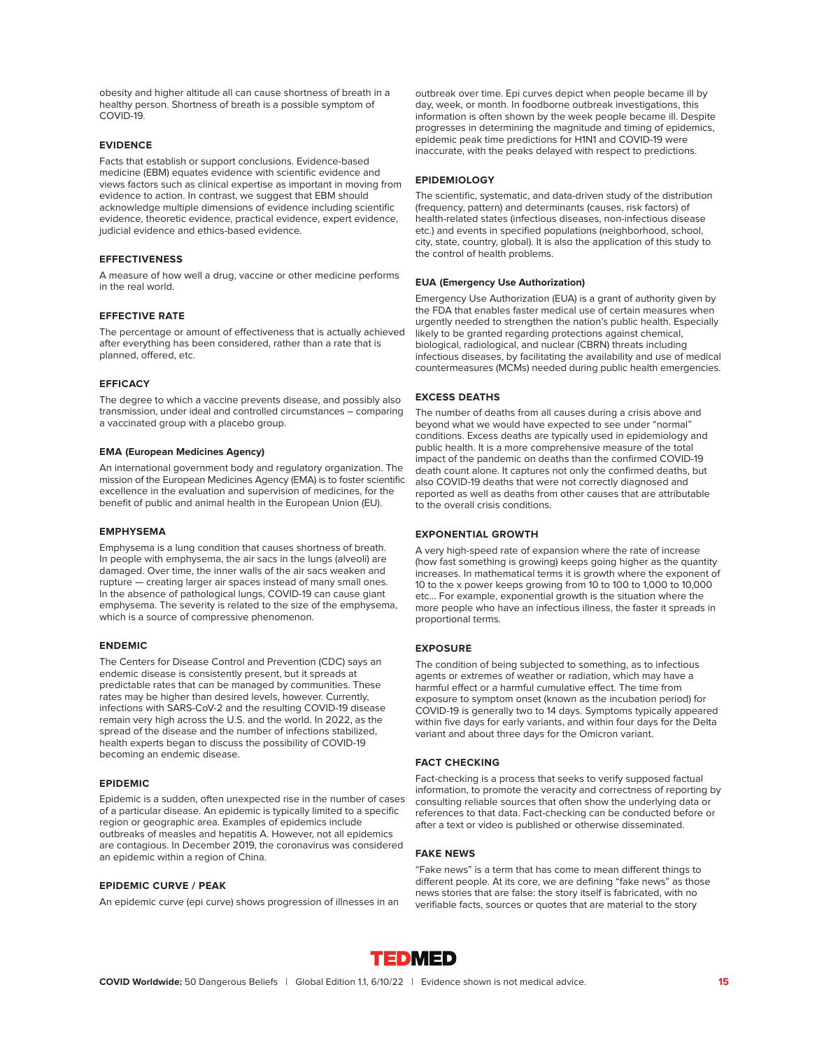obesity and higher altitude all can cause shortness of breath in a healthy person. Shortness of breath is a possible symptom of COVID-19.

#### **EVIDENCE**

Facts that establish or support conclusions. Evidence-based medicine (EBM) equates evidence with scientific evidence and views factors such as clinical expertise as important in moving from evidence to action. In contrast, we suggest that EBM should acknowledge multiple dimensions of evidence including scientific evidence, theoretic evidence, practical evidence, expert evidence, judicial evidence and ethics-based evidence.

#### **EFFECTIVENESS**

A measure of how well a drug, vaccine or other medicine performs in the real world.

#### **EFFECTIVE RATE**

The percentage or amount of effectiveness that is actually achieved after everything has been considered, rather than a rate that is planned, offered, etc.

#### **EFFICACY**

The degree to which a vaccine prevents disease, and possibly also transmission, under ideal and controlled circumstances – comparing a vaccinated group with a placebo group.

#### **EMA (European Medicines Agency)**

An international government body and regulatory organization. The mission of the European Medicines Agency (EMA) is to foster scientific excellence in the evaluation and supervision of medicines, for the benefit of public and animal health in the European Union (EU).

#### **EMPHYSEMA**

Emphysema is a lung condition that causes shortness of breath. In people with emphysema, the air sacs in the lungs (alveoli) are damaged. Over time, the inner walls of the air sacs weaken and rupture — creating larger air spaces instead of many small ones. In the absence of pathological lungs, COVID-19 can cause giant emphysema. The severity is related to the size of the emphysema, which is a source of compressive phenomenon.

#### **ENDEMIC**

The Centers for Disease Control and Prevention (CDC) says an endemic disease is consistently present, but it spreads at predictable rates that can be managed by communities. These rates may be higher than desired levels, however. Currently, infections with SARS-CoV-2 and the resulting COVID-19 disease remain very high across the U.S. and the world. In 2022, as the spread of the disease and the number of infections stabilized, health experts began to discuss the possibility of COVID-19 becoming an endemic disease.

#### **EPIDEMIC**

Epidemic is a sudden, often unexpected rise in the number of cases of a particular disease. An epidemic is typically limited to a specific region or geographic area. Examples of epidemics include outbreaks of measles and hepatitis A. However, not all epidemics are contagious. In December 2019, the coronavirus was considered an epidemic within a region of China.

#### **EPIDEMIC CURVE / PEAK**

An epidemic curve (epi curve) shows progression of illnesses in an

outbreak over time. Epi curves depict when people became ill by day, week, or month. In foodborne outbreak investigations, this information is often shown by the week people became ill. Despite progresses in determining the magnitude and timing of epidemics, epidemic peak time predictions for H1N1 and COVID-19 were inaccurate, with the peaks delayed with respect to predictions.

#### **EPIDEMIOLOGY**

The scientific, systematic, and data-driven study of the distribution (frequency, pattern) and determinants (causes, risk factors) of health-related states (infectious diseases, non-infectious disease etc.) and events in specified populations (neighborhood, school, city, state, country, global). It is also the application of this study to the control of health problems.

#### **EUA (Emergency Use Authorization)**

Emergency Use Authorization (EUA) is a grant of authority given by the FDA that enables faster medical use of certain measures when urgently needed to strengthen the nation's public health. Especially likely to be granted regarding protections against chemical, biological, radiological, and nuclear (CBRN) threats including infectious diseases, by facilitating the availability and use of medical countermeasures (MCMs) needed during public health emergencies.

#### **EXCESS DEATHS**

The number of deaths from all causes during a crisis above and beyond what we would have expected to see under "normal" conditions. Excess deaths are typically used in epidemiology and public health. It is a more comprehensive measure of the total impact of the pandemic on deaths than the confirmed COVID-19 death count alone. It captures not only the confirmed deaths, but also COVID-19 deaths that were not correctly diagnosed and reported as well as deaths from other causes that are attributable to the overall crisis conditions.

#### **EXPONENTIAL GROWTH**

A very high-speed rate of expansion where the rate of increase (how fast something is growing) keeps going higher as the quantity increases. In mathematical terms it is growth where the exponent of 10 to the x power keeps growing from 10 to 100 to 1,000 to 10,000 etc… For example, exponential growth is the situation where the more people who have an infectious illness, the faster it spreads in proportional terms.

#### **EXPOSURE**

The condition of being subjected to something, as to infectious agents or extremes of weather or radiation, which may have a harmful effect or a harmful cumulative effect. The time from exposure to symptom onset (known as the incubation period) for COVID-19 is generally two to 14 days. Symptoms typically appeared within five days for early variants, and within four days for the Delta variant and about three days for the Omicron variant.

### **FACT CHECKING**

Fact-checking is a process that seeks to verify supposed factual information, to promote the veracity and correctness of reporting by consulting reliable sources that often show the underlying data or references to that data. Fact-checking can be conducted before or after a text or video is published or otherwise disseminated.

#### **FAKE NEWS**

"Fake news" is a term that has come to mean different things to different people. At its core, we are defining "fake news" as those news stories that are false: the story itself is fabricated, with no verifiable facts, sources or quotes that are material to the story

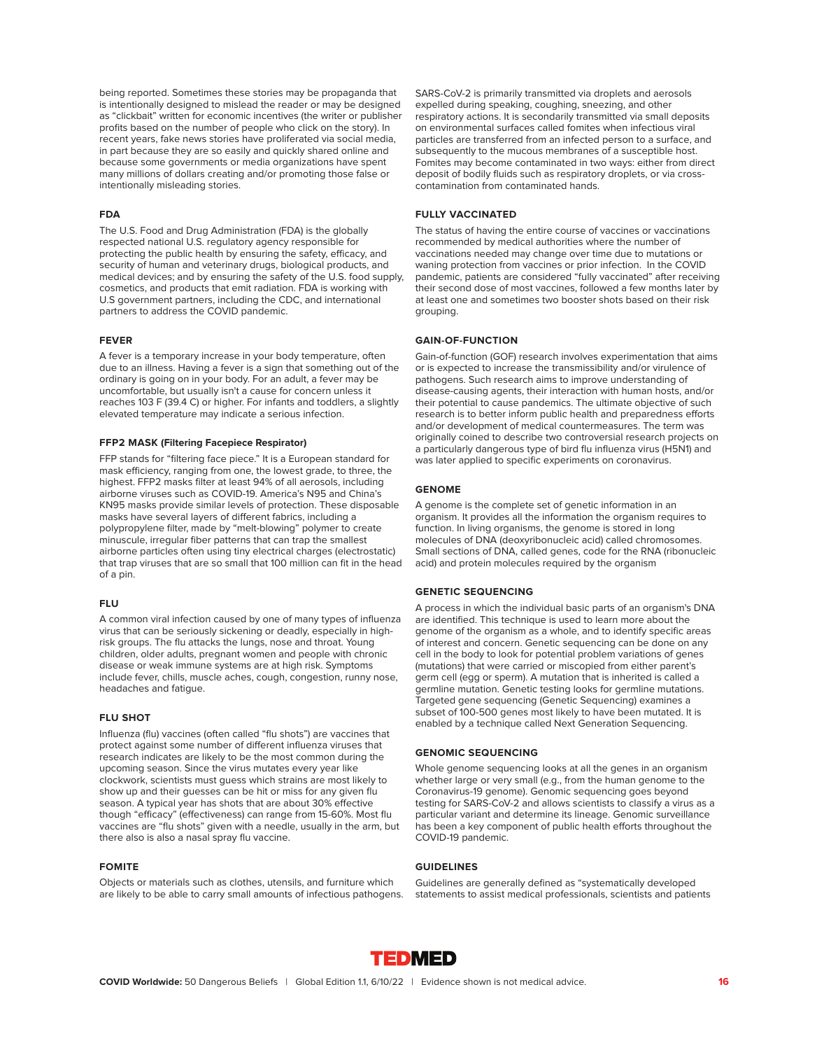being reported. Sometimes these stories may be propaganda that is intentionally designed to mislead the reader or may be designed as "clickbait" written for economic incentives (the writer or publisher profits based on the number of people who click on the story). In recent years, fake news stories have proliferated via social media, in part because they are so easily and quickly shared online and because some governments or media organizations have spent many millions of dollars creating and/or promoting those false or intentionally misleading stories.

#### **FDA**

The U.S. Food and Drug Administration (FDA) is the globally respected national U.S. regulatory agency responsible for protecting the public health by ensuring the safety, efficacy, and security of human and veterinary drugs, biological products, and medical devices; and by ensuring the safety of the U.S. food supply, cosmetics, and products that emit radiation. FDA is working with U.S government partners, including the CDC, and international partners to address the COVID pandemic.

#### **FEVER**

A fever is a temporary increase in your body temperature, often due to an illness. Having a fever is a sign that something out of the ordinary is going on in your body. For an adult, a fever may be uncomfortable, but usually isn't a cause for concern unless it reaches 103 F (39.4 C) or higher. For infants and toddlers, a slightly elevated temperature may indicate a serious infection.

#### **FFP2 MASK (Filtering Facepiece Respirator)**

FFP stands for "filtering face piece." It is a European standard for mask efficiency, ranging from one, the lowest grade, to three, the highest. FFP2 masks filter at least 94% of all aerosols, including airborne viruses such as COVID-19. America's N95 and China's KN95 masks provide similar levels of protection. These disposable masks have several layers of different fabrics, including a polypropylene filter, made by "melt-blowing" polymer to create minuscule, irregular fiber patterns that can trap the smallest airborne particles often using tiny electrical charges (electrostatic) that trap viruses that are so small that 100 million can fit in the head of a pin.

#### **FLU**

A common viral infection caused by one of many types of influenza virus that can be seriously sickening or deadly, especially in highrisk groups. The flu attacks the lungs, nose and throat. Young children, older adults, pregnant women and people with chronic disease or weak immune systems are at high risk. Symptoms include fever, chills, muscle aches, cough, congestion, runny nose, headaches and fatigue.

#### **FLU SHOT**

Influenza (flu) vaccines (often called "flu shots") are vaccines that protect against some number of different influenza viruses that research indicates are likely to be the most common during the upcoming season. Since the virus mutates every year like clockwork, scientists must guess which strains are most likely to show up and their guesses can be hit or miss for any given flu season. A typical year has shots that are about 30% effective though "efficacy" (effectiveness) can range from 15-60%. Most flu vaccines are "flu shots" given with a needle, usually in the arm, but there also is also a nasal spray flu vaccine.

#### **FOMITE**

Objects or materials such as clothes, utensils, and furniture which are likely to be able to carry small amounts of infectious pathogens. SARS-CoV-2 is primarily transmitted via droplets and aerosols expelled during speaking, coughing, sneezing, and other respiratory actions. It is secondarily transmitted via small deposits on environmental surfaces called fomites when infectious viral particles are transferred from an infected person to a surface, and subsequently to the mucous membranes of a susceptible host. Fomites may become contaminated in two ways: either from direct deposit of bodily fluids such as respiratory droplets, or via crosscontamination from contaminated hands.

#### **FULLY VACCINATED**

The status of having the entire course of vaccines or vaccinations recommended by medical authorities where the number of vaccinations needed may change over time due to mutations or waning protection from vaccines or prior infection. In the COVID pandemic, patients are considered "fully vaccinated" after receiving their second dose of most vaccines, followed a few months later by at least one and sometimes two booster shots based on their risk grouping.

#### **GAIN-OF-FUNCTION**

Gain-of-function (GOF) research involves experimentation that aims or is expected to increase the transmissibility and/or virulence of pathogens. Such research aims to improve understanding of disease-causing agents, their interaction with human hosts, and/or their potential to cause pandemics. The ultimate objective of such research is to better inform public health and preparedness efforts and/or development of medical countermeasures. The term was originally coined to describe two controversial research projects on a particularly dangerous type of bird flu influenza virus (H5N1) and was later applied to specific experiments on coronavirus.

#### **GENOME**

A genome is the complete set of genetic information in an organism. It provides all the information the organism requires to function. In living organisms, the genome is stored in long molecules of DNA (deoxyribonucleic acid) called chromosomes. Small sections of DNA, called genes, code for the RNA (ribonucleic acid) and protein molecules required by the organism

#### **GENETIC SEQUENCING**

A process in which the individual basic parts of an organism's DNA are identified. This technique is used to learn more about the genome of the organism as a whole, and to identify specific areas of interest and concern. Genetic sequencing can be done on any cell in the body to look for potential problem variations of genes (mutations) that were carried or miscopied from either parent's germ cell (egg or sperm). A mutation that is inherited is called a germline mutation. Genetic testing looks for germline mutations. Targeted gene sequencing (Genetic Sequencing) examines a subset of 100-500 genes most likely to have been mutated. It is enabled by a technique called Next Generation Sequencing.

#### **GENOMIC SEQUENCING**

Whole genome sequencing looks at all the genes in an organism whether large or very small (e.g., from the human genome to the Coronavirus-19 genome). Genomic sequencing goes beyond testing for SARS-CoV-2 and allows scientists to classify a virus as a particular variant and determine its lineage. Genomic surveillance has been a key component of public health efforts throughout the COVID-19 pandemic.

#### **GUIDELINES**

Guidelines are generally defined as "systematically developed statements to assist medical professionals, scientists and patients

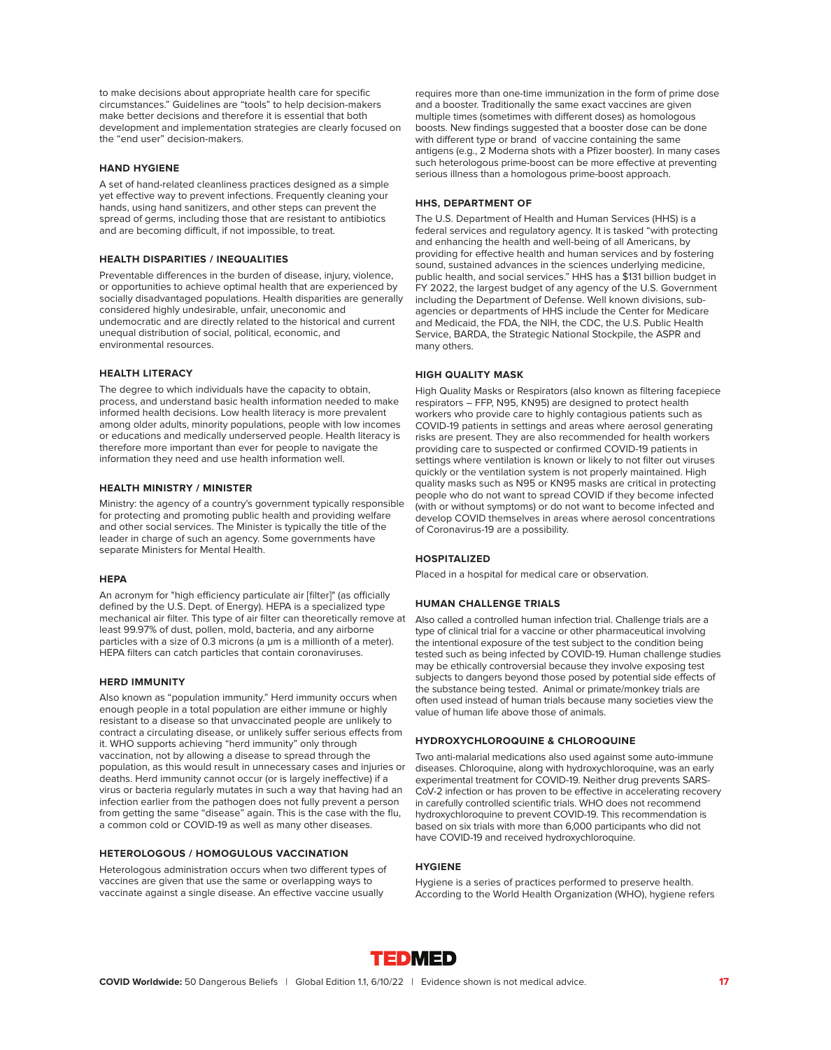to make decisions about appropriate health care for specific circumstances." Guidelines are "tools" to help decision-makers make better decisions and therefore it is essential that both development and implementation strategies are clearly focused on the "end user" decision-makers.

#### **HAND HYGIENE**

A set of hand-related cleanliness practices designed as a simple yet effective way to prevent infections. Frequently cleaning your hands, using hand sanitizers, and other steps can prevent the spread of germs, including those that are resistant to antibiotics and are becoming difficult, if not impossible, to treat.

#### **HEALTH DISPARITIES / INEQUALITIES**

Preventable differences in the burden of disease, injury, violence, or opportunities to achieve optimal health that are experienced by socially disadvantaged populations. Health disparities are generally considered highly undesirable, unfair, uneconomic and undemocratic and are directly related to the historical and current unequal distribution of social, political, economic, and environmental resources.

#### **HEALTH LITERACY**

The degree to which individuals have the capacity to obtain, process, and understand basic health information needed to make informed health decisions. Low health literacy is more prevalent among older adults, minority populations, people with low incomes or educations and medically underserved people. Health literacy is therefore more important than ever for people to navigate the information they need and use health information well.

### **HEALTH MINISTRY / MINISTER**

Ministry: the agency of a country's government typically responsible for protecting and promoting public health and providing welfare and other social services. The Minister is typically the title of the leader in charge of such an agency. Some governments have separate Ministers for Mental Health.

#### **HEPA**

An acronym for "high efficiency particulate air [filter]" (as officially defined by the U.S. Dept. of Energy). HEPA is a specialized type mechanical air filter. This type of air filter can theoretically remove at least 99.97% of dust, pollen, mold, bacteria, and any airborne particles with a size of 0.3 microns (a μm is a millionth of a meter). HEPA filters can catch particles that contain coronaviruses.

#### **HERD IMMUNITY**

Also known as "population immunity." Herd immunity occurs when enough people in a total population are either immune or highly resistant to a disease so that unvaccinated people are unlikely to contract a circulating disease, or unlikely suffer serious effects from it. WHO supports achieving "herd immunity" only through vaccination, not by allowing a disease to spread through the population, as this would result in unnecessary cases and injuries or deaths. Herd immunity cannot occur (or is largely ineffective) if a virus or bacteria regularly mutates in such a way that having had an infection earlier from the pathogen does not fully prevent a person from getting the same "disease" again. This is the case with the flu, a common cold or COVID-19 as well as many other diseases.

### **HETEROLOGOUS / HOMOGULOUS VACCINATION**

Heterologous administration occurs when two different types of vaccines are given that use the same or overlapping ways to vaccinate against a single disease. An effective vaccine usually

requires more than one-time immunization in the form of prime dose and a booster. Traditionally the same exact vaccines are given multiple times (sometimes with different doses) as homologous boosts. New findings suggested that a booster dose can be done with different type or brand of vaccine containing the same antigens (e.g., 2 Moderna shots with a Pfizer booster). In many cases such heterologous prime-boost can be more effective at preventing serious illness than a homologous prime-boost approach.

#### **HHS, DEPARTMENT OF**

The U.S. Department of Health and Human Services (HHS) is a federal services and regulatory agency. It is tasked "with protecting and enhancing the health and well-being of all Americans, by providing for effective health and human services and by fostering sound, sustained advances in the sciences underlying medicine, public health, and social services." HHS has a \$131 billion budget in FY 2022, the largest budget of any agency of the U.S. Government including the Department of Defense. Well known divisions, subagencies or departments of HHS include the Center for Medicare and Medicaid, the FDA, the NIH, the CDC, the U.S. Public Health Service, BARDA, the Strategic National Stockpile, the ASPR and many others.

#### **HIGH QUALITY MASK**

High Quality Masks or Respirators (also known as filtering facepiece respirators – FFP, N95, KN95) are designed to protect health workers who provide care to highly contagious patients such as COVID-19 patients in settings and areas where aerosol generating risks are present. They are also recommended for health workers providing care to suspected or confirmed COVID-19 patients in settings where ventilation is known or likely to not filter out viruses quickly or the ventilation system is not properly maintained. High quality masks such as N95 or KN95 masks are critical in protecting people who do not want to spread COVID if they become infected (with or without symptoms) or do not want to become infected and develop COVID themselves in areas where aerosol concentrations of Coronavirus-19 are a possibility.

#### **HOSPITALIZED**

Placed in a hospital for medical care or observation.

#### **HUMAN CHALLENGE TRIALS**

Also called a controlled human infection trial. Challenge trials are a type of clinical trial for a vaccine or other pharmaceutical involving the intentional exposure of the test subject to the condition being tested such as being infected by COVID-19. Human challenge studies may be ethically controversial because they involve exposing test subjects to dangers beyond those posed by potential side effects of the substance being tested. Animal or primate/monkey trials are often used instead of human trials because many societies view the value of human life above those of animals.

#### **HYDROXYCHLOROQUINE & CHLOROQUINE**

Two anti-malarial medications also used against some auto-immune diseases. Chloroquine, along with hydroxychloroquine, was an early experimental treatment for COVID-19. Neither drug prevents SARS-CoV-2 infection or has proven to be effective in accelerating recovery in carefully controlled scientific trials. WHO does not recommend hydroxychloroquine to prevent COVID-19. This recommendation is based on six trials with more than 6,000 participants who did not have COVID-19 and received hydroxychloroquine.

#### **HYGIENE**

Hygiene is a series of practices performed to preserve health. According to the World Health Organization (WHO), hygiene refers

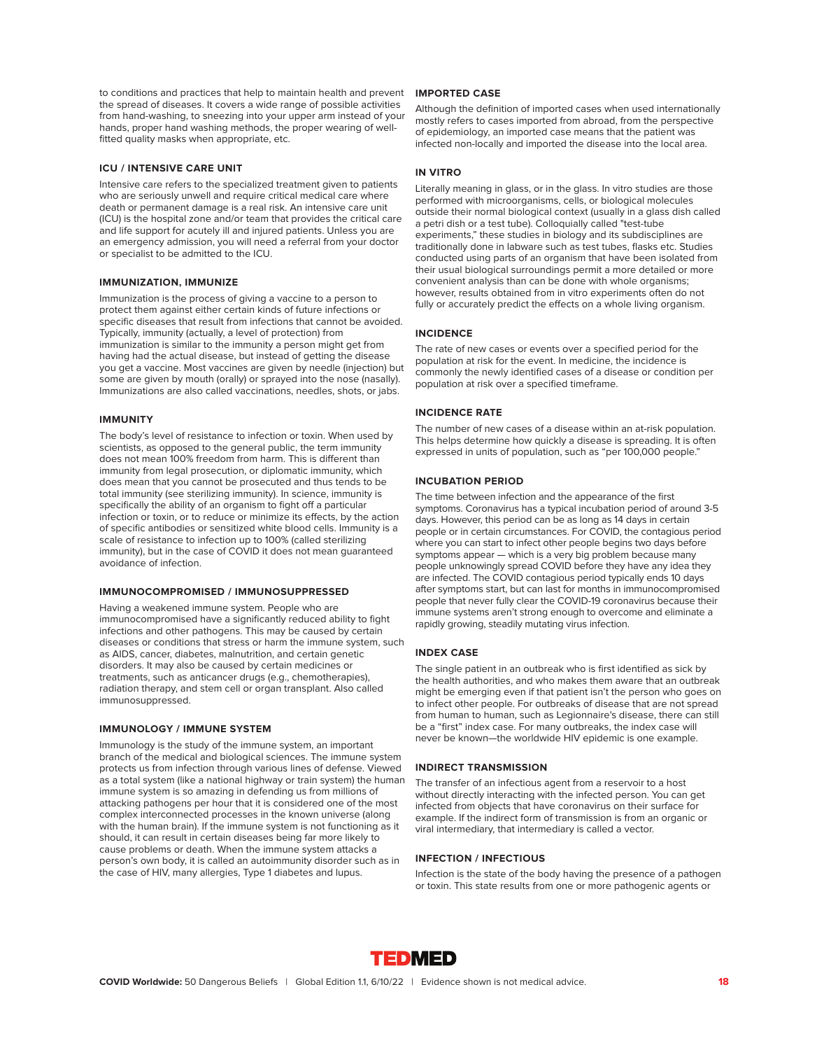to conditions and practices that help to maintain health and prevent the spread of diseases. It covers a wide range of possible activities from hand-washing, to sneezing into your upper arm instead of your hands, proper hand washing methods, the proper wearing of wellfitted quality masks when appropriate, etc.

#### **ICU / INTENSIVE CARE UNIT**

Intensive care refers to the specialized treatment given to patients who are seriously unwell and require critical medical care where death or permanent damage is a real risk. An intensive care unit (ICU) is the hospital zone and/or team that provides the critical care and life support for acutely ill and injured patients. Unless you are an emergency admission, you will need a referral from your doctor or specialist to be admitted to the ICU.

#### **IMMUNIZATION, IMMUNIZE**

Immunization is the process of giving a vaccine to a person to protect them against either certain kinds of future infections or specific diseases that result from infections that cannot be avoided. Typically, immunity (actually, a level of protection) from immunization is similar to the immunity a person might get from having had the actual disease, but instead of getting the disease you get a vaccine. Most vaccines are given by needle (injection) but some are given by mouth (orally) or sprayed into the nose (nasally). Immunizations are also called vaccinations, needles, shots, or jabs.

#### **IMMUNITY**

The body's level of resistance to infection or toxin. When used by scientists, as opposed to the general public, the term immunity does not mean 100% freedom from harm. This is different than immunity from legal prosecution, or diplomatic immunity, which does mean that you cannot be prosecuted and thus tends to be total immunity (see sterilizing immunity). In science, immunity is specifically the ability of an organism to fight off a particular infection or toxin, or to reduce or minimize its effects, by the action of specific antibodies or sensitized white blood cells. Immunity is a scale of resistance to infection up to 100% (called sterilizing immunity), but in the case of COVID it does not mean guaranteed avoidance of infection.

#### **IMMUNOCOMPROMISED / IMMUNOSUPPRESSED**

Having a weakened immune system. People who are immunocompromised have a significantly reduced ability to fight infections and other pathogens. This may be caused by certain diseases or conditions that stress or harm the immune system, such as AIDS, cancer, diabetes, malnutrition, and certain genetic disorders. It may also be caused by certain medicines or treatments, such as anticancer drugs (e.g., chemotherapies), radiation therapy, and stem cell or organ transplant. Also called immunosuppressed.

#### **IMMUNOLOGY / IMMUNE SYSTEM**

Immunology is the study of the immune system, an important branch of the medical and biological sciences. The immune system protects us from infection through various lines of defense. Viewed as a total system (like a national highway or train system) the human immune system is so amazing in defending us from millions of attacking pathogens per hour that it is considered one of the most complex interconnected processes in the known universe (along with the human brain). If the immune system is not functioning as it should, it can result in certain diseases being far more likely to cause problems or death. When the immune system attacks a person's own body, it is called an autoimmunity disorder such as in the case of HIV, many allergies, Type 1 diabetes and lupus.

### **IMPORTED CASE**

Although the definition of imported cases when used internationally mostly refers to cases imported from abroad, from the perspective of epidemiology, an imported case means that the patient was infected non-locally and imported the disease into the local area.

#### **IN VITRO**

Literally meaning in glass, or in the glass. In vitro studies are those performed with microorganisms, cells, or biological molecules outside their normal biological context (usually in a glass dish called a petri dish or a test tube). Colloquially called "test-tube experiments," these studies in biology and its subdisciplines are traditionally done in labware such as test tubes, flasks etc. Studies conducted using parts of an organism that have been isolated from their usual biological surroundings permit a more detailed or more convenient analysis than can be done with whole organisms; however, results obtained from in vitro experiments often do not fully or accurately predict the effects on a whole living organism.

#### **INCIDENCE**

The rate of new cases or events over a specified period for the population at risk for the event. In medicine, the incidence is commonly the newly identified cases of a disease or condition per population at risk over a specified timeframe.

### **INCIDENCE RATE**

The number of new cases of a disease within an at-risk population. This helps determine how quickly a disease is spreading. It is often expressed in units of population, such as "per 100,000 people."

#### **INCUBATION PERIOD**

The time between infection and the appearance of the first symptoms. Coronavirus has a typical incubation period of around 3-5 days. However, this period can be as long as 14 days in certain people or in certain circumstances. For COVID, the contagious period where you can start to infect other people begins two days before symptoms appear — which is a very big problem because many people unknowingly spread COVID before they have any idea they are infected. The COVID contagious period typically ends 10 days after symptoms start, but can last for months in immunocompromised people that never fully clear the COVID-19 coronavirus because their immune systems aren't strong enough to overcome and eliminate a rapidly growing, steadily mutating virus infection.

#### **INDEX CASE**

The single patient in an outbreak who is first identified as sick by the health authorities, and who makes them aware that an outbreak might be emerging even if that patient isn't the person who goes on to infect other people. For outbreaks of disease that are not spread from human to human, such as Legionnaire's disease, there can still be a "first" index case. For many outbreaks, the index case will never be known—the worldwide HIV epidemic is one example.

#### **INDIRECT TRANSMISSION**

The transfer of an infectious agent from a reservoir to a host without directly interacting with the infected person. You can get infected from objects that have coronavirus on their surface for example. If the indirect form of transmission is from an organic or viral intermediary, that intermediary is called a vector.

#### **INFECTION / INFECTIOUS**

Infection is the state of the body having the presence of a pathogen or toxin. This state results from one or more pathogenic agents or

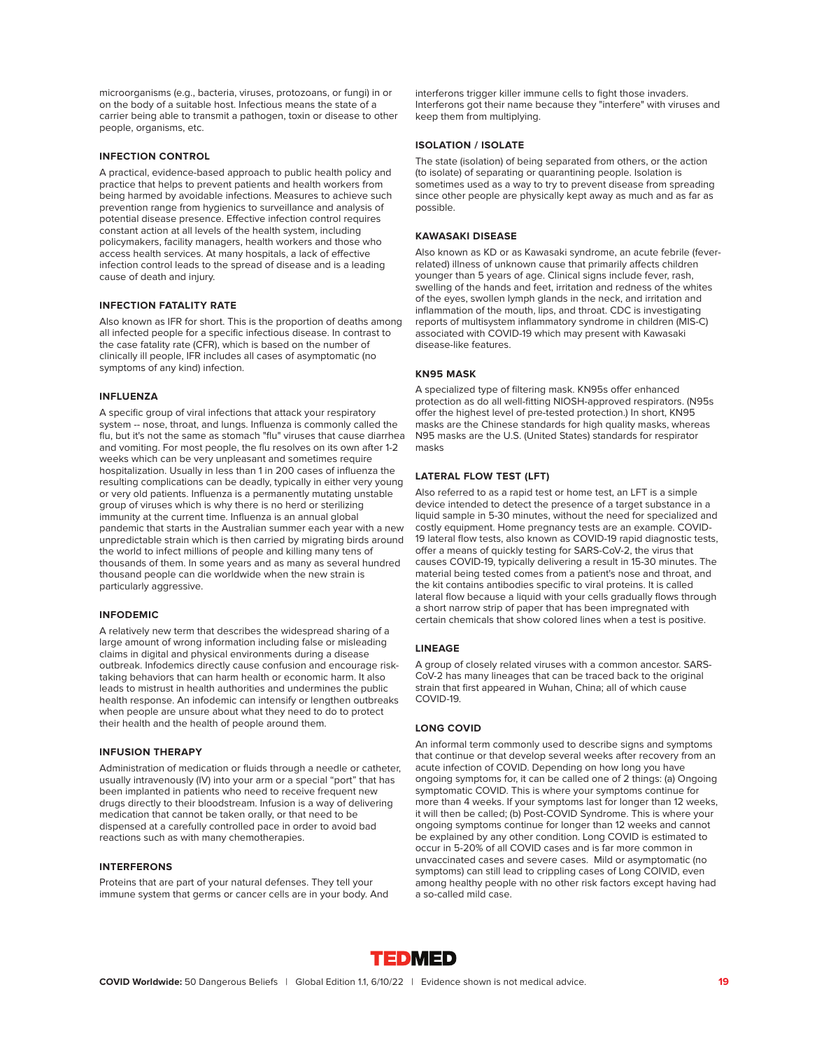microorganisms (e.g., bacteria, viruses, protozoans, or fungi) in or on the body of a suitable host. Infectious means the state of a carrier being able to transmit a pathogen, toxin or disease to other people, organisms, etc.

#### **INFECTION CONTROL**

A practical, evidence-based approach to public health policy and practice that helps to prevent patients and health workers from being harmed by avoidable infections. Measures to achieve such prevention range from hygienics to surveillance and analysis of potential disease presence. Effective infection control requires constant action at all levels of the health system, including policymakers, facility managers, health workers and those who access health services. At many hospitals, a lack of effective infection control leads to the spread of disease and is a leading cause of death and injury.

#### **INFECTION FATALITY RATE**

Also known as IFR for short. This is the proportion of deaths among all infected people for a specific infectious disease. In contrast to the case fatality rate (CFR), which is based on the number of clinically ill people, IFR includes all cases of asymptomatic (no symptoms of any kind) infection.

#### **INFLUENZA**

A specific group of viral infections that attack your respiratory system -- nose, throat, and lungs. Influenza is commonly called the flu, but it's not the same as stomach "flu" viruses that cause diarrhea and vomiting. For most people, the flu resolves on its own after 1-2 weeks which can be very unpleasant and sometimes require hospitalization. Usually in less than 1 in 200 cases of influenza the resulting complications can be deadly, typically in either very young or very old patients. Influenza is a permanently mutating unstable group of viruses which is why there is no herd or sterilizing immunity at the current time. Influenza is an annual global pandemic that starts in the Australian summer each year with a new unpredictable strain which is then carried by migrating birds around the world to infect millions of people and killing many tens of thousands of them. In some years and as many as several hundred thousand people can die worldwide when the new strain is particularly aggressive.

#### **INFODEMIC**

A relatively new term that describes the widespread sharing of a large amount of wrong information including false or misleading claims in digital and physical environments during a disease outbreak. Infodemics directly cause confusion and encourage risktaking behaviors that can harm health or economic harm. It also leads to mistrust in health authorities and undermines the public health response. An infodemic can intensify or lengthen outbreaks when people are unsure about what they need to do to protect their health and the health of people around them.

#### **INFUSION THERAPY**

Administration of medication or fluids through a needle or catheter, usually intravenously (IV) into your arm or a special "port" that has been implanted in patients who need to receive frequent new drugs directly to their bloodstream. Infusion is a way of delivering medication that cannot be taken orally, or that need to be dispensed at a carefully controlled pace in order to avoid bad reactions such as with many chemotherapies.

### **INTERFERONS**

Proteins that are part of your natural defenses. They tell your immune system that germs or cancer cells are in your body. And interferons trigger killer immune cells to fight those invaders. Interferons got their name because they "interfere" with viruses and keep them from multiplying.

#### **ISOLATION / ISOLATE**

The state (isolation) of being separated from others, or the action (to isolate) of separating or quarantining people. Isolation is sometimes used as a way to try to prevent disease from spreading since other people are physically kept away as much and as far as possible.

### **KAWASAKI DISEASE**

Also known as KD or as Kawasaki syndrome, an acute febrile (feverrelated) illness of unknown cause that primarily affects children younger than 5 years of age. Clinical signs include fever, rash, swelling of the hands and feet, irritation and redness of the whites of the eyes, swollen lymph glands in the neck, and irritation and inflammation of the mouth, lips, and throat. CDC is investigating reports of multisystem inflammatory syndrome in children (MIS-C) associated with COVID-19 which may present with Kawasaki disease-like features.

#### **KN95 MASK**

A specialized type of filtering mask. KN95s offer enhanced protection as do all well-fitting NIOSH-approved respirators. (N95s offer the highest level of pre-tested protection.) In short, KN95 masks are the Chinese standards for high quality masks, whereas N95 masks are the U.S. (United States) standards for respirator masks

#### **LATERAL FLOW TEST (LFT)**

Also referred to as a rapid test or home test, an LFT is a simple device intended to detect the presence of a target substance in a liquid sample in 5-30 minutes, without the need for specialized and costly equipment. Home pregnancy tests are an example. COVID-19 lateral flow tests, also known as COVID-19 rapid diagnostic tests, offer a means of quickly testing for SARS-CoV-2, the virus that causes COVID-19, typically delivering a result in 15-30 minutes. The material being tested comes from a patient's nose and throat, and the kit contains antibodies specific to viral proteins. It is called lateral flow because a liquid with your cells gradually flows through a short narrow strip of paper that has been impregnated with certain chemicals that show colored lines when a test is positive.

### **LINEAGE**

A group of closely related viruses with a common ancestor. SARS-CoV-2 has many lineages that can be traced back to the original strain that first appeared in Wuhan, China; all of which cause COVID-19.

# **LONG COVID**

An informal term commonly used to describe signs and symptoms that continue or that develop several weeks after recovery from an acute infection of COVID. Depending on how long you have ongoing symptoms for, it can be called one of 2 things: (a) Ongoing symptomatic COVID. This is where your symptoms continue for more than 4 weeks. If your symptoms last for longer than 12 weeks, it will then be called; (b) Post-COVID Syndrome. This is where your ongoing symptoms continue for longer than 12 weeks and cannot be explained by any other condition. Long COVID is estimated to occur in 5-20% of all COVID cases and is far more common in unvaccinated cases and severe cases. Mild or asymptomatic (no symptoms) can still lead to crippling cases of Long COIVID, even among healthy people with no other risk factors except having had a so-called mild case.

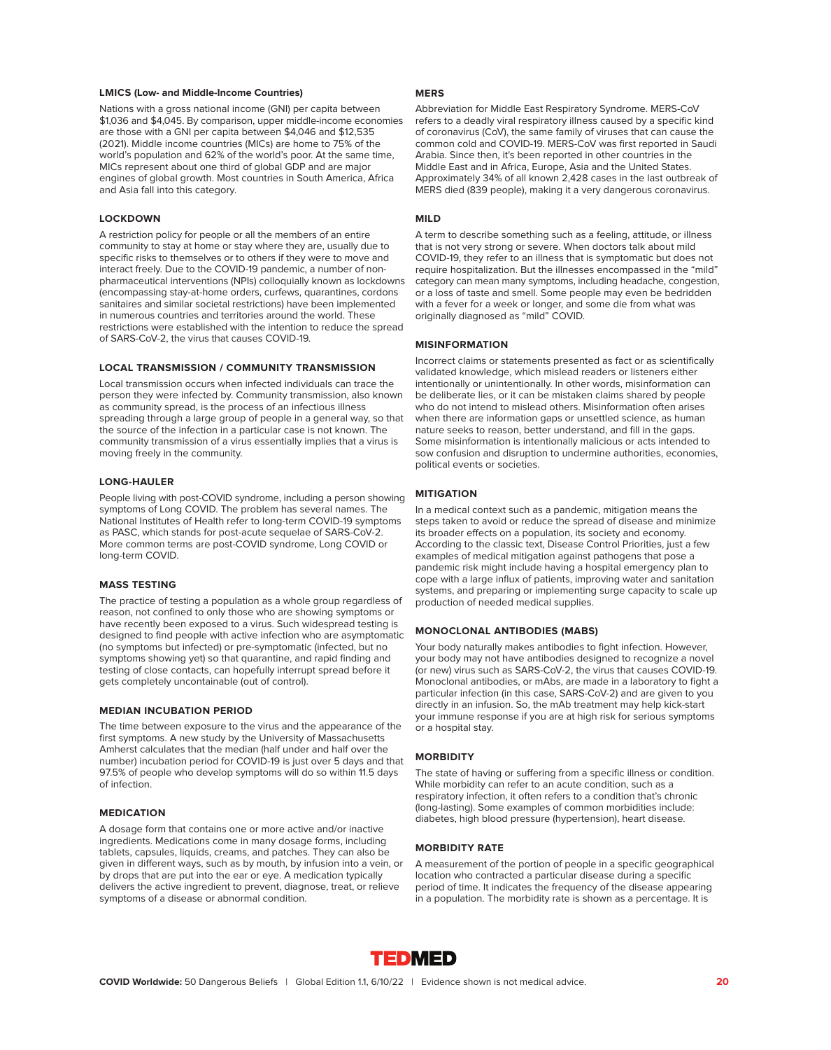#### **LMICS (Low- and Middle-Income Countries)**

Nations with a gross national income (GNI) per capita between \$1,036 and \$4,045. By comparison, upper middle-income economies are those with a GNI per capita between \$4,046 and \$12,535 (2021). Middle income countries (MICs) are home to 75% of the world's population and 62% of the world's poor. At the same time, MICs represent about one third of global GDP and are major engines of global growth. Most countries in South America, Africa and Asia fall into this category.

# **LOCKDOWN**

A restriction policy for people or all the members of an entire community to stay at home or stay where they are, usually due to specific risks to themselves or to others if they were to move and interact freely. Due to the COVID-19 pandemic, a number of nonpharmaceutical interventions (NPIs) colloquially known as lockdowns (encompassing stay-at-home orders, curfews, quarantines, cordons sanitaires and similar societal restrictions) have been implemented in numerous countries and territories around the world. These restrictions were established with the intention to reduce the spread of SARS-CoV-2, the virus that causes COVID-19.

#### **LOCAL TRANSMISSION / COMMUNITY TRANSMISSION**

Local transmission occurs when infected individuals can trace the person they were infected by. Community transmission, also known as community spread, is the process of an infectious illness spreading through a large group of people in a general way, so that the source of the infection in a particular case is not known. The community transmission of a virus essentially implies that a virus is moving freely in the community.

#### **LONG-HAULER**

People living with post-COVID syndrome, including a person showing symptoms of Long COVID. The problem has several names. The National Institutes of Health refer to long-term COVID-19 symptoms as PASC, which stands for post-acute sequelae of SARS-CoV-2. More common terms are post-COVID syndrome, Long COVID or long-term COVID.

#### **MASS TESTING**

The practice of testing a population as a whole group regardless of reason, not confined to only those who are showing symptoms or have recently been exposed to a virus. Such widespread testing is designed to find people with active infection who are asymptomatic (no symptoms but infected) or pre-symptomatic (infected, but no symptoms showing yet) so that quarantine, and rapid finding and testing of close contacts, can hopefully interrupt spread before it gets completely uncontainable (out of control).

#### **MEDIAN INCUBATION PERIOD**

The time between exposure to the virus and the appearance of the first symptoms. A new study by the University of Massachusetts Amherst calculates that the median (half under and half over the number) incubation period for COVID-19 is just over 5 days and that 97.5% of people who develop symptoms will do so within 11.5 days of infection.

#### **MEDICATION**

A dosage form that contains one or more active and/or inactive ingredients. Medications come in many dosage forms, including tablets, capsules, liquids, creams, and patches. They can also be given in different ways, such as by mouth, by infusion into a vein, or by drops that are put into the ear or eye. A medication typically delivers the active ingredient to prevent, diagnose, treat, or relieve symptoms of a disease or abnormal condition.

#### **MERS**

Abbreviation for Middle East Respiratory Syndrome. MERS-CoV refers to a deadly viral respiratory illness caused by a specific kind of coronavirus (CoV), the same family of viruses that can cause the common cold and COVID-19. MERS-CoV was first reported in Saudi Arabia. Since then, it's been reported in other countries in the Middle East and in Africa, Europe, Asia and the United States. Approximately 34% of all known 2,428 cases in the last outbreak of MERS died (839 people), making it a very dangerous coronavirus.

#### **MILD**

A term to describe something such as a feeling, attitude, or illness that is not very strong or severe. When doctors talk about mild COVID-19, they refer to an illness that is symptomatic but does not require hospitalization. But the illnesses encompassed in the "mild" category can mean many symptoms, including headache, congestion, or a loss of taste and smell. Some people may even be bedridden with a fever for a week or longer, and some die from what was originally diagnosed as "mild" COVID.

#### **MISINFORMATION**

Incorrect claims or statements presented as fact or as scientifically validated knowledge, which mislead readers or listeners either intentionally or unintentionally. In other words, misinformation can be deliberate lies, or it can be mistaken claims shared by people who do not intend to mislead others. Misinformation often arises when there are information gaps or unsettled science, as human nature seeks to reason, better understand, and fill in the gaps. Some misinformation is intentionally malicious or acts intended to sow confusion and disruption to undermine authorities, economies, political events or societies.

#### **MITIGATION**

In a medical context such as a pandemic, mitigation means the steps taken to avoid or reduce the spread of disease and minimize its broader effects on a population, its society and economy. According to the classic text, Disease Control Priorities, just a few examples of medical mitigation against pathogens that pose a pandemic risk might include having a hospital emergency plan to cope with a large influx of patients, improving water and sanitation systems, and preparing or implementing surge capacity to scale up production of needed medical supplies.

#### **MONOCLONAL ANTIBODIES (MABS)**

Your body naturally makes antibodies to fight infection. However, your body may not have antibodies designed to recognize a novel (or new) virus such as SARS-CoV-2, the virus that causes COVID-19. Monoclonal antibodies, or mAbs, are made in a laboratory to fight a particular infection (in this case, SARS-CoV-2) and are given to you directly in an infusion. So, the mAb treatment may help kick-start your immune response if you are at high risk for serious symptoms or a hospital stay.

#### **MORBIDITY**

The state of having or suffering from a specific illness or condition. While morbidity can refer to an acute condition, such as a respiratory infection, it often refers to a condition that's chronic (long-lasting). Some examples of common morbidities include: diabetes, high blood pressure (hypertension), heart disease.

#### **MORBIDITY RATE**

A measurement of the portion of people in a specific geographical location who contracted a particular disease during a specific period of time. It indicates the frequency of the disease appearing in a population. The morbidity rate is shown as a percentage. It is

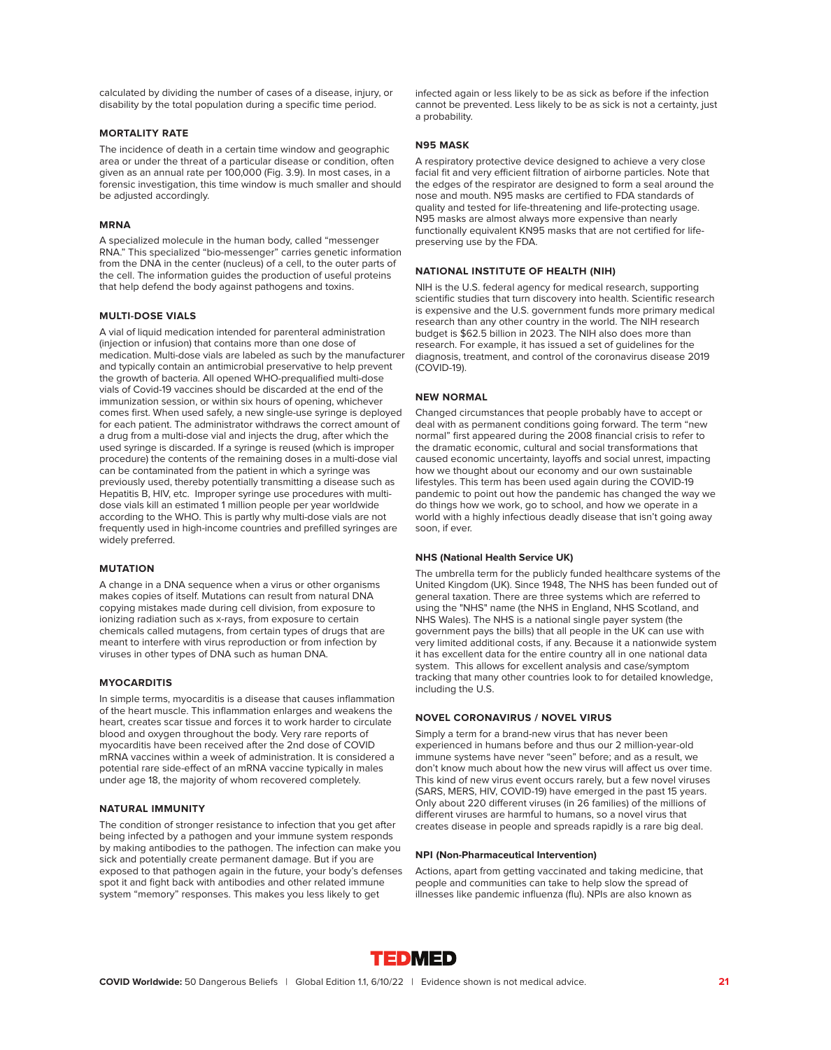calculated by dividing the number of cases of a disease, injury, or disability by the total population during a specific time period.

#### **MORTALITY RATE**

The incidence of death in a certain time window and geographic area or under the threat of a particular disease or condition, often given as an annual rate per 100,000 (Fig. 3.9). In most cases, in a forensic investigation, this time window is much smaller and should be adjusted accordingly.

#### **MRNA**

A specialized molecule in the human body, called "messenger RNA." This specialized "bio-messenger" carries genetic information from the DNA in the center (nucleus) of a cell, to the outer parts of the cell. The information guides the production of useful proteins that help defend the body against pathogens and toxins.

#### **MULTI-DOSE VIALS**

A vial of liquid medication intended for parenteral administration (injection or infusion) that contains more than one dose of medication. Multi-dose vials are labeled as such by the manufacturer and typically contain an antimicrobial preservative to help prevent the growth of bacteria. All opened WHO-prequalified multi-dose vials of Covid-19 vaccines should be discarded at the end of the immunization session, or within six hours of opening, whichever comes first. When used safely, a new single-use syringe is deployed for each patient. The administrator withdraws the correct amount of a drug from a multi-dose vial and injects the drug, after which the used syringe is discarded. If a syringe is reused (which is improper procedure) the contents of the remaining doses in a multi-dose vial can be contaminated from the patient in which a syringe was previously used, thereby potentially transmitting a disease such as Hepatitis B, HIV, etc. Improper syringe use procedures with multidose vials kill an estimated 1 million people per year worldwide according to the WHO. This is partly why multi-dose vials are not frequently used in high-income countries and prefilled syringes are widely preferred.

#### **MUTATION**

A change in a DNA sequence when a virus or other organisms makes copies of itself. Mutations can result from natural DNA copying mistakes made during cell division, from exposure to ionizing radiation such as x-rays, from exposure to certain chemicals called mutagens, from certain types of drugs that are meant to interfere with virus reproduction or from infection by viruses in other types of DNA such as human DNA.

#### **MYOCARDITIS**

In simple terms, myocarditis is a disease that causes inflammation of the heart muscle. This inflammation enlarges and weakens the heart, creates scar tissue and forces it to work harder to circulate blood and oxygen throughout the body. Very rare reports of myocarditis have been received after the 2nd dose of COVID mRNA vaccines within a week of administration. It is considered a potential rare side-effect of an mRNA vaccine typically in males under age 18, the majority of whom recovered completely.

#### **NATURAL IMMUNITY**

The condition of stronger resistance to infection that you get after being infected by a pathogen and your immune system responds by making antibodies to the pathogen. The infection can make you sick and potentially create permanent damage. But if you are exposed to that pathogen again in the future, your body's defenses spot it and fight back with antibodies and other related immune system "memory" responses. This makes you less likely to get

infected again or less likely to be as sick as before if the infection cannot be prevented. Less likely to be as sick is not a certainty, just a probability.

#### **N95 MASK**

A respiratory protective device designed to achieve a very close facial fit and very efficient filtration of airborne particles. Note that the edges of the respirator are designed to form a seal around the nose and mouth. N95 masks are certified to FDA standards of quality and tested for life-threatening and life-protecting usage. N95 masks are almost always more expensive than nearly functionally equivalent KN95 masks that are not certified for lifepreserving use by the FDA.

# **NATIONAL INSTITUTE OF HEALTH (NIH)**

NIH is the U.S. federal agency for medical research, supporting scientific studies that turn discovery into health. Scientific research is expensive and the U.S. government funds more primary medical research than any other country in the world. The NIH research budget is \$62.5 billion in 2023. The NIH also does more than research. For example, it has issued a set of guidelines for the diagnosis, treatment, and control of the coronavirus disease 2019 (COVID-19).

#### **NEW NORMAL**

Changed circumstances that people probably have to accept or deal with as permanent conditions going forward. The term "new normal" first appeared during the 2008 financial crisis to refer to the dramatic economic, cultural and social transformations that caused economic uncertainty, layoffs and social unrest, impacting how we thought about our economy and our own sustainable lifestyles. This term has been used again during the COVID-19 pandemic to point out how the pandemic has changed the way we do things how we work, go to school, and how we operate in a world with a highly infectious deadly disease that isn't going away soon, if ever.

#### **NHS (National Health Service UK)**

The umbrella term for the publicly funded healthcare systems of the United Kingdom (UK). Since 1948, The NHS has been funded out of general taxation. There are three systems which are referred to using the "NHS" name (the NHS in England, NHS Scotland, and NHS Wales). The NHS is a national single payer system (the government pays the bills) that all people in the UK can use with very limited additional costs, if any. Because it a nationwide system it has excellent data for the entire country all in one national data system. This allows for excellent analysis and case/symptom tracking that many other countries look to for detailed knowledge, including the U.S.

#### **NOVEL CORONAVIRUS / NOVEL VIRUS**

Simply a term for a brand-new virus that has never been experienced in humans before and thus our 2 million-year-old immune systems have never "seen" before; and as a result, we don't know much about how the new virus will affect us over time. This kind of new virus event occurs rarely, but a few novel viruses (SARS, MERS, HIV, COVID-19) have emerged in the past 15 years. Only about 220 different viruses (in 26 families) of the millions of different viruses are harmful to humans, so a novel virus that creates disease in people and spreads rapidly is a rare big deal.

#### **NPI (Non-Pharmaceutical Intervention)**

Actions, apart from getting vaccinated and taking medicine, that people and communities can take to help slow the spread of illnesses like pandemic influenza (flu). NPIs are also known as

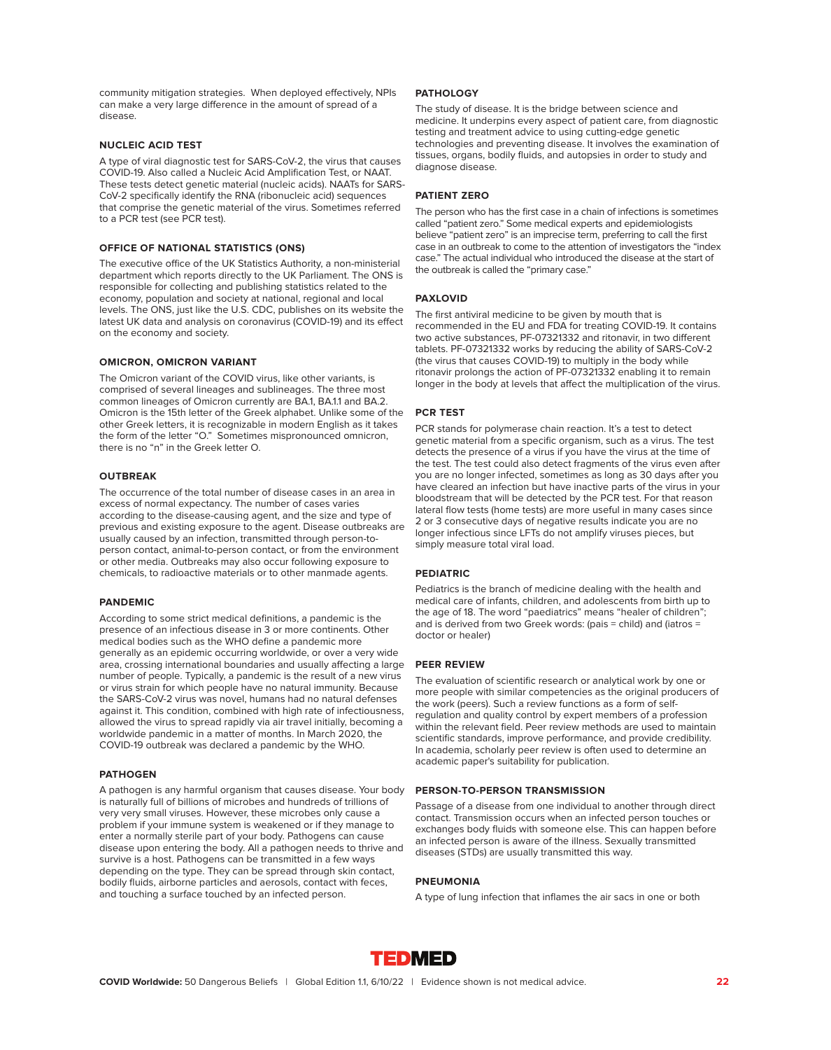community mitigation strategies. When deployed effectively, NPIs can make a very large difference in the amount of spread of a disease.

#### **NUCLEIC ACID TEST**

A type of viral diagnostic test for SARS-CoV-2, the virus that causes COVID-19. Also called a Nucleic Acid Amplification Test, or NAAT. These tests detect genetic material (nucleic acids). NAATs for SARS-CoV-2 specifically identify the RNA (ribonucleic acid) sequences that comprise the genetic material of the virus. Sometimes referred to a PCR test (see PCR test).

#### **OFFICE OF NATIONAL STATISTICS (ONS)**

The executive office of the UK Statistics Authority, a non-ministerial department which reports directly to the UK Parliament. The ONS is responsible for collecting and publishing statistics related to the economy, population and society at national, regional and local levels. The ONS, just like the U.S. CDC, publishes on its website the latest UK data and analysis on coronavirus (COVID-19) and its effect on the economy and society.

#### **OMICRON, OMICRON VARIANT**

The Omicron variant of the COVID virus, like other variants, is comprised of several lineages and sublineages. The three most common lineages of Omicron currently are BA.1, BA.1.1 and BA.2. Omicron is the 15th letter of the Greek alphabet. Unlike some of the other Greek letters, it is recognizable in modern English as it takes the form of the letter "O." Sometimes mispronounced omnicron, there is no "n" in the Greek letter O.

#### **OUTBREAK**

The occurrence of the total number of disease cases in an area in excess of normal expectancy. The number of cases varies according to the disease-causing agent, and the size and type of previous and existing exposure to the agent. Disease outbreaks are usually caused by an infection, transmitted through person-toperson contact, animal-to-person contact, or from the environment or other media. Outbreaks may also occur following exposure to chemicals, to radioactive materials or to other manmade agents.

#### **PANDEMIC**

According to some strict medical definitions, a pandemic is the presence of an infectious disease in 3 or more continents. Other medical bodies such as the WHO define a pandemic more generally as an epidemic occurring worldwide, or over a very wide area, crossing international boundaries and usually affecting a large number of people. Typically, a pandemic is the result of a new virus or virus strain for which people have no natural immunity. Because the SARS-CoV-2 virus was novel, humans had no natural defenses against it. This condition, combined with high rate of infectiousness, allowed the virus to spread rapidly via air travel initially, becoming a worldwide pandemic in a matter of months. In March 2020, the COVID-19 outbreak was declared a pandemic by the WHO.

#### **PATHOGEN**

A pathogen is any harmful organism that causes disease. Your body is naturally full of billions of microbes and hundreds of trillions of very very small viruses. However, these microbes only cause a problem if your immune system is weakened or if they manage to enter a normally sterile part of your body. Pathogens can cause disease upon entering the body. All a pathogen needs to thrive and survive is a host. Pathogens can be transmitted in a few ways depending on the type. They can be spread through skin contact, bodily fluids, airborne particles and aerosols, contact with feces, and touching a surface touched by an infected person.

#### **PATHOLOGY**

The study of disease. It is the bridge between science and medicine. It underpins every aspect of patient care, from diagnostic testing and treatment advice to using cutting-edge genetic technologies and preventing disease. It involves the examination of tissues, organs, bodily fluids, and autopsies in order to study and diagnose disease.

#### **PATIENT ZERO**

The person who has the first case in a chain of infections is sometimes called "patient zero." Some medical experts and epidemiologists believe "patient zero" is an imprecise term, preferring to call the first case in an outbreak to come to the attention of investigators the "index case." The actual individual who introduced the disease at the start of the outbreak is called the "primary case."

#### **PAXLOVID**

The first antiviral medicine to be given by mouth that is recommended in the EU and FDA for treating COVID-19. It contains two active substances, PF-07321332 and ritonavir, in two different tablets. PF-07321332 works by reducing the ability of SARS-CoV-2 (the virus that causes COVID-19) to multiply in the body while ritonavir prolongs the action of PF-07321332 enabling it to remain longer in the body at levels that affect the multiplication of the virus.

#### **PCR TEST**

PCR stands for polymerase chain reaction. It's a test to detect genetic material from a specific organism, such as a virus. The test detects the presence of a virus if you have the virus at the time of the test. The test could also detect fragments of the virus even after you are no longer infected, sometimes as long as 30 days after you have cleared an infection but have inactive parts of the virus in your bloodstream that will be detected by the PCR test. For that reason lateral flow tests (home tests) are more useful in many cases since 2 or 3 consecutive days of negative results indicate you are no longer infectious since LFTs do not amplify viruses pieces, but simply measure total viral load.

#### **PEDIATRIC**

Pediatrics is the branch of medicine dealing with the health and medical care of infants, children, and adolescents from birth up to the age of 18. The word "paediatrics" means "healer of children"; and is derived from two Greek words: (pais = child) and (iatros = doctor or healer)

#### **PEER REVIEW**

The evaluation of scientific research or analytical work by one or more people with similar competencies as the original producers of the work (peers). Such a review functions as a form of selfregulation and quality control by expert members of a profession within the relevant field. Peer review methods are used to maintain scientific standards, improve performance, and provide credibility. In academia, scholarly peer review is often used to determine an academic paper's suitability for publication.

#### **PERSON-TO-PERSON TRANSMISSION**

Passage of a disease from one individual to another through direct contact. Transmission occurs when an infected person touches or exchanges body fluids with someone else. This can happen before an infected person is aware of the illness. Sexually transmitted diseases (STDs) are usually transmitted this way.

#### **PNEUMONIA**

A type of lung infection that inflames the air sacs in one or both

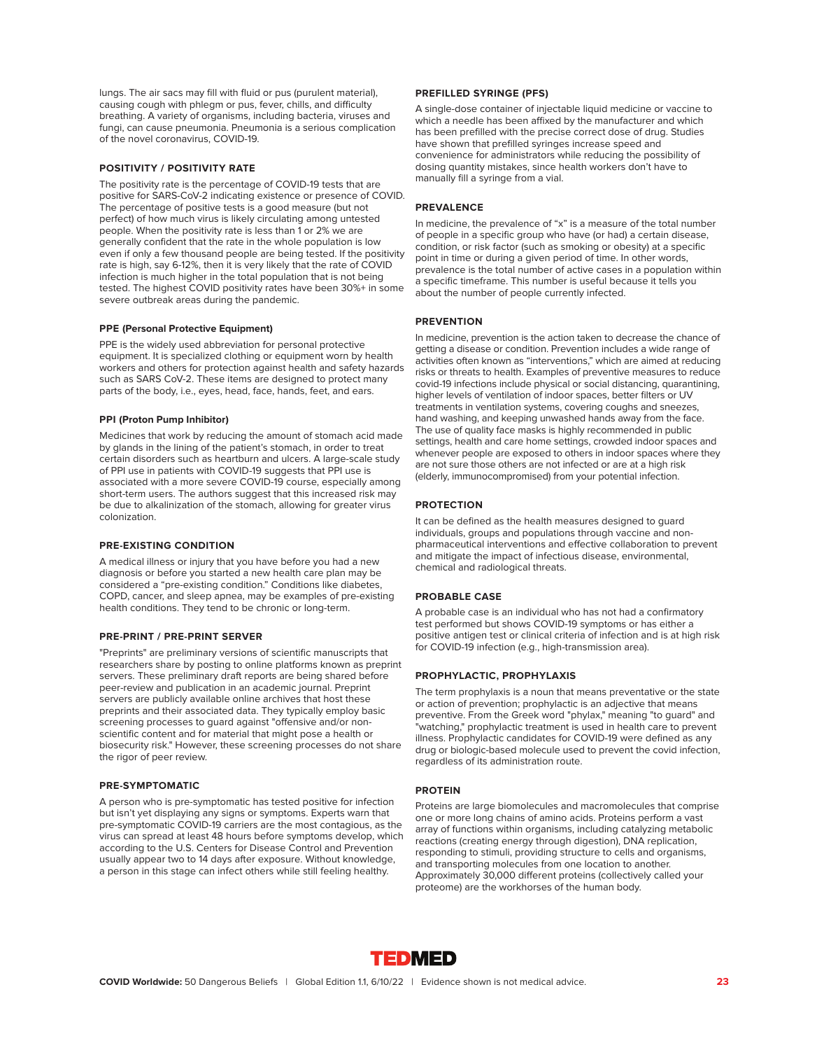lungs. The air sacs may fill with fluid or pus (purulent material), causing cough with phlegm or pus, fever, chills, and difficulty breathing. A variety of organisms, including bacteria, viruses and fungi, can cause pneumonia. Pneumonia is a serious complication of the novel coronavirus, COVID-19.

#### **POSITIVITY / POSITIVITY RATE**

The positivity rate is the percentage of COVID-19 tests that are positive for SARS-CoV-2 indicating existence or presence of COVID. The percentage of positive tests is a good measure (but not perfect) of how much virus is likely circulating among untested people. When the positivity rate is less than 1 or 2% we are generally confident that the rate in the whole population is low even if only a few thousand people are being tested. If the positivity rate is high, say 6-12%, then it is very likely that the rate of COVID infection is much higher in the total population that is not being tested. The highest COVID positivity rates have been 30%+ in some severe outbreak areas during the pandemic.

#### **PPE (Personal Protective Equipment)**

PPE is the widely used abbreviation for personal protective equipment. It is specialized clothing or equipment worn by health workers and others for protection against health and safety hazards such as SARS CoV-2. These items are designed to protect many parts of the body, i.e., eyes, head, face, hands, feet, and ears.

#### **PPI (Proton Pump Inhibitor)**

Medicines that work by reducing the amount of stomach acid made by glands in the lining of the patient's stomach, in order to treat certain disorders such as heartburn and ulcers. A large-scale study of PPI use in patients with COVID-19 suggests that PPI use is associated with a more severe COVID-19 course, especially among short-term users. The authors suggest that this increased risk may be due to alkalinization of the stomach, allowing for greater virus colonization.

#### **PRE-EXISTING CONDITION**

A medical illness or injury that you have before you had a new diagnosis or before you started a new health care plan may be considered a "pre-existing condition." Conditions like diabetes, COPD, cancer, and sleep apnea, may be examples of pre-existing health conditions. They tend to be chronic or long-term.

#### **PRE-PRINT / PRE-PRINT SERVER**

"Preprints" are preliminary versions of scientific manuscripts that researchers share by posting to online platforms known as preprint servers. These preliminary draft reports are being shared before peer-review and publication in an academic journal. Preprint servers are publicly available online archives that host these preprints and their associated data. They typically employ basic screening processes to guard against "offensive and/or nonscientific content and for material that might pose a health or biosecurity risk." However, these screening processes do not share the rigor of peer review.

#### **PRE-SYMPTOMATIC**

A person who is pre-symptomatic has tested positive for infection but isn't yet displaying any signs or symptoms. Experts warn that pre-symptomatic COVID-19 carriers are the most contagious, as the virus can spread at least 48 hours before symptoms develop, which according to the U.S. Centers for Disease Control and Prevention usually appear two to 14 days after exposure. Without knowledge, a person in this stage can infect others while still feeling healthy.

#### **PREFILLED SYRINGE (PFS)**

A single-dose container of injectable liquid medicine or vaccine to which a needle has been affixed by the manufacturer and which has been prefilled with the precise correct dose of drug. Studies have shown that prefilled syringes increase speed and convenience for administrators while reducing the possibility of dosing quantity mistakes, since health workers don't have to manually fill a syringe from a vial.

#### **PREVALENCE**

In medicine, the prevalence of "x" is a measure of the total number of people in a specific group who have (or had) a certain disease, condition, or risk factor (such as smoking or obesity) at a specific point in time or during a given period of time. In other words, prevalence is the total number of active cases in a population within a specific timeframe. This number is useful because it tells you about the number of people currently infected.

#### **PREVENTION**

In medicine, prevention is the action taken to decrease the chance of getting a disease or condition. Prevention includes a wide range of activities often known as "interventions," which are aimed at reducing risks or threats to health. Examples of preventive measures to reduce covid-19 infections include physical or social distancing, quarantining, higher levels of ventilation of indoor spaces, better filters or UV treatments in ventilation systems, covering coughs and sneezes, hand washing, and keeping unwashed hands away from the face. The use of quality face masks is highly recommended in public settings, health and care home settings, crowded indoor spaces and whenever people are exposed to others in indoor spaces where they are not sure those others are not infected or are at a high risk (elderly, immunocompromised) from your potential infection.

#### **PROTECTION**

It can be defined as the health measures designed to guard individuals, groups and populations through vaccine and nonpharmaceutical interventions and effective collaboration to prevent and mitigate the impact of infectious disease, environmental, chemical and radiological threats.

#### **PROBABLE CASE**

A probable case is an individual who has not had a confirmatory test performed but shows COVID-19 symptoms or has either a positive antigen test or clinical criteria of infection and is at high risk for COVID-19 infection (e.g., high-transmission area).

#### **PROPHYLACTIC, PROPHYLAXIS**

The term prophylaxis is a noun that means preventative or the state or action of prevention; prophylactic is an adjective that means preventive. From the Greek word "phylax," meaning "to guard" and "watching," prophylactic treatment is used in health care to prevent illness. Prophylactic candidates for COVID-19 were defined as any drug or biologic-based molecule used to prevent the covid infection, regardless of its administration route.

#### **PROTEIN**

Proteins are large biomolecules and macromolecules that comprise one or more long chains of amino acids. Proteins perform a vast array of functions within organisms, including catalyzing metabolic reactions (creating energy through digestion), DNA replication, responding to stimuli, providing structure to cells and organisms, and transporting molecules from one location to another. Approximately 30,000 different proteins (collectively called your proteome) are the workhorses of the human body.

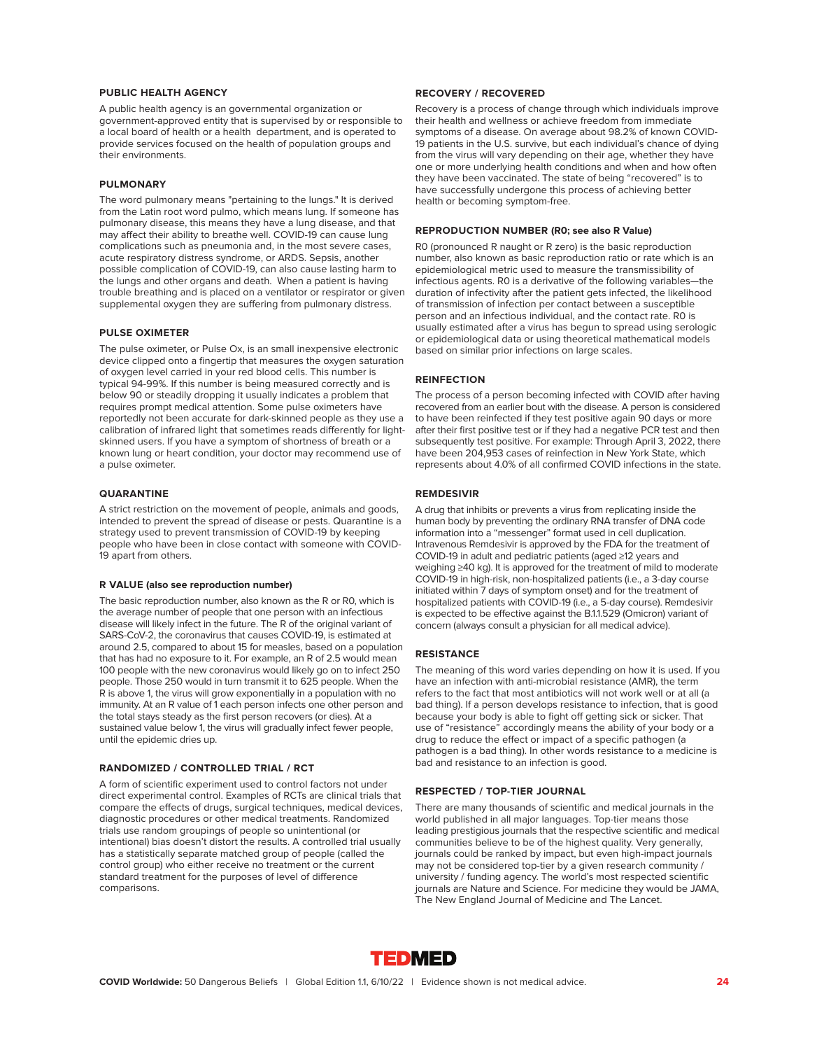#### **PUBLIC HEALTH AGENCY**

A public health agency is an governmental organization or government-approved entity that is supervised by or responsible to a local board of health or a health department, and is operated to provide services focused on the health of population groups and their environments.

#### **PULMONARY**

The word pulmonary means "pertaining to the lungs." It is derived from the Latin root word pulmo, which means lung. If someone has pulmonary disease, this means they have a lung disease, and that may affect their ability to breathe well. COVID-19 can cause lung complications such as pneumonia and, in the most severe cases, acute respiratory distress syndrome, or ARDS. Sepsis, another possible complication of COVID-19, can also cause lasting harm to the lungs and other organs and death. When a patient is having trouble breathing and is placed on a ventilator or respirator or given supplemental oxygen they are suffering from pulmonary distress.

#### **PULSE OXIMETER**

The pulse oximeter, or Pulse Ox, is an small inexpensive electronic device clipped onto a fingertip that measures the oxygen saturation of oxygen level carried in your red blood cells. This number is typical 94-99%. If this number is being measured correctly and is below 90 or steadily dropping it usually indicates a problem that requires prompt medical attention. Some pulse oximeters have reportedly not been accurate for dark-skinned people as they use a calibration of infrared light that sometimes reads differently for lightskinned users. If you have a symptom of shortness of breath or a known lung or heart condition, your doctor may recommend use of a pulse oximeter.

#### **QUARANTINE**

A strict restriction on the movement of people, animals and goods, intended to prevent the spread of disease or pests. Quarantine is a strategy used to prevent transmission of COVID-19 by keeping people who have been in close contact with someone with COVID-19 apart from others.

#### **R VALUE (also see reproduction number)**

The basic reproduction number, also known as the R or R0, which is the average number of people that one person with an infectious disease will likely infect in the future. The R of the original variant of SARS-CoV-2, the coronavirus that causes COVID-19, is estimated at around 2.5, compared to about 15 for measles, based on a population that has had no exposure to it. For example, an R of 2.5 would mean 100 people with the new coronavirus would likely go on to infect 250 people. Those 250 would in turn transmit it to 625 people. When the R is above 1, the virus will grow exponentially in a population with no immunity. At an R value of 1 each person infects one other person and the total stays steady as the first person recovers (or dies). At a sustained value below 1, the virus will gradually infect fewer people, until the epidemic dries up.

#### **RANDOMIZED / CONTROLLED TRIAL / RCT**

A form of scientific experiment used to control factors not under direct experimental control. Examples of RCTs are clinical trials that compare the effects of drugs, surgical techniques, medical devices, diagnostic procedures or other medical treatments. Randomized trials use random groupings of people so unintentional (or intentional) bias doesn't distort the results. A controlled trial usually has a statistically separate matched group of people (called the control group) who either receive no treatment or the current standard treatment for the purposes of level of difference comparisons.

#### **RECOVERY / RECOVERED**

Recovery is a process of change through which individuals improve their health and wellness or achieve freedom from immediate symptoms of a disease. On average about 98.2% of known COVID-19 patients in the U.S. survive, but each individual's chance of dying from the virus will vary depending on their age, whether they have one or more underlying health conditions and when and how often they have been vaccinated. The state of being "recovered" is to have successfully undergone this process of achieving better health or becoming symptom-free.

#### **REPRODUCTION NUMBER (R0; see also R Value)**

R0 (pronounced R naught or R zero) is the basic reproduction number, also known as basic reproduction ratio or rate which is an epidemiological metric used to measure the transmissibility of infectious agents. R0 is a derivative of the following variables—the duration of infectivity after the patient gets infected, the likelihood of transmission of infection per contact between a susceptible person and an infectious individual, and the contact rate. R0 is usually estimated after a virus has begun to spread using serologic or epidemiological data or using theoretical mathematical models based on similar prior infections on large scales.

### **REINFECTION**

The process of a person becoming infected with COVID after having recovered from an earlier bout with the disease. A person is considered to have been reinfected if they test positive again 90 days or more after their first positive test or if they had a negative PCR test and then subsequently test positive. For example: Through April 3, 2022, there have been 204,953 cases of reinfection in New York State, which represents about 4.0% of all confirmed COVID infections in the state.

#### **REMDESIVIR**

A drug that inhibits or prevents a virus from replicating inside the human body by preventing the ordinary RNA transfer of DNA code information into a "messenger" format used in cell duplication. Intravenous Remdesivir is approved by the FDA for the treatment of COVID-19 in adult and pediatric patients (aged ≥12 years and weighing ≥40 kg). It is approved for the treatment of mild to moderate COVID-19 in high-risk, non-hospitalized patients (i.e., a 3-day course initiated within 7 days of symptom onset) and for the treatment of hospitalized patients with COVID-19 (i.e., a 5-day course). Remdesivir is expected to be effective against the B.1.1.529 (Omicron) variant of concern (always consult a physician for all medical advice).

#### **RESISTANCE**

The meaning of this word varies depending on how it is used. If you have an infection with anti-microbial resistance (AMR), the term refers to the fact that most antibiotics will not work well or at all (a bad thing). If a person develops resistance to infection, that is good because your body is able to fight off getting sick or sicker. That use of "resistance" accordingly means the ability of your body or a drug to reduce the effect or impact of a specific pathogen (a pathogen is a bad thing). In other words resistance to a medicine is bad and resistance to an infection is good.

#### **RESPECTED / TOP-TIER JOURNAL**

There are many thousands of scientific and medical journals in the world published in all major languages. Top-tier means those leading prestigious journals that the respective scientific and medical communities believe to be of the highest quality. Very generally, journals could be ranked by impact, but even high-impact journals may not be considered top-tier by a given research community / university / funding agency. The world's most respected scientific journals are Nature and Science. For medicine they would be JAMA, The New England Journal of Medicine and The Lancet.

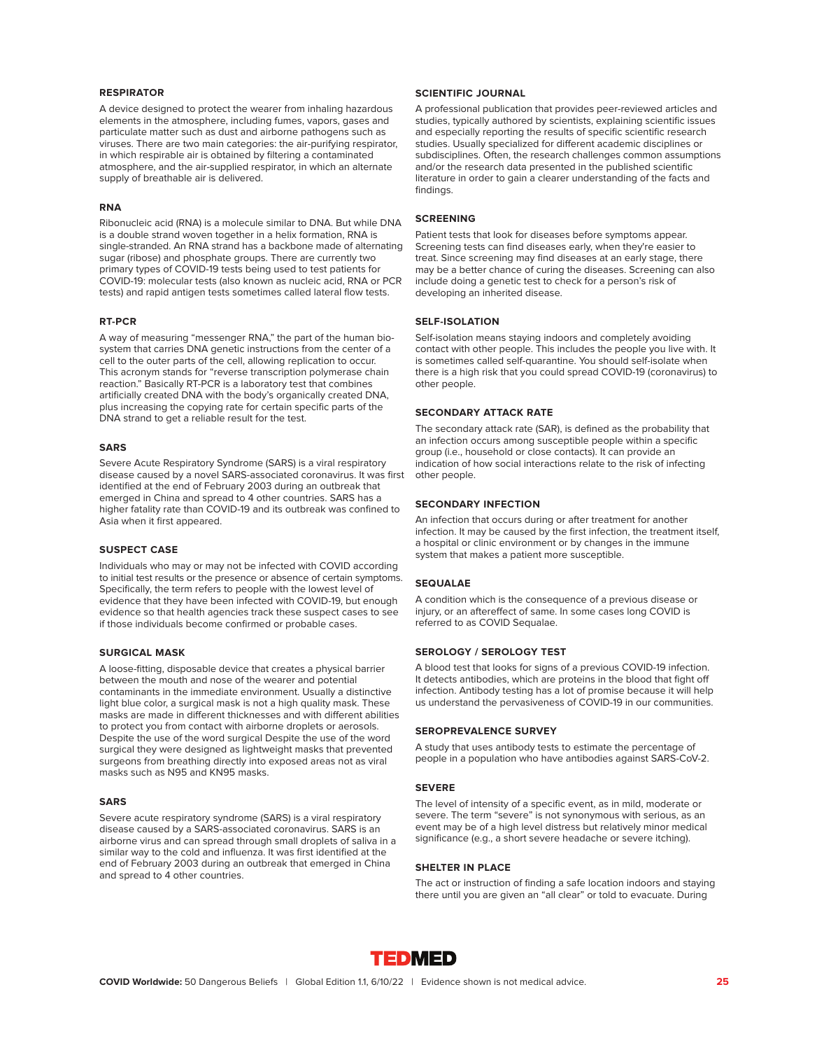#### **RESPIRATOR**

A device designed to protect the wearer from inhaling hazardous elements in the atmosphere, including fumes, vapors, gases and particulate matter such as dust and airborne pathogens such as viruses. There are two main categories: the air-purifying respirator, in which respirable air is obtained by filtering a contaminated atmosphere, and the air-supplied respirator, in which an alternate supply of breathable air is delivered.

#### **RNA**

Ribonucleic acid (RNA) is a molecule similar to DNA. But while DNA is a double strand woven together in a helix formation, RNA is single-stranded. An RNA strand has a backbone made of alternating sugar (ribose) and phosphate groups. There are currently two primary types of COVID-19 tests being used to test patients for COVID-19: molecular tests (also known as nucleic acid, RNA or PCR tests) and rapid antigen tests sometimes called lateral flow tests.

#### **RT-PCR**

A way of measuring "messenger RNA," the part of the human biosystem that carries DNA genetic instructions from the center of a cell to the outer parts of the cell, allowing replication to occur. This acronym stands for "reverse transcription polymerase chain reaction." Basically RT-PCR is a laboratory test that combines artificially created DNA with the body's organically created DNA, plus increasing the copying rate for certain specific parts of the DNA strand to get a reliable result for the test.

#### **SARS**

Severe Acute Respiratory Syndrome (SARS) is a viral respiratory disease caused by a novel SARS-associated coronavirus. It was first identified at the end of February 2003 during an outbreak that emerged in China and spread to 4 other countries. SARS has a higher fatality rate than COVID-19 and its outbreak was confined to Asia when it first appeared.

#### **SUSPECT CASE**

Individuals who may or may not be infected with COVID according to initial test results or the presence or absence of certain symptoms. Specifically, the term refers to people with the lowest level of evidence that they have been infected with COVID-19, but enough evidence so that health agencies track these suspect cases to see if those individuals become confirmed or probable cases.

#### **SURGICAL MASK**

A loose-fitting, disposable device that creates a physical barrier between the mouth and nose of the wearer and potential contaminants in the immediate environment. Usually a distinctive light blue color, a surgical mask is not a high quality mask. These masks are made in different thicknesses and with different abilities to protect you from contact with airborne droplets or aerosols. Despite the use of the word surgical Despite the use of the word surgical they were designed as lightweight masks that prevented surgeons from breathing directly into exposed areas not as viral masks such as N95 and KN95 masks.

#### **SARS**

Severe acute respiratory syndrome (SARS) is a viral respiratory disease caused by a SARS-associated coronavirus. SARS is an airborne virus and can spread through small droplets of saliva in a similar way to the cold and influenza. It was first identified at the end of February 2003 during an outbreak that emerged in China and spread to 4 other countries.

#### **SCIENTIFIC JOURNAL**

A professional publication that provides peer-reviewed articles and studies, typically authored by scientists, explaining scientific issues and especially reporting the results of specific scientific research studies. Usually specialized for different academic disciplines or subdisciplines. Often, the research challenges common assumptions and/or the research data presented in the published scientific literature in order to gain a clearer understanding of the facts and findings.

# **SCREENING**

Patient tests that look for diseases before symptoms appear. Screening tests can find diseases early, when they're easier to treat. Since screening may find diseases at an early stage, there may be a better chance of curing the diseases. Screening can also include doing a genetic test to check for a person's risk of developing an inherited disease.

### **SELF-ISOLATION**

Self-isolation means staying indoors and completely avoiding contact with other people. This includes the people you live with. It is sometimes called self-quarantine. You should self-isolate when there is a high risk that you could spread COVID-19 (coronavirus) to other people.

#### **SECONDARY ATTACK RATE**

The secondary attack rate (SAR), is defined as the probability that an infection occurs among susceptible people within a specific group (i.e., household or close contacts). It can provide an indication of how social interactions relate to the risk of infecting other people.

#### **SECONDARY INFECTION**

An infection that occurs during or after treatment for another infection. It may be caused by the first infection, the treatment itself, a hospital or clinic environment or by changes in the immune system that makes a patient more susceptible.

#### **SEQUALAE**

A condition which is the consequence of a previous disease or injury, or an aftereffect of same. In some cases long COVID is referred to as COVID Sequalae.

#### **SEROLOGY / SEROLOGY TEST**

A blood test that looks for signs of a previous COVID-19 infection. It detects antibodies, which are proteins in the blood that fight off infection. Antibody testing has a lot of promise because it will help us understand the pervasiveness of COVID-19 in our communities.

#### **SEROPREVALENCE SURVEY**

A study that uses antibody tests to estimate the percentage of people in a population who have antibodies against SARS-CoV-2.

# **SEVERE**

The level of intensity of a specific event, as in mild, moderate or severe. The term "severe" is not synonymous with serious, as an event may be of a high level distress but relatively minor medical significance (e.g., a short severe headache or severe itching).

#### **SHELTER IN PLACE**

The act or instruction of finding a safe location indoors and staying there until you are given an "all clear" or told to evacuate. During

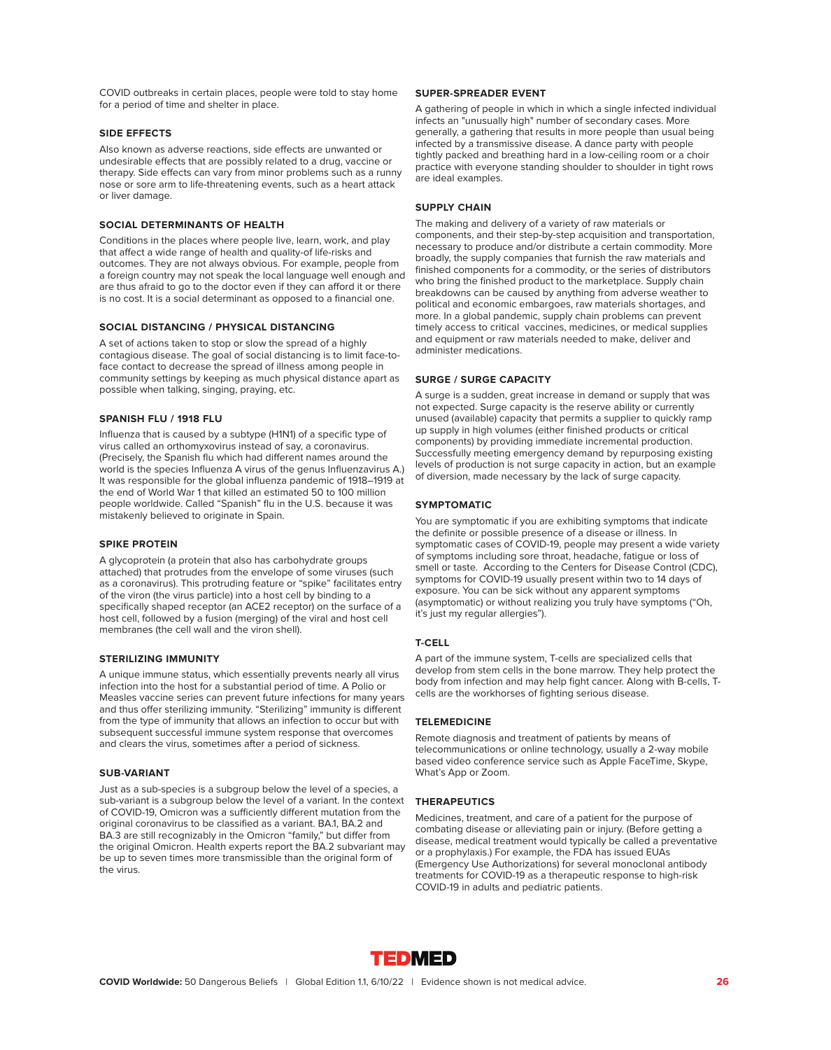COVID outbreaks in certain places, people were told to stay home for a period of time and shelter in place.

#### **SIDE EFFECTS**

Also known as adverse reactions, side effects are unwanted or undesirable effects that are possibly related to a drug, vaccine or therapy. Side effects can vary from minor problems such as a runny nose or sore arm to life-threatening events, such as a heart attack or liver damage.

#### **SOCIAL DETERMINANTS OF HEALTH**

Conditions in the places where people live, learn, work, and play that affect a wide range of health and quality-of life-risks and outcomes. They are not always obvious. For example, people from a foreign country may not speak the local language well enough and are thus afraid to go to the doctor even if they can afford it or there is no cost. It is a social determinant as opposed to a financial one.

#### **SOCIAL DISTANCING / PHYSICAL DISTANCING**

A set of actions taken to stop or slow the spread of a highly contagious disease. The goal of social distancing is to limit face-toface contact to decrease the spread of illness among people in community settings by keeping as much physical distance apart as possible when talking, singing, praying, etc.

# **SPANISH FLU / 1918 FLU**

Influenza that is caused by a subtype (H1N1) of a specific type of virus called an orthomyxovirus instead of say, a coronavirus. (Precisely, the Spanish flu which had different names around the world is the species Influenza A virus of the genus Influenzavirus A.) It was responsible for the global influenza pandemic of 1918–1919 at the end of World War 1 that killed an estimated 50 to 100 million people worldwide. Called "Spanish" flu in the U.S. because it was mistakenly believed to originate in Spain.

# **SPIKE PROTEIN**

A glycoprotein (a protein that also has carbohydrate groups attached) that protrudes from the envelope of some viruses (such as a coronavirus). This protruding feature or "spike" facilitates entry of the viron (the virus particle) into a host cell by binding to a specifically shaped receptor (an ACE2 receptor) on the surface of a host cell, followed by a fusion (merging) of the viral and host cell membranes (the cell wall and the viron shell).

#### **STERILIZING IMMUNITY**

A unique immune status, which essentially prevents nearly all virus infection into the host for a substantial period of time. A Polio or Measles vaccine series can prevent future infections for many years and thus offer sterilizing immunity. "Sterilizing" immunity is different from the type of immunity that allows an infection to occur but with subsequent successful immune system response that overcomes and clears the virus, sometimes after a period of sickness.

#### **SUB-VARIANT**

Just as a sub-species is a subgroup below the level of a species, a sub-variant is a subgroup below the level of a variant. In the context of COVID-19, Omicron was a sufficiently different mutation from the original coronavirus to be classified as a variant. BA.1, BA.2 and BA.3 are still recognizably in the Omicron "family," but differ from the original Omicron. Health experts report the BA.2 subvariant may be up to seven times more transmissible than the original form of the virus.

#### **SUPER-SPREADER EVENT**

A gathering of people in which in which a single infected individual infects an "unusually high" number of secondary cases. More generally, a gathering that results in more people than usual being infected by a transmissive disease. A dance party with people tightly packed and breathing hard in a low-ceiling room or a choir practice with everyone standing shoulder to shoulder in tight rows are ideal examples.

# **SUPPLY CHAIN**

The making and delivery of a variety of raw materials or components, and their step-by-step acquisition and transportation, necessary to produce and/or distribute a certain commodity. More broadly, the supply companies that furnish the raw materials and finished components for a commodity, or the series of distributors who bring the finished product to the marketplace. Supply chain breakdowns can be caused by anything from adverse weather to political and economic embargoes, raw materials shortages, and more. In a global pandemic, supply chain problems can prevent timely access to critical vaccines, medicines, or medical supplies and equipment or raw materials needed to make, deliver and administer medications.

### **SURGE / SURGE CAPACITY**

A surge is a sudden, great increase in demand or supply that was not expected. Surge capacity is the reserve ability or currently unused (available) capacity that permits a supplier to quickly ramp up supply in high volumes (either finished products or critical components) by providing immediate incremental production. Successfully meeting emergency demand by repurposing existing levels of production is not surge capacity in action, but an example of diversion, made necessary by the lack of surge capacity.

#### **SYMPTOMATIC**

You are symptomatic if you are exhibiting symptoms that indicate the definite or possible presence of a disease or illness. In symptomatic cases of COVID-19, people may present a wide variety of symptoms including sore throat, headache, fatigue or loss of smell or taste. According to the Centers for Disease Control (CDC), symptoms for COVID-19 usually present within two to 14 days of exposure. You can be sick without any apparent symptoms (asymptomatic) or without realizing you truly have symptoms ("Oh, it's just my regular allergies").

### **T-CELL**

A part of the immune system, T-cells are specialized cells that develop from stem cells in the bone marrow. They help protect the body from infection and may help fight cancer. Along with B-cells, Tcells are the workhorses of fighting serious disease.

#### **TELEMEDICINE**

Remote diagnosis and treatment of patients by means of telecommunications or online technology, usually a 2-way mobile based video conference service such as Apple FaceTime, Skype, What's App or Zoom.

#### **THERAPEUTICS**

Medicines, treatment, and care of a patient for the purpose of combating disease or alleviating pain or injury. (Before getting a disease, medical treatment would typically be called a preventative or a prophylaxis.) For example, the FDA has issued EUAs (Emergency Use Authorizations) for several monoclonal antibody treatments for COVID-19 as a therapeutic response to high-risk COVID-19 in adults and pediatric patients.

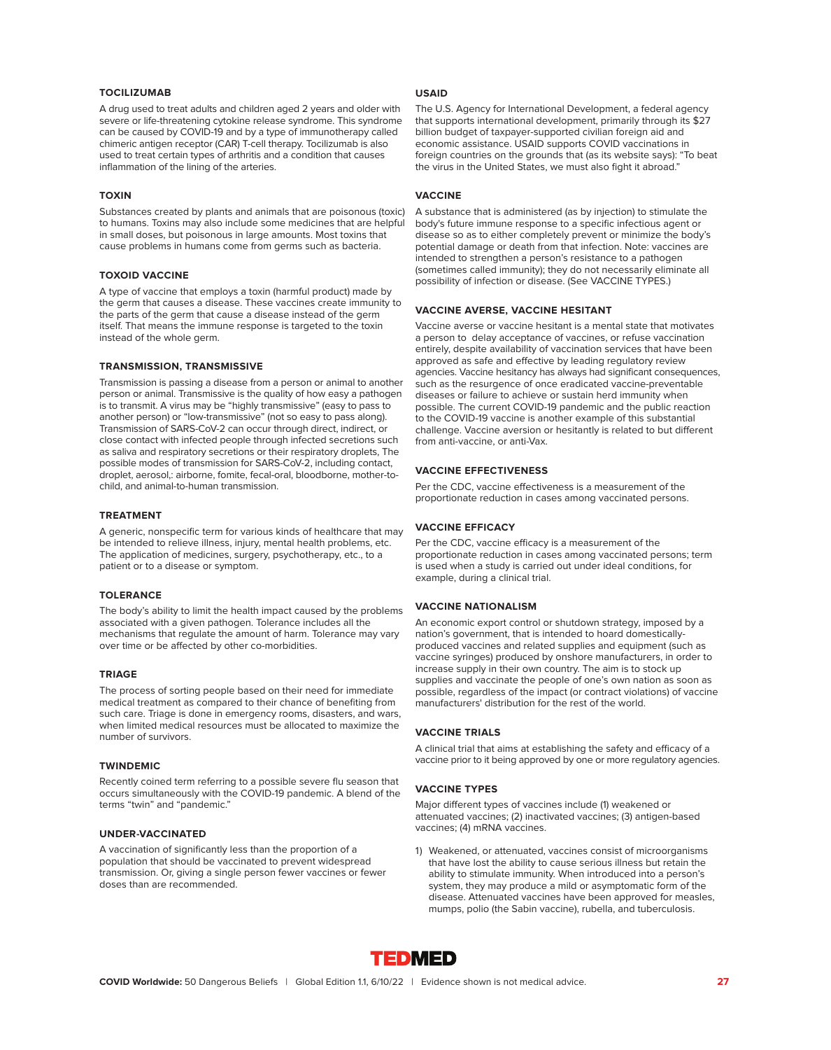# **TOCILIZUMAB**

A drug used to treat adults and children aged 2 years and older with severe or life-threatening cytokine release syndrome. This syndrome can be caused by COVID-19 and by a type of immunotherapy called chimeric antigen receptor (CAR) T-cell therapy. Tocilizumab is also used to treat certain types of arthritis and a condition that causes inflammation of the lining of the arteries.

#### **TOXIN**

Substances created by plants and animals that are poisonous (toxic) to humans. Toxins may also include some medicines that are helpful in small doses, but poisonous in large amounts. Most toxins that cause problems in humans come from germs such as bacteria.

#### **TOXOID VACCINE**

A type of vaccine that employs a toxin (harmful product) made by the germ that causes a disease. These vaccines create immunity to the parts of the germ that cause a disease instead of the germ itself. That means the immune response is targeted to the toxin instead of the whole germ.

#### **TRANSMISSION, TRANSMISSIVE**

Transmission is passing a disease from a person or animal to another person or animal. Transmissive is the quality of how easy a pathogen is to transmit. A virus may be "highly transmissive" (easy to pass to another person) or "low-transmissive" (not so easy to pass along). Transmission of SARS-CoV-2 can occur through direct, indirect, or close contact with infected people through infected secretions such as saliva and respiratory secretions or their respiratory droplets, The possible modes of transmission for SARS-CoV-2, including contact, droplet, aerosol,: airborne, fomite, fecal-oral, bloodborne, mother-tochild, and animal-to-human transmission.

#### **TREATMENT**

A generic, nonspecific term for various kinds of healthcare that may be intended to relieve illness, injury, mental health problems, etc. The application of medicines, surgery, psychotherapy, etc., to a patient or to a disease or symptom.

#### **TOLERANCE**

The body's ability to limit the health impact caused by the problems associated with a given pathogen. Tolerance includes all the mechanisms that regulate the amount of harm. Tolerance may vary over time or be affected by other co-morbidities.

#### **TRIAGE**

The process of sorting people based on their need for immediate medical treatment as compared to their chance of benefiting from such care. Triage is done in emergency rooms, disasters, and wars, when limited medical resources must be allocated to maximize the number of survivors.

#### **TWINDEMIC**

Recently coined term referring to a possible severe flu season that occurs simultaneously with the COVID-19 pandemic. A blend of the terms "twin" and "pandemic."

### **UNDER-VACCINATED**

A vaccination of significantly less than the proportion of a population that should be vaccinated to prevent widespread transmission. Or, giving a single person fewer vaccines or fewer doses than are recommended.

### **USAID**

The U.S. Agency for International Development, a federal agency that supports international development, primarily through its \$27 billion budget of taxpayer-supported civilian foreign aid and economic assistance. USAID supports COVID vaccinations in foreign countries on the grounds that (as its website says): "To beat the virus in the United States, we must also fight it abroad."

#### **VACCINE**

A substance that is administered (as by injection) to stimulate the body's future immune response to a specific infectious agent or disease so as to either completely prevent or minimize the body's potential damage or death from that infection. Note: vaccines are intended to strengthen a person's resistance to a pathogen (sometimes called immunity); they do not necessarily eliminate all possibility of infection or disease. (See VACCINE TYPES.)

#### **VACCINE AVERSE, VACCINE HESITANT**

Vaccine averse or vaccine hesitant is a mental state that motivates a person to delay acceptance of vaccines, or refuse vaccination entirely, despite availability of vaccination services that have been approved as safe and effective by leading regulatory review agencies. Vaccine hesitancy has always had significant consequences, such as the resurgence of once eradicated vaccine-preventable diseases or failure to achieve or sustain herd immunity when possible. The current COVID-19 pandemic and the public reaction to the COVID-19 vaccine is another example of this substantial challenge. Vaccine aversion or hesitantly is related to but different from anti-vaccine, or anti-Vax.

#### **VACCINE EFFECTIVENESS**

Per the CDC, vaccine effectiveness is a measurement of the proportionate reduction in cases among vaccinated persons.

### **VACCINE EFFICACY**

Per the CDC, vaccine efficacy is a measurement of the proportionate reduction in cases among vaccinated persons; term is used when a study is carried out under ideal conditions, for example, during a clinical trial.

#### **VACCINE NATIONALISM**

An economic export control or shutdown strategy, imposed by a nation's government, that is intended to hoard domesticallyproduced vaccines and related supplies and equipment (such as vaccine syringes) produced by onshore manufacturers, in order to increase supply in their own country. The aim is to stock up supplies and vaccinate the people of one's own nation as soon as possible, regardless of the impact (or contract violations) of vaccine manufacturers' distribution for the rest of the world.

### **VACCINE TRIALS**

A clinical trial that aims at establishing the safety and efficacy of a vaccine prior to it being approved by one or more regulatory agencies.

#### **VACCINE TYPES**

Major different types of vaccines include (1) weakened or attenuated vaccines; (2) inactivated vaccines; (3) antigen-based vaccines; (4) mRNA vaccines.

1) Weakened, or attenuated, vaccines consist of microorganisms that have lost the ability to cause serious illness but retain the ability to stimulate immunity. When introduced into a person's system, they may produce a mild or asymptomatic form of the disease. Attenuated vaccines have been approved for measles, mumps, polio (the Sabin vaccine), rubella, and tuberculosis.

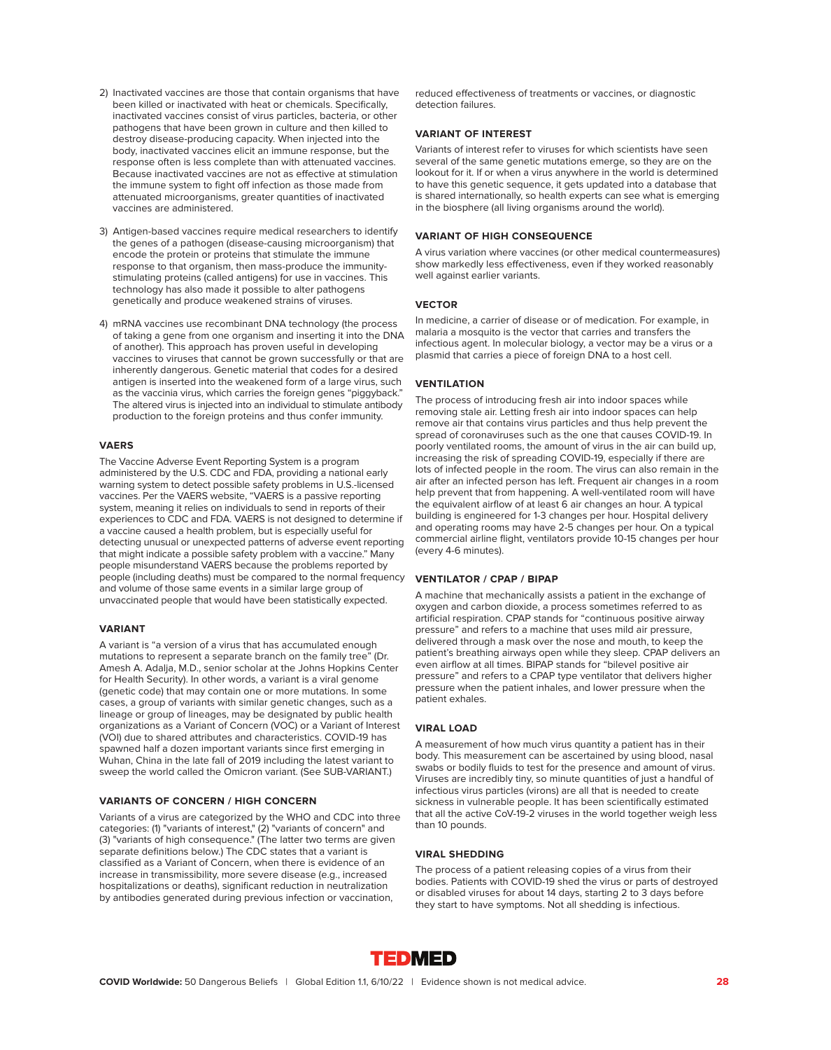- 2) Inactivated vaccines are those that contain organisms that have been killed or inactivated with heat or chemicals. Specifically, inactivated vaccines consist of virus particles, bacteria, or other pathogens that have been grown in culture and then killed to destroy disease-producing capacity. When injected into the body, inactivated vaccines elicit an immune response, but the response often is less complete than with attenuated vaccines. Because inactivated vaccines are not as effective at stimulation the immune system to fight off infection as those made from attenuated microorganisms, greater quantities of inactivated vaccines are administered.
- 3) Antigen-based vaccines require medical researchers to identify the genes of a pathogen (disease-causing microorganism) that encode the protein or proteins that stimulate the immune response to that organism, then mass-produce the immunitystimulating proteins (called antigens) for use in vaccines. This technology has also made it possible to alter pathogens genetically and produce weakened strains of viruses.
- 4) mRNA vaccines use recombinant DNA technology (the process of taking a gene from one organism and inserting it into the DNA of another). This approach has proven useful in developing vaccines to viruses that cannot be grown successfully or that are inherently dangerous. Genetic material that codes for a desired antigen is inserted into the weakened form of a large virus, such as the vaccinia virus, which carries the foreign genes "piggyback." The altered virus is injected into an individual to stimulate antibody production to the foreign proteins and thus confer immunity.

#### **VAERS**

The Vaccine Adverse Event Reporting System is a program administered by the U.S. CDC and FDA, providing a national early warning system to detect possible safety problems in U.S.-licensed vaccines. Per the VAERS website, "VAERS is a passive reporting system, meaning it relies on individuals to send in reports of their experiences to CDC and FDA. VAERS is not designed to determine if a vaccine caused a health problem, but is especially useful for detecting unusual or unexpected patterns of adverse event reporting that might indicate a possible safety problem with a vaccine." Many people misunderstand VAERS because the problems reported by people (including deaths) must be compared to the normal frequency and volume of those same events in a similar large group of unvaccinated people that would have been statistically expected.

#### **VARIANT**

A variant is "a version of a virus that has accumulated enough mutations to represent a separate branch on the family tree" (Dr. Amesh A. Adalja, M.D., senior scholar at the Johns Hopkins Center for Health Security). In other words, a variant is a viral genome (genetic code) that may contain one or more mutations. In some cases, a group of variants with similar genetic changes, such as a lineage or group of lineages, may be designated by public health organizations as a Variant of Concern (VOC) or a Variant of Interest (VOI) due to shared attributes and characteristics. COVID-19 has spawned half a dozen important variants since first emerging in Wuhan, China in the late fall of 2019 including the latest variant to sweep the world called the Omicron variant. (See SUB-VARIANT.)

#### **VARIANTS OF CONCERN / HIGH CONCERN**

Variants of a virus are categorized by the WHO and CDC into three categories: (1) "variants of interest," (2) "variants of concern" and (3) "variants of high consequence." (The latter two terms are given separate definitions below.) The CDC states that a variant is classified as a Variant of Concern, when there is evidence of an increase in transmissibility, more severe disease (e.g., increased hospitalizations or deaths), significant reduction in neutralization by antibodies generated during previous infection or vaccination,

reduced effectiveness of treatments or vaccines, or diagnostic detection failures.

#### **VARIANT OF INTEREST**

Variants of interest refer to viruses for which scientists have seen several of the same genetic mutations emerge, so they are on the lookout for it. If or when a virus anywhere in the world is determined to have this genetic sequence, it gets updated into a database that is shared internationally, so health experts can see what is emerging in the biosphere (all living organisms around the world).

#### **VARIANT OF HIGH CONSEQUENCE**

A virus variation where vaccines (or other medical countermeasures) show markedly less effectiveness, even if they worked reasonably well against earlier variants.

#### **VECTOR**

In medicine, a carrier of disease or of medication. For example, in malaria a mosquito is the vector that carries and transfers the infectious agent. In molecular biology, a vector may be a virus or a plasmid that carries a piece of foreign DNA to a host cell.

#### **VENTILATION**

The process of introducing fresh air into indoor spaces while removing stale air. Letting fresh air into indoor spaces can help remove air that contains virus particles and thus help prevent the spread of coronaviruses such as the one that causes COVID-19. In poorly ventilated rooms, the amount of virus in the air can build up, increasing the risk of spreading COVID-19, especially if there are lots of infected people in the room. The virus can also remain in the air after an infected person has left. Frequent air changes in a room help prevent that from happening. A well-ventilated room will have the equivalent airflow of at least 6 air changes an hour. A typical building is engineered for 1-3 changes per hour. Hospital delivery and operating rooms may have 2-5 changes per hour. On a typical commercial airline flight, ventilators provide 10-15 changes per hour (every 4-6 minutes).

#### **VENTILATOR / CPAP / BIPAP**

A machine that mechanically assists a patient in the exchange of oxygen and carbon dioxide, a process sometimes referred to as artificial respiration. CPAP stands for "continuous positive airway pressure" and refers to a machine that uses mild air pressure, delivered through a mask over the nose and mouth, to keep the patient's breathing airways open while they sleep. CPAP delivers an even airflow at all times. BIPAP stands for "bilevel positive air pressure" and refers to a CPAP type ventilator that delivers higher pressure when the patient inhales, and lower pressure when the patient exhales.

#### **VIRAL LOAD**

A measurement of how much virus quantity a patient has in their body. This measurement can be ascertained by using blood, nasal swabs or bodily fluids to test for the presence and amount of virus. Viruses are incredibly tiny, so minute quantities of just a handful of infectious virus particles (virons) are all that is needed to create sickness in vulnerable people. It has been scientifically estimated that all the active CoV-19-2 viruses in the world together weigh less than 10 pounds.

### **VIRAL SHEDDING**

The process of a patient releasing copies of a virus from their bodies. Patients with COVID-19 shed the virus or parts of destroyed or disabled viruses for about 14 days, starting 2 to 3 days before they start to have symptoms. Not all shedding is infectious.

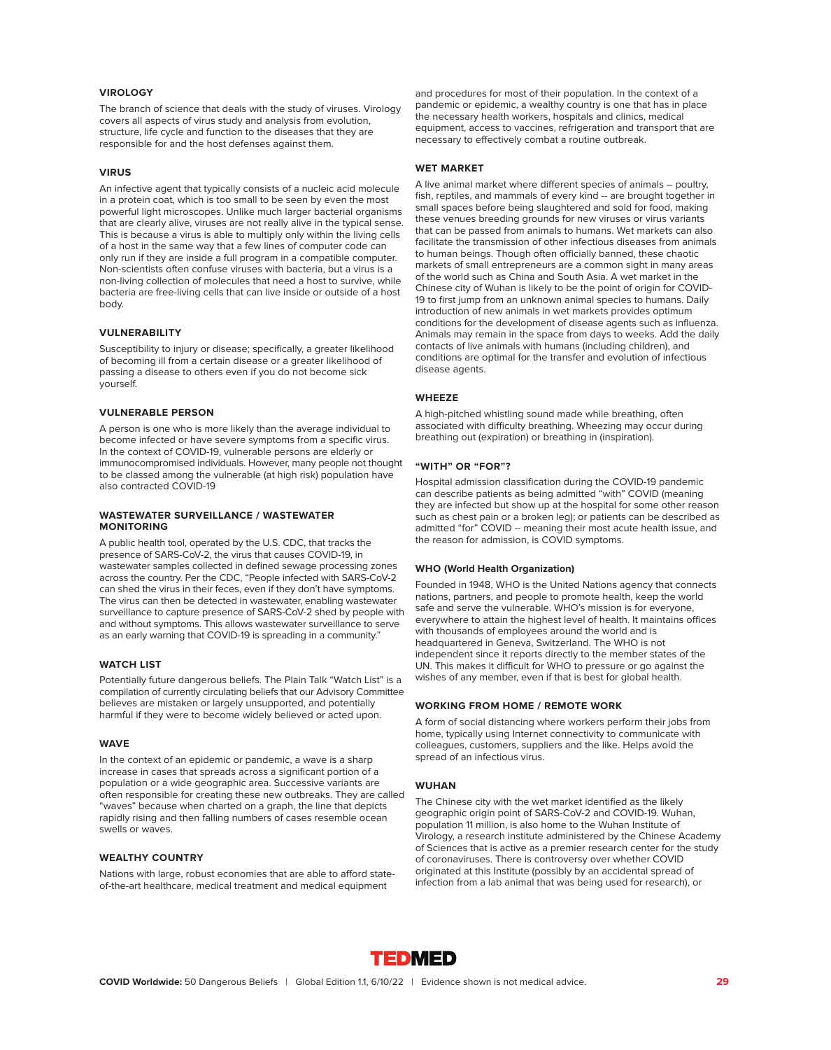### **VIROLOGY**

The branch of science that deals with the study of viruses. Virology covers all aspects of virus study and analysis from evolution, structure, life cycle and function to the diseases that they are responsible for and the host defenses against them.

### **VIRUS**

An infective agent that typically consists of a nucleic acid molecule in a protein coat, which is too small to be seen by even the most powerful light microscopes. Unlike much larger bacterial organisms that are clearly alive, viruses are not really alive in the typical sense. This is because a virus is able to multiply only within the living cells of a host in the same way that a few lines of computer code can only run if they are inside a full program in a compatible computer. Non-scientists often confuse viruses with bacteria, but a virus is a non-living collection of molecules that need a host to survive, while bacteria are free-living cells that can live inside or outside of a host body.

#### **VULNERABILITY**

Susceptibility to injury or disease; specifically, a greater likelihood of becoming ill from a certain disease or a greater likelihood of passing a disease to others even if you do not become sick yourself.

#### **VULNERABLE PERSON**

A person is one who is more likely than the average individual to become infected or have severe symptoms from a specific virus. In the context of COVID-19, vulnerable persons are elderly or immunocompromised individuals. However, many people not thought to be classed among the vulnerable (at high risk) population have also contracted COVID-19

#### **WASTEWATER SURVEILLANCE / WASTEWATER MONITORING**

A public health tool, operated by the U.S. CDC, that tracks the presence of SARS-CoV-2, the virus that causes COVID-19, in wastewater samples collected in defined sewage processing zones across the country. Per the CDC, "People infected with SARS-CoV-2 can shed the virus in their feces, even if they don't have symptoms. The virus can then be detected in wastewater, enabling wastewater surveillance to capture presence of SARS-CoV-2 shed by people with and without symptoms. This allows wastewater surveillance to serve as an early warning that COVID-19 is spreading in a community."

### **WATCH LIST**

Potentially future dangerous beliefs. The Plain Talk "Watch List" is a compilation of currently circulating beliefs that our Advisory Committee believes are mistaken or largely unsupported, and potentially harmful if they were to become widely believed or acted upon.

#### **WAVE**

In the context of an epidemic or pandemic, a wave is a sharp increase in cases that spreads across a significant portion of a population or a wide geographic area. Successive variants are often responsible for creating these new outbreaks. They are called "waves" because when charted on a graph, the line that depicts rapidly rising and then falling numbers of cases resemble ocean swells or waves.

#### **WEALTHY COUNTRY**

Nations with large, robust economies that are able to afford stateof-the-art healthcare, medical treatment and medical equipment

and procedures for most of their population. In the context of a pandemic or epidemic, a wealthy country is one that has in place the necessary health workers, hospitals and clinics, medical equipment, access to vaccines, refrigeration and transport that are necessary to effectively combat a routine outbreak.

### **WET MARKET**

A live animal market where different species of animals – poultry, fish, reptiles, and mammals of every kind -- are brought together in small spaces before being slaughtered and sold for food, making these venues breeding grounds for new viruses or virus variants that can be passed from animals to humans. Wet markets can also facilitate the transmission of other infectious diseases from animals to human beings. Though often officially banned, these chaotic markets of small entrepreneurs are a common sight in many areas of the world such as China and South Asia. A wet market in the Chinese city of Wuhan is likely to be the point of origin for COVID-19 to first jump from an unknown animal species to humans. Daily introduction of new animals in wet markets provides optimum conditions for the development of disease agents such as influenza. Animals may remain in the space from days to weeks. Add the daily contacts of live animals with humans (including children), and conditions are optimal for the transfer and evolution of infectious disease agents.

#### **WHEEZE**

A high-pitched whistling sound made while breathing, often associated with difficulty breathing. Wheezing may occur during breathing out (expiration) or breathing in (inspiration).

#### **"WITH" OR "FOR"?**

Hospital admission classification during the COVID-19 pandemic can describe patients as being admitted "with" COVID (meaning they are infected but show up at the hospital for some other reason such as chest pain or a broken leg); or patients can be described as admitted "for" COVID -- meaning their most acute health issue, and the reason for admission, is COVID symptoms.

#### **WHO (World Health Organization)**

Founded in 1948, WHO is the United Nations agency that connects nations, partners, and people to promote health, keep the world safe and serve the vulnerable. WHO's mission is for everyone, everywhere to attain the highest level of health. It maintains offices with thousands of employees around the world and is headquartered in Geneva, Switzerland. The WHO is not independent since it reports directly to the member states of the UN. This makes it difficult for WHO to pressure or go against the wishes of any member, even if that is best for global health.

#### **WORKING FROM HOME / REMOTE WORK**

A form of social distancing where workers perform their jobs from home, typically using Internet connectivity to communicate with colleagues, customers, suppliers and the like. Helps avoid the spread of an infectious virus.

#### **WUHAN**

The Chinese city with the wet market identified as the likely geographic origin point of SARS-CoV-2 and COVID-19. Wuhan, population 11 million, is also home to the Wuhan Institute of Virology, a research institute administered by the Chinese Academy of Sciences that is active as a premier research center for the study of coronaviruses. There is controversy over whether COVID originated at this Institute (possibly by an accidental spread of infection from a lab animal that was being used for research), or

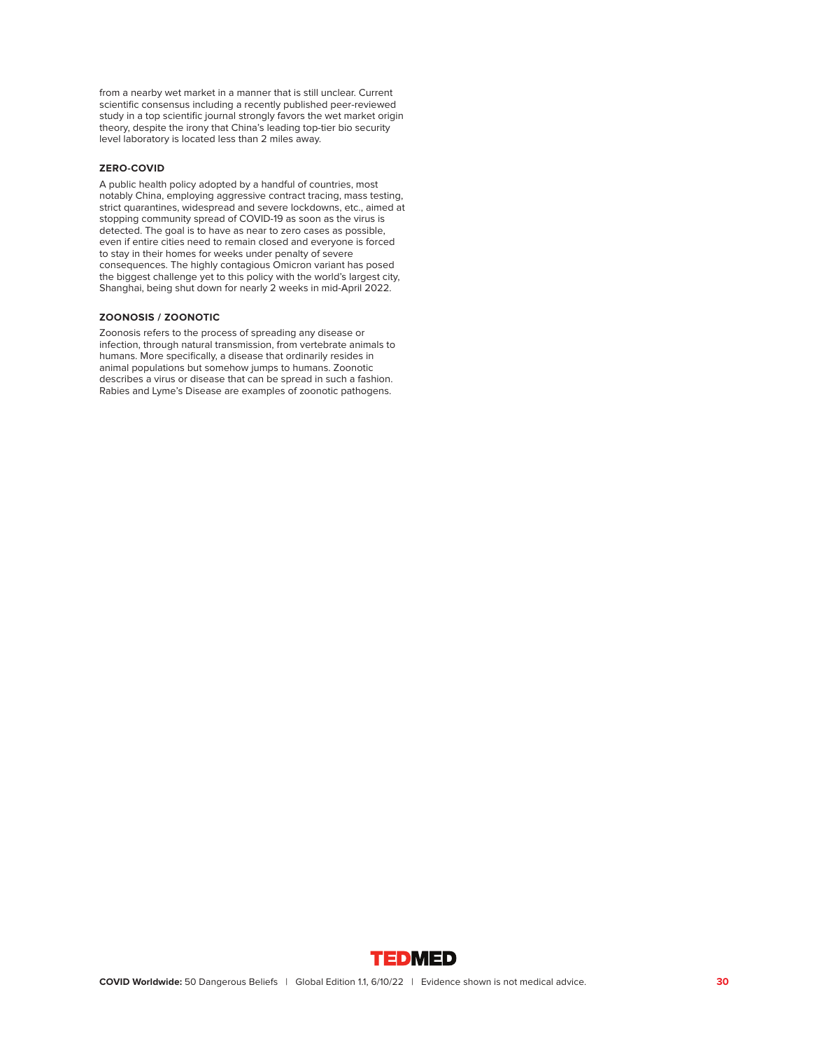from a nearby wet market in a manner that is still unclear. Current scientific consensus including a recently published peer-reviewed study in a top scientific journal strongly favors the wet market origin theory, despite the irony that China's leading top-tier bio security level laboratory is located less than 2 miles away.

# **ZERO-COVID**

A public health policy adopted by a handful of countries, most notably China, employing aggressive contract tracing, mass testing, strict quarantines, widespread and severe lockdowns, etc., aimed at stopping community spread of COVID-19 as soon as the virus is detected. The goal is to have as near to zero cases as possible, even if entire cities need to remain closed and everyone is forced to stay in their homes for weeks under penalty of severe consequences. The highly contagious Omicron variant has posed the biggest challenge yet to this policy with the world's largest city, Shanghai, being shut down for nearly 2 weeks in mid-April 2022.

### **ZOONOSIS / ZOONOTIC**

Zoonosis refers to the process of spreading any disease or infection, through natural transmission, from vertebrate animals to humans. More specifically, a disease that ordinarily resides in animal populations but somehow jumps to humans. Zoonotic describes a virus or disease that can be spread in such a fashion. Rabies and Lyme's Disease are examples of zoonotic pathogens.

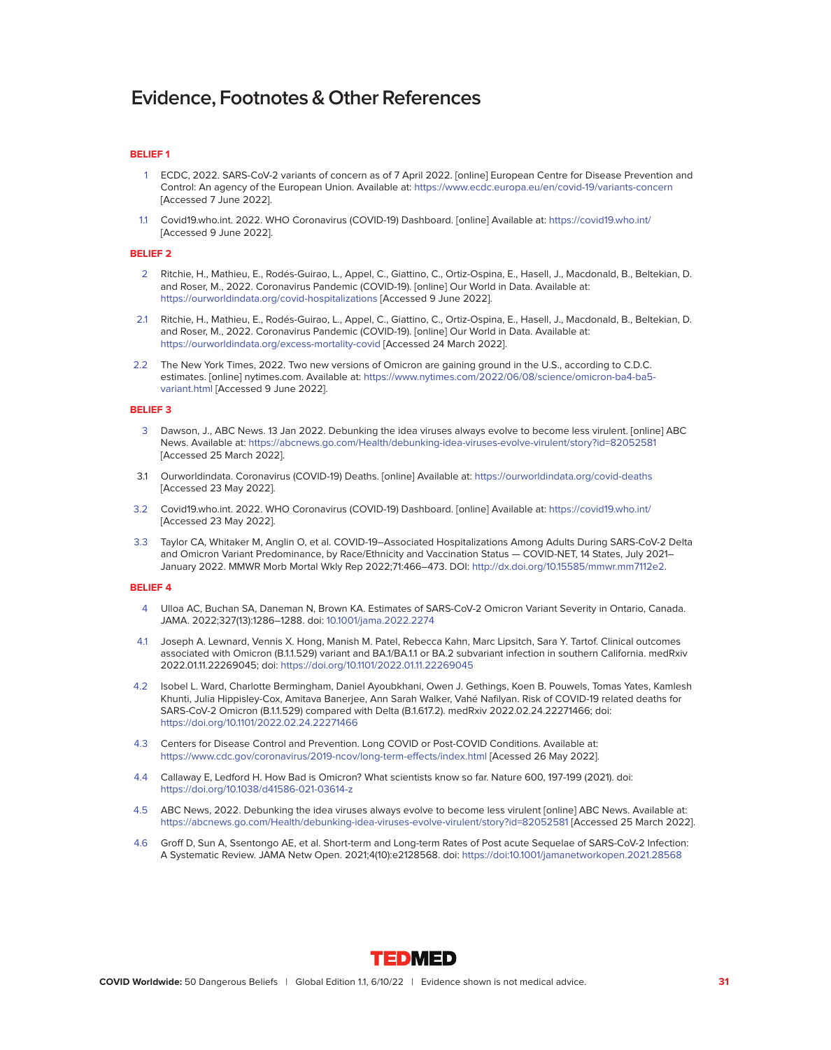#### **BELIEF 1**

- 1 ECDC, 2022. SARS-CoV-2 variants of concern as of 7 April 2022. [online] European Centre for Disease Prevention and Control: An agency of the European Union. Available at:<https://www.ecdc.europa.eu/en/covid-19/variants-concern> [Accessed 7 June 2022].
- 1.1 Covid19.who.int. 2022. WHO Coronavirus (COVID-19) Dashboard. [online] Available at:<https://covid19.who.int/> [Accessed 9 June 2022].

#### **BELIEF 2**

- 2 Ritchie, H., Mathieu, E., Rodés-Guirao, L., Appel, C., Giattino, C., Ortiz-Ospina, E., Hasell, J., Macdonald, B., Beltekian, D. and Roser, M., 2022. Coronavirus Pandemic (COVID-19). [online] Our World in Data. Available at: <https://ourworldindata.org/covid-hospitalizations>[Accessed 9 June 2022].
- 2.1 Ritchie, H., Mathieu, E., Rodés-Guirao, L., Appel, C., Giattino, C., Ortiz-Ospina, E., Hasell, J., Macdonald, B., Beltekian, D. and Roser, M., 2022. Coronavirus Pandemic (COVID-19). [online] Our World in Data. Available at: <https://ourworldindata.org/excess-mortality-covid>[Accessed 24 March 2022].
- 2.2 The New York Times, 2022. Two new versions of Omicron are gaining ground in the U.S., according to C.D.C. estimates. [online] nytimes.com. Available at: [https://www.nytimes.com/2022/06/08/science/omicron-ba4-ba5](https://www.nytimes.com/2022/06/08/science/omicron-ba4-ba5-variant.html) [variant.html](https://www.nytimes.com/2022/06/08/science/omicron-ba4-ba5-variant.html) [Accessed 9 June 2022].

#### **BELIEF 3**

- 3 Dawson, J., ABC News. 13 Jan 2022. Debunking the idea viruses always evolve to become less virulent. [online] ABC News. Available at:<https://abcnews.go.com/Health/debunking-idea-viruses-evolve-virulent/story?id=82052581> [Accessed 25 March 2022].
- 3.1 Ourworldindata. Coronavirus (COVID-19) Deaths. [online] Available at:<https://ourworldindata.org/covid-deaths> [Accessed 23 May 2022].
- 3.2 Covid19.who.int. 2022. WHO Coronavirus (COVID-19) Dashboard. [online] Available at:<https://covid19.who.int/> [Accessed 23 May 2022].
- 3.3 Taylor CA, Whitaker M, Anglin O, et al. COVID-19–Associated Hospitalizations Among Adults During SARS-CoV-2 Delta and Omicron Variant Predominance, by Race/Ethnicity and Vaccination Status — COVID-NET, 14 States, July 2021– January 2022. MMWR Morb Mortal Wkly Rep 2022;71:466–473. DOI: [http://dx.doi.org/10.15585/mmwr.mm7112e2.](http://dx.doi.org/10.15585/mmwr.mm7112e2)

- 4 Ulloa AC, Buchan SA, Daneman N, Brown KA. Estimates of SARS-CoV-2 Omicron Variant Severity in Ontario, Canada. JAMA. 2022;327(13):1286–1288. doi: [10.1001/jama.2022.2274](http://10.1001/jama.2022.2274)
- 4.1 Joseph A. Lewnard, Vennis X. Hong, Manish M. Patel, Rebecca Kahn, Marc Lipsitch, Sara Y. Tartof. Clinical outcomes associated with Omicron (B.1.1.529) variant and BA.1/BA.1.1 or BA.2 subvariant infection in southern California. medRxiv 2022.01.11.22269045; doi:<https://doi.org/10.1101/2022.01.11.22269045>
- 4.2 Isobel L. Ward, Charlotte Bermingham, Daniel Ayoubkhani, Owen J. Gethings, Koen B. Pouwels, Tomas Yates, Kamlesh Khunti, Julia Hippisley-Cox, Amitava Banerjee, Ann Sarah Walker, Vahé Nafilyan. Risk of COVID-19 related deaths for SARS-CoV-2 Omicron (B.1.1.529) compared with Delta (B.1.617.2). medRxiv 2022.02.24.22271466; doi: <https://doi.org/10.1101/2022.02.24.22271466>
- 4.3 Centers for Disease Control and Prevention. Long COVID or Post-COVID Conditions. Available at: <https://www.cdc.gov/coronavirus/2019-ncov/long-term-effects/index.html>[Acessed 26 May 2022].
- 4.4 Callaway E, Ledford H. How Bad is Omicron? What scientists know so far. Nature 600, 197-199 (2021). doi: <https://doi.org/10.1038/d41586-021-03614-z>
- 4.5 ABC News, 2022. Debunking the idea viruses always evolve to become less virulent [online] ABC News. Available at: <https://abcnews.go.com/Health/debunking-idea-viruses-evolve-virulent/story?id=82052581>[Accessed 25 March 2022].
- 4.6 Groff D, Sun A, Ssentongo AE, et al. Short-term and Long-term Rates of Post acute Sequelae of SARS-CoV-2 Infection: A Systematic Review. JAMA Netw Open. 2021;4(10):e2128568. doi:<https://doi:10.1001/jamanetworkopen.2021.28568>

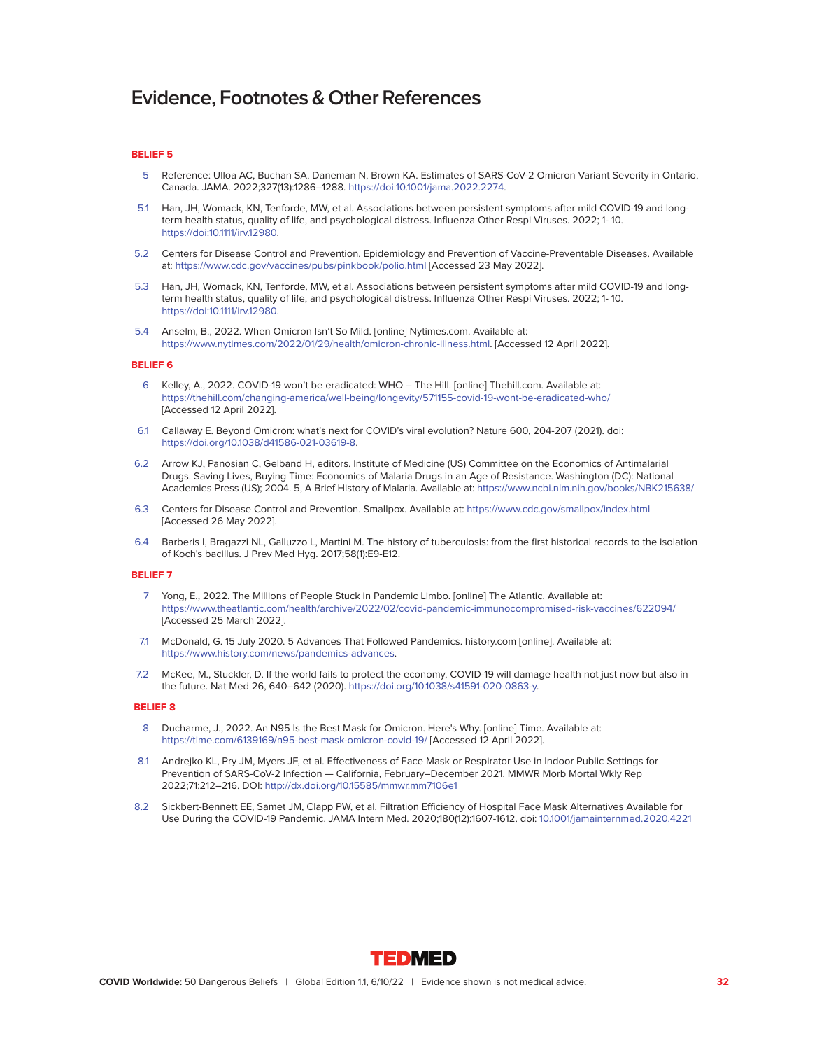#### **BELIEF 5**

- 5 Reference: Ulloa AC, Buchan SA, Daneman N, Brown KA. Estimates of SARS-CoV-2 Omicron Variant Severity in Ontario, Canada. JAMA. 2022;327(13):1286–1288. [https://doi:10.1001/jama.2022.2274.](https://doi:10.1001/jama.2022.2274)
- 5.1 Han, JH, Womack, KN, Tenforde, MW, et al. Associations between persistent symptoms after mild COVID-19 and longterm health status, quality of life, and psychological distress. Influenza Other Respi Viruses. 2022; 1- 10. [https://doi:10.1111/irv.12980.](https://doi:10.1111/irv.12980)
- 5.2 Centers for Disease Control and Prevention. Epidemiology and Prevention of Vaccine-Preventable Diseases. Available at:<https://www.cdc.gov/vaccines/pubs/pinkbook/polio.html>[Accessed 23 May 2022].
- 5.3 Han, JH, Womack, KN, Tenforde, MW, et al. Associations between persistent symptoms after mild COVID-19 and longterm health status, quality of life, and psychological distress. Influenza Other Respi Viruses. 2022; 1- 10. [https://doi:10.1111/irv.12980.](https://doi:10.1111/irv.12980)
- 5.4 Anselm, B., 2022. When Omicron Isn't So Mild. [online] Nytimes.com. Available at: [https://www.nytimes.com/2022/01/29/health/omicron-chronic-illness.html.](https://www.nytimes.com/2022/01/29/health/omicron-chronic-illness.html) [Accessed 12 April 2022].

#### **BELIEF 6**

- 6 Kelley, A., 2022. COVID-19 won't be eradicated: WHO The Hill. [online] Thehill.com. Available at: <https://thehill.com/changing-america/well-being/longevity/571155-covid-19-wont-be-eradicated-who/> [Accessed 12 April 2022].
- 6.1 Callaway E. Beyond Omicron: what's next for COVID's viral evolution? Nature 600, 204-207 (2021). doi: [https://doi.org/10.1038/d41586-021-03619-8.](https://doi.org/10.1038/d41586-021-03619-8)
- 6.2 Arrow KJ, Panosian C, Gelband H, editors. Institute of Medicine (US) Committee on the Economics of Antimalarial Drugs. Saving Lives, Buying Time: Economics of Malaria Drugs in an Age of Resistance. Washington (DC): National Academies Press (US); 2004. 5, A Brief History of Malaria. Available at:<https://www.ncbi.nlm.nih.gov/books/NBK215638/>
- 6.3 Centers for Disease Control and Prevention. Smallpox. Available at:<https://www.cdc.gov/smallpox/index.html> [Accessed 26 May 2022].
- 6.4 Barberis I, Bragazzi NL, Galluzzo L, Martini M. The history of tuberculosis: from the first historical records to the isolation of Koch's bacillus. J Prev Med Hyg. 2017;58(1):E9-E12.

# **BELIEF 7**

- 7 Yong, E., 2022. The Millions of People Stuck in Pandemic Limbo. [online] The Atlantic. Available at: <https://www.theatlantic.com/health/archive/2022/02/covid-pandemic-immunocompromised-risk-vaccines/622094/> [Accessed 25 March 2022].
- 7.1 McDonald, G. 15 July 2020. 5 Advances That Followed Pandemics. history.com [online]. Available at: [https://www.history.com/news/pandemics-advances.](https://www.history.com/news/pandemics-advances)
- 7.2 McKee, M., Stuckler, D. If the world fails to protect the economy, COVID-19 will damage health not just now but also in the future. Nat Med 26, 640–642 (2020). [https://doi.org/10.1038/s41591-020-0863-y.](https://doi.org/10.1038/s41591-020-0863-y)

- 8 Ducharme, J., 2022. An N95 Is the Best Mask for Omicron. Here's Why. [online] Time. Available at: <https://time.com/6139169/n95-best-mask-omicron-covid-19/>[Accessed 12 April 2022].
- 8.1 Andrejko KL, Pry JM, Myers JF, et al. Effectiveness of Face Mask or Respirator Use in Indoor Public Settings for Prevention of SARS-CoV-2 Infection — California, February–December 2021. MMWR Morb Mortal Wkly Rep 2022;71:212–216. DOI:<http://dx.doi.org/10.15585/mmwr.mm7106e1>
- 8.2 Sickbert-Bennett EE, Samet JM, Clapp PW, et al. Filtration Efficiency of Hospital Face Mask Alternatives Available for Use During the COVID-19 Pandemic. JAMA Intern Med. 2020;180(12):1607-1612. doi: [10.1001/jamainternmed.2020.4221](http://10.1001/jamainternmed.2020.4221)

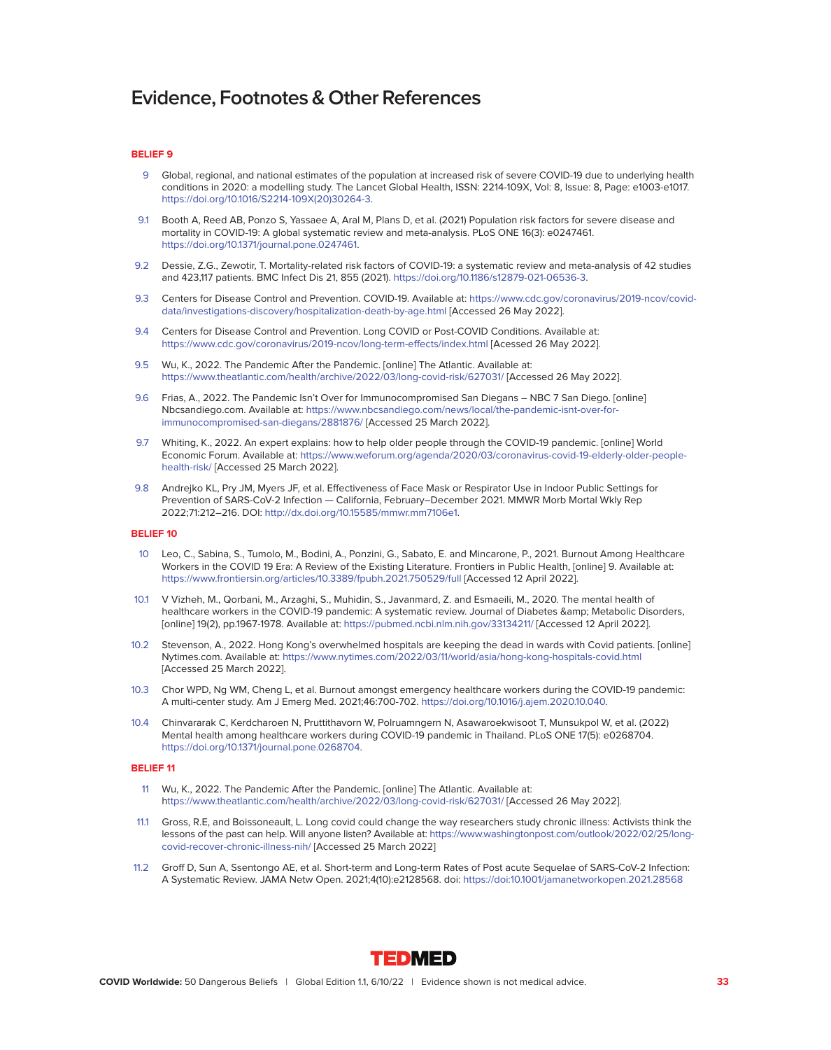#### **BELIEF 9**

- 9 Global, regional, and national estimates of the population at increased risk of severe COVID-19 due to underlying health conditions in 2020: a modelling study. The Lancet Global Health, ISSN: 2214-109X, Vol: 8, Issue: 8, Page: e1003-e1017. [https://doi.org/10.1016/S2214-109X\(20\)30264-3.](https://doi.org/10.1016/S2214-109X(20)30264-3)
- 9.1 Booth A, Reed AB, Ponzo S, Yassaee A, Aral M, Plans D, et al. (2021) Population risk factors for severe disease and mortality in COVID-19: A global systematic review and meta-analysis. PLoS ONE 16(3): e0247461. [https://doi.org/10.1371/journal.pone.0247461.](https://doi.org/10.1371/journal.pone.0247461)
- 9.2 Dessie, Z.G., Zewotir, T. Mortality-related risk factors of COVID-19: a systematic review and meta-analysis of 42 studies and 423,117 patients. BMC Infect Dis 21, 855 (2021). [https://doi.org/10.1186/s12879-021-06536-3.](https://doi.org/10.1186/s12879-021-06536-3)
- 9.3 Centers for Disease Control and Prevention. COVID-19. Available at: [https://www.cdc.gov/coronavirus/2019-ncov/covid](https://www.cdc.gov/coronavirus/2019-ncov/covid-data/investigations-discovery/hospitalization-death-by-age.html)[data/investigations-discovery/hospitalization-death-by-age.html](https://www.cdc.gov/coronavirus/2019-ncov/covid-data/investigations-discovery/hospitalization-death-by-age.html) [Accessed 26 May 2022].
- 9.4 Centers for Disease Control and Prevention. Long COVID or Post-COVID Conditions. Available at: <https://www.cdc.gov/coronavirus/2019-ncov/long-term-effects/index.html>[Acessed 26 May 2022].
- 9.5 Wu, K., 2022. The Pandemic After the Pandemic. [online] The Atlantic. Available at: <https://www.theatlantic.com/health/archive/2022/03/long-covid-risk/627031/>[Accessed 26 May 2022].
- 9.6 Frias, A., 2022. The Pandemic Isn't Over for Immunocompromised San Diegans NBC 7 San Diego. [online] Nbcsandiego.com. Available at: [https://www.nbcsandiego.com/news/local/the-pandemic-isnt-over-for](https://www.nbcsandiego.com/news/local/the-pandemic-isnt-over-for-immunocompromised-san-diegans/2881876/)[immunocompromised-san-diegans/2881876/](https://www.nbcsandiego.com/news/local/the-pandemic-isnt-over-for-immunocompromised-san-diegans/2881876/) [Accessed 25 March 2022].
- 9.7 Whiting, K., 2022. An expert explains: how to help older people through the COVID-19 pandemic. [online] World Economic Forum. Available at: [https://www.weforum.org/agenda/2020/03/coronavirus-covid-19-elderly-older-people](https://www.weforum.org/agenda/2020/03/coronavirus-covid-19-elderly-older-people-health-risk/)[health-risk/](https://www.weforum.org/agenda/2020/03/coronavirus-covid-19-elderly-older-people-health-risk/) [Accessed 25 March 2022].
- 9.8 Andrejko KL, Pry JM, Myers JF, et al. Effectiveness of Face Mask or Respirator Use in Indoor Public Settings for Prevention of SARS-CoV-2 Infection — California, February–December 2021. MMWR Morb Mortal Wkly Rep 2022;71:212–216. DOI: [http://dx.doi.org/10.15585/mmwr.mm7106e1.](http://dx.doi.org/10.15585/mmwr.mm7106e1)

#### **BELIEF 10**

- 10 Leo, C., Sabina, S., Tumolo, M., Bodini, A., Ponzini, G., Sabato, E. and Mincarone, P., 2021. Burnout Among Healthcare Workers in the COVID 19 Era: A Review of the Existing Literature. Frontiers in Public Health, [online] 9. Available at: <https://www.frontiersin.org/articles/10.3389/fpubh.2021.750529/full>[Accessed 12 April 2022].
- 10.1 V Vizheh, M., Qorbani, M., Arzaghi, S., Muhidin, S., Javanmard, Z. and Esmaeili, M., 2020. The mental health of healthcare workers in the COVID-19 pandemic: A systematic review. Journal of Diabetes & amp; Metabolic Disorders, [online] 19(2), pp.1967-1978. Available at:<https://pubmed.ncbi.nlm.nih.gov/33134211/>[Accessed 12 April 2022].
- 10.2 Stevenson, A., 2022. Hong Kong's overwhelmed hospitals are keeping the dead in wards with Covid patients. [online] Nytimes.com. Available at:<https://www.nytimes.com/2022/03/11/world/asia/hong-kong-hospitals-covid.html> [Accessed 25 March 2022].
- 10.3 Chor WPD, Ng WM, Cheng L, et al. Burnout amongst emergency healthcare workers during the COVID-19 pandemic: A multi-center study. Am J Emerg Med. 2021;46:700-702. [https://doi.org/10.1016/j.ajem.2020.10.040.](https://doi.org/10.1016/j.ajem.2020.10.040)
- 10.4 Chinvararak C, Kerdcharoen N, Pruttithavorn W, Polruamngern N, Asawaroekwisoot T, Munsukpol W, et al. (2022) Mental health among healthcare workers during COVID-19 pandemic in Thailand. PLoS ONE 17(5): e0268704. [https://doi.org/10.1371/journal.pone.0268704.](https://doi.org/10.1371/journal.pone.0268704)

- 11 Wu, K., 2022. The Pandemic After the Pandemic. [online] The Atlantic. Available at: <https://www.theatlantic.com/health/archive/2022/03/long-covid-risk/627031/>[Accessed 26 May 2022].
- 11.1 Gross, R.E, and Boissoneault, L. Long covid could change the way researchers study chronic illness: Activists think the lessons of the past can help. Will anyone listen? Available at: [https://www.washingtonpost.com/outlook/2022/02/25/long](https://www.washingtonpost.com/outlook/2022/02/25/long- covid-recover-chronic-illness-nih/)[covid-recover-chronic-illness-nih/](https://www.washingtonpost.com/outlook/2022/02/25/long- covid-recover-chronic-illness-nih/) [Accessed 25 March 2022]
- 11.2 Groff D, Sun A, Ssentongo AE, et al. Short-term and Long-term Rates of Post acute Sequelae of SARS-CoV-2 Infection: A Systematic Review. JAMA Netw Open. 2021;4(10):e2128568. doi:<https://doi:10.1001/jamanetworkopen.2021.28568>

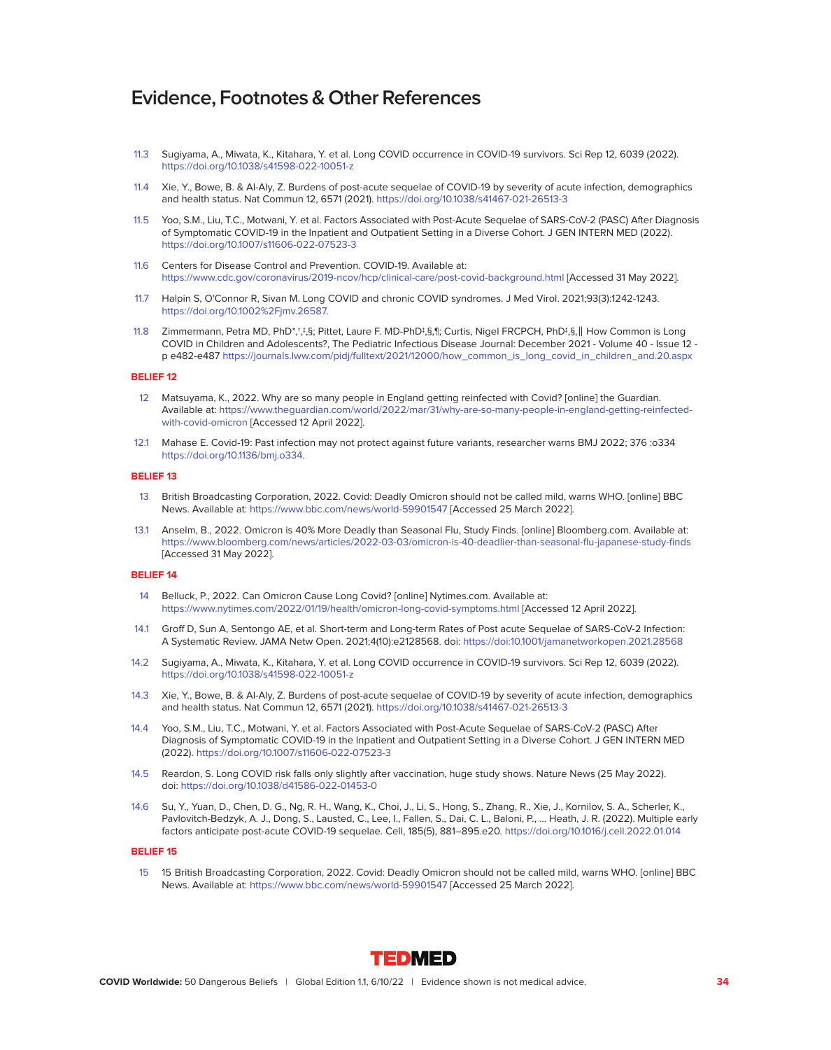- 11.3 Sugiyama, A., Miwata, K., Kitahara, Y. et al. Long COVID occurrence in COVID-19 survivors. Sci Rep 12, 6039 (2022). <https://doi.org/10.1038/s41598-022-10051-z>
- 11.4 Xie, Y., Bowe, B. & Al-Aly, Z. Burdens of post-acute sequelae of COVID-19 by severity of acute infection, demographics and health status. Nat Commun 12, 6571 (2021).<https://doi.org/10.1038/s41467-021-26513-3>
- 11.5 Yoo, S.M., Liu, T.C., Motwani, Y. et al. Factors Associated with Post-Acute Sequelae of SARS-CoV-2 (PASC) After Diagnosis of Symptomatic COVID-19 in the Inpatient and Outpatient Setting in a Diverse Cohort. J GEN INTERN MED (2022). <https://doi.org/10.1007/s11606-022-07523-3>
- 11.6 Centers for Disease Control and Prevention. COVID-19. Available at: <https://www.cdc.gov/coronavirus/2019-ncov/hcp/clinical-care/post-covid-background.html>[Accessed 31 May 2022].
- 11.7 Halpin S, O'Connor R, Sivan M. Long COVID and chronic COVID syndromes. J Med Virol. 2021;93(3):1242-1243. https://doi.org/10.1002%2Fjmv.26587.
- 11.8 Zimmermann, Petra MD, PhD\*,†,‡,§; Pittet, Laure F. MD-PhD‡,§,¶; Curtis, Nigel FRCPCH, PhD‡,§,‖ How Common is Long COVID in Children and Adolescents?, The Pediatric Infectious Disease Journal: December 2021 - Volume 40 - Issue 12 p e482-e487 [https://journals.lww.com/pidj/fulltext/2021/12000/how\\_common\\_is\\_long\\_covid\\_in\\_children\\_and.20.aspx](https://journals.lww.com/pidj/fulltext/2021/12000/how_common_is_long_covid_in_children_and.20.aspx)

# **BELIEF 12**

- 12 Matsuyama, K., 2022. Why are so many people in England getting reinfected with Covid? [online] the Guardian. Available at: [https://www.theguardian.com/world/2022/mar/31/why-are-so-many-people-in-england-getting-reinfected](https://www.theguardian.com/world/2022/mar/31/why-are-so-many-people-in-england-getting-reinfected-with-covid-omicron)[with-covid-omicron](https://www.theguardian.com/world/2022/mar/31/why-are-so-many-people-in-england-getting-reinfected-with-covid-omicron) [Accessed 12 April 2022].
- 12.1 Mahase E. Covid-19: Past infection may not protect against future variants, researcher warns BMJ 2022; 376 :o334 [https://doi.org/10.1136/bmj.o334.](https://doi.org/10.1136/bmj.o334)

#### **BELIEF 13**

- 13 British Broadcasting Corporation, 2022. Covid: Deadly Omicron should not be called mild, warns WHO. [online] BBC News. Available at:<https://www.bbc.com/news/world-59901547>[Accessed 25 March 2022].
- 13.1 Anselm, B., 2022. Omicron is 40% More Deadly than Seasonal Flu, Study Finds. [online] Bloomberg.com. Available at: <https://www.bloomberg.com/news/articles/2022-03-03/omicron-is-40-deadlier-than-seasonal-flu-japanese-study-finds> [Accessed 31 May 2022].

# **BELIEF 14**

- 14 Belluck, P., 2022. Can Omicron Cause Long Covid? [online] Nytimes.com. Available at: <https://www.nytimes.com/2022/01/19/health/omicron-long-covid-symptoms.html>[Accessed 12 April 2022].
- 14.1 Groff D, Sun A, Sentongo AE, et al. Short-term and Long-term Rates of Post acute Sequelae of SARS-CoV-2 Infection: A Systematic Review. JAMA Netw Open. 2021;4(10):e2128568. doi:<https://doi:10.1001/jamanetworkopen.2021.28568>
- 14.2 Sugiyama, A., Miwata, K., Kitahara, Y. et al. Long COVID occurrence in COVID-19 survivors. Sci Rep 12, 6039 (2022). <https://doi.org/10.1038/s41598-022-10051-z>
- 14.3 Xie, Y., Bowe, B. & Al-Aly, Z. Burdens of post-acute sequelae of COVID-19 by severity of acute infection, demographics and health status. Nat Commun 12, 6571 (2021).<https://doi.org/10.1038/s41467-021-26513-3>
- 14.4 Yoo, S.M., Liu, T.C., Motwani, Y. et al. Factors Associated with Post-Acute Sequelae of SARS-CoV-2 (PASC) After Diagnosis of Symptomatic COVID-19 in the Inpatient and Outpatient Setting in a Diverse Cohort. J GEN INTERN MED (2022).<https://doi.org/10.1007/s11606-022-07523-3>
- 14.5 Reardon, S. Long COVID risk falls only slightly after vaccination, huge study shows. Nature News (25 May 2022). doi:<https://doi.org/10.1038/d41586-022-01453-0>
- 14.6 Su, Y., Yuan, D., Chen, D. G., Ng, R. H., Wang, K., Choi, J., Li, S., Hong, S., Zhang, R., Xie, J., Kornilov, S. A., Scherler, K., Pavlovitch-Bedzyk, A. J., Dong, S., Lausted, C., Lee, I., Fallen, S., Dai, C. L., Baloni, P., … Heath, J. R. (2022). Multiple early factors anticipate post-acute COVID-19 sequelae. Cell, 185(5), 881–895.e20.<https://doi.org/10.1016/j.cell.2022.01.014>

#### **BELIEF 15**

 15 15 British Broadcasting Corporation, 2022. Covid: Deadly Omicron should not be called mild, warns WHO. [online] BBC News. Available at:<https://www.bbc.com/news/world-59901547>[Accessed 25 March 2022].

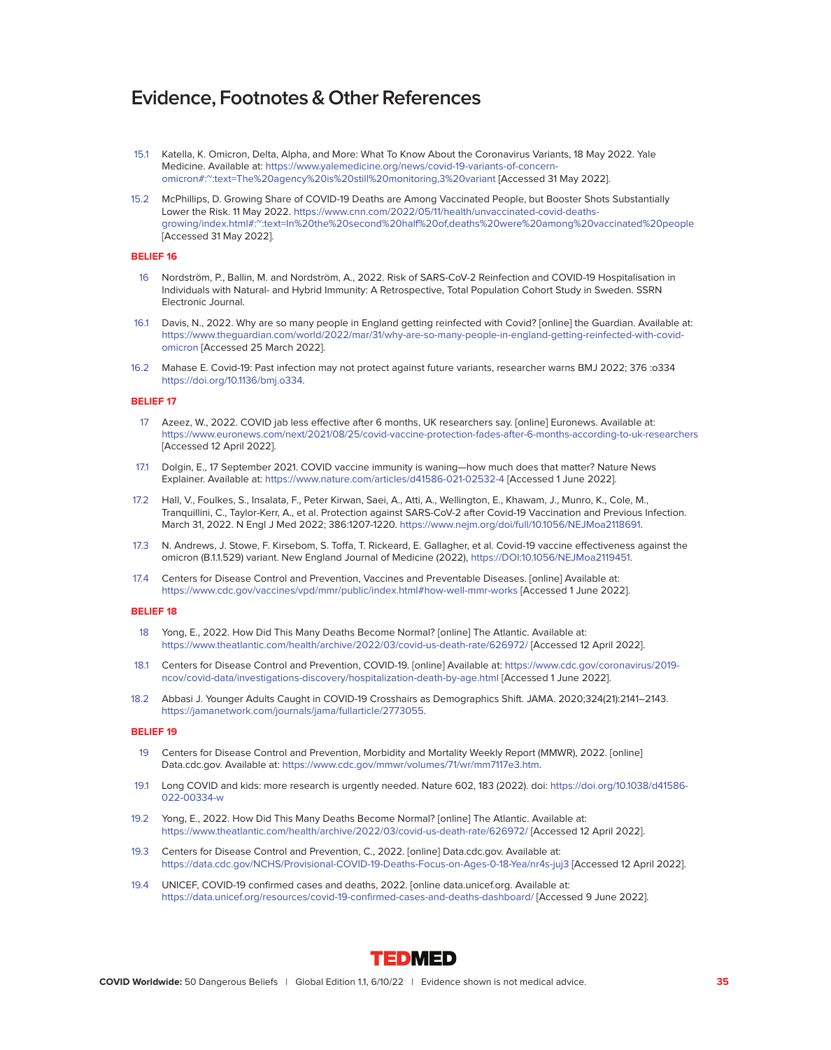- 15.1 Katella, K. Omicron, Delta, Alpha, and More: What To Know About the Coronavirus Variants, 18 May 2022. Yale Medicine. Available at: [https://www.yalemedicine.org/news/covid-19-variants-of-concern](https://www.yalemedicine.org/news/covid-19-variants-of-concern-omicron#:~:text=The%20agency%20is%20still%20monitoring,3%20variant)[omicron#:~:text=The%20agency%20is%20still%20monitoring,3%20variant](https://www.yalemedicine.org/news/covid-19-variants-of-concern-omicron#:~:text=The%20agency%20is%20still%20monitoring,3%20variant) [Accessed 31 May 2022].
- 15.2 McPhillips, D. Growing Share of COVID-19 Deaths are Among Vaccinated People, but Booster Shots Substantially Lower the Risk. 11 May 2022. [https://www.cnn.com/2022/05/11/health/unvaccinated-covid-deaths](https://www.cnn.com/2022/05/11/health/unvaccinated-covid-deaths-growing/index.html#:~:text=In%20the%20second%20half%20of,deaths%20were%20among%20vaccinated%20people)[growing/index.html#:~:text=In%20the%20second%20half%20of,deaths%20were%20among%20vaccinated%20people](https://www.cnn.com/2022/05/11/health/unvaccinated-covid-deaths-growing/index.html#:~:text=In%20the%20second%20half%20of,deaths%20were%20among%20vaccinated%20people) [Accessed 31 May 2022].

#### **BELIEF 16**

- 16 Nordström, P., Ballin, M. and Nordström, A., 2022. Risk of SARS-CoV-2 Reinfection and COVID-19 Hospitalisation in Individuals with Natural- and Hybrid Immunity: A Retrospective, Total Population Cohort Study in Sweden. SSRN Electronic Journal.
- 16.1 Davis, N., 2022. Why are so many people in England getting reinfected with Covid? [online] the Guardian. Available at: [https://www.theguardian.com/world/2022/mar/31/why-are-so-many-people-in-england-getting-reinfected-with-covid](https://www.theguardian.com/world/2022/mar/31/why-are-so-many-people-in-england-getting-reinfected-with-covid-omicron)[omicron](https://www.theguardian.com/world/2022/mar/31/why-are-so-many-people-in-england-getting-reinfected-with-covid-omicron) [Accessed 25 March 2022].
- 16.2 Mahase E. Covid-19: Past infection may not protect against future variants, researcher warns BMJ 2022; 376 :o334 [https://doi.org/10.1136/bmj.o334.](https://doi.org/10.1136/bmj.o334)

#### **BELIEF 17**

- 17 Azeez, W., 2022. COVID jab less effective after 6 months, UK researchers say. [online] Euronews. Available at: <https://www.euronews.com/next/2021/08/25/covid-vaccine-protection-fades-after-6-months-according-to-uk-researchers> [Accessed 12 April 2022].
- 17.1 Dolgin, E., 17 September 2021. COVID vaccine immunity is waning—how much does that matter? Nature News Explainer. Available at:<https://www.nature.com/articles/d41586-021-02532-4>[Accessed 1 June 2022].
- 17.2 Hall, V., Foulkes, S., Insalata, F., Peter Kirwan, Saei, A., Atti, A., Wellington, E., Khawam, J., Munro, K., Cole, M., Tranquillini, C., Taylor-Kerr, A., et al. Protection against SARS-CoV-2 after Covid-19 Vaccination and Previous Infection. March 31, 2022. N Engl J Med 2022; 386:1207-1220. [https://www.nejm.org/doi/full/10.1056/NEJMoa2118691.](https://www.nejm.org/doi/full/10.1056/NEJMoa2118691)
- 17.3 N. Andrews, J. Stowe, F. Kirsebom, S. Toffa, T. Rickeard, E. Gallagher, et al. Covid-19 vaccine effectiveness against the omicron (B.1.1.529) variant. New England Journal of Medicine (2022), [https://DOI:10.1056/NEJMoa2119451.](https://DOI:10.1056/NEJMoa2119451)
- 17.4 Centers for Disease Control and Prevention, Vaccines and Preventable Diseases. [online] Available at: <https://www.cdc.gov/vaccines/vpd/mmr/public/index.html#how-well-mmr-works>[Accessed 1 June 2022].

#### **BELIEF 18**

- 18 Yong, E., 2022. How Did This Many Deaths Become Normal? [online] The Atlantic. Available at: <https://www.theatlantic.com/health/archive/2022/03/covid-us-death-rate/626972/>[Accessed 12 April 2022].
- 18.1 Centers for Disease Control and Prevention, COVID-19. [online] Available at: [https://www.cdc.gov/coronavirus/2019](https://www.cdc.gov/coronavirus/2019-ncov/covid-data/investigations-discovery/hospitalization-death-by-age.html) [ncov/covid-data/investigations-discovery/hospitalization-death-by-age.html](https://www.cdc.gov/coronavirus/2019-ncov/covid-data/investigations-discovery/hospitalization-death-by-age.html) [Accessed 1 June 2022].
- 18.2 Abbasi J. Younger Adults Caught in COVID-19 Crosshairs as Demographics Shift. JAMA. 2020;324(21):2141–2143. [https://jamanetwork.com/journals/jama/fullarticle/2773055.](https://jamanetwork.com/journals/jama/fullarticle/2773055)

- 19 Centers for Disease Control and Prevention, Morbidity and Mortality Weekly Report (MMWR), 2022. [online] Data.cdc.gov. Available at: [https://www.cdc.gov/mmwr/volumes/71/wr/mm7117e3.htm.](https://www.cdc.gov/mmwr/volumes/71/wr/mm7117e3.htm)
- 19.1 Long COVID and kids: more research is urgently needed. Nature 602, 183 (2022). doi: [https://doi.org/10.1038/d41586-](https://doi.org/10.1038/d41586-022-00334-w) [022-00334-w](https://doi.org/10.1038/d41586-022-00334-w)
- 19.2 Yong, E., 2022. How Did This Many Deaths Become Normal? [online] The Atlantic. Available at: <https://www.theatlantic.com/health/archive/2022/03/covid-us-death-rate/626972/>[Accessed 12 April 2022].
- 19.3 Centers for Disease Control and Prevention, C., 2022. [online] Data.cdc.gov. Available at: <https://data.cdc.gov/NCHS/Provisional-COVID-19-Deaths-Focus-on-Ages-0-18-Yea/nr4s-juj3>[Accessed 12 April 2022].
- 19.4 UNICEF, COVID-19 confirmed cases and deaths, 2022. [online data.unicef.org. Available at: <https://data.unicef.org/resources/covid-19-confirmed-cases-and-deaths-dashboard/>[Accessed 9 June 2022].

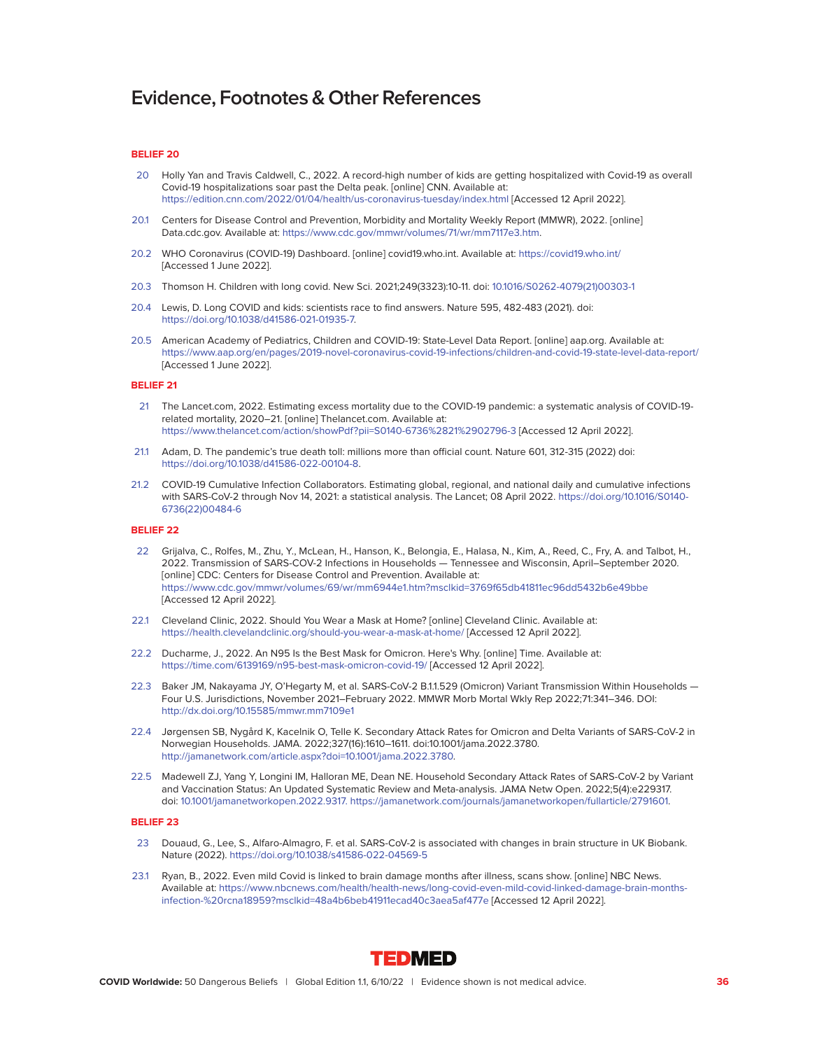#### **BELIEF 20**

- 20 Holly Yan and Travis Caldwell, C., 2022. A record-high number of kids are getting hospitalized with Covid-19 as overall Covid-19 hospitalizations soar past the Delta peak. [online] CNN. Available at: <https://edition.cnn.com/2022/01/04/health/us-coronavirus-tuesday/index.html>[Accessed 12 April 2022].
- 20.1 Centers for Disease Control and Prevention, Morbidity and Mortality Weekly Report (MMWR), 2022. [online] Data.cdc.gov. Available at: [https://www.cdc.gov/mmwr/volumes/71/wr/mm7117e3.htm.](https://www.cdc.gov/mmwr/volumes/71/wr/mm7117e3.htm)
- 20.2 WHO Coronavirus (COVID-19) Dashboard. [online] covid19.who.int. Available at:<https://covid19.who.int/> [Accessed 1 June 2022].
- 20.3 Thomson H. Children with long covid. New Sci. 2021;249(3323):10-11. doi: [10.1016/S0262-4079\(21\)00303-1](http://10.1016/S0262-4079(21)00303-1)
- 20.4 Lewis, D. Long COVID and kids: scientists race to find answers. Nature 595, 482-483 (2021). doi: [https://doi.org/10.1038/d41586-021-01935-7.](https://doi.org/10.1038/d41586-021-01935-7)
- 20.5 American Academy of Pediatrics, Children and COVID-19: State-Level Data Report. [online] aap.org. Available at: <https://www.aap.org/en/pages/2019-novel-coronavirus-covid-19-infections/children-and-covid-19-state-level-data-report/> [Accessed 1 June 2022].

#### **BELIEF 21**

- 21 The Lancet.com, 2022. Estimating excess mortality due to the COVID-19 pandemic: a systematic analysis of COVID-19 related mortality, 2020–21. [online] Thelancet.com. Available at: <https://www.thelancet.com/action/showPdf?pii=S0140-6736%2821%2902796-3>[Accessed 12 April 2022].
- 21.1 Adam, D. The pandemic's true death toll: millions more than official count. Nature 601, 312-315 (2022) doi: [https://doi.org/10.1038/d41586-022-00104-8.](https://doi.org/10.1038/d41586-022-00104-8)
- 21.2 COVID-19 Cumulative Infection Collaborators. Estimating global, regional, and national daily and cumulative infections with SARS-CoV-2 through Nov 14, 2021: a statistical analysis. The Lancet; 08 April 2022. [https://doi.org/10.1016/S0140-](https://doi.org/10.1016/S0140-6736(22)00484-6) [6736\(22\)00484-6](https://doi.org/10.1016/S0140-6736(22)00484-6)

#### **BELIEF 22**

- 22 Grijalva, C., Rolfes, M., Zhu, Y., McLean, H., Hanson, K., Belongia, E., Halasa, N., Kim, A., Reed, C., Fry, A. and Talbot, H., 2022. Transmission of SARS-COV-2 Infections in Households — Tennessee and Wisconsin, April–September 2020. [online] CDC: Centers for Disease Control and Prevention. Available at: <https://www.cdc.gov/mmwr/volumes/69/wr/mm6944e1.htm?msclkid=3769f65db41811ec96dd5432b6e49bbe> [Accessed 12 April 2022].
- 22.1 Cleveland Clinic, 2022. Should You Wear a Mask at Home? [online] Cleveland Clinic. Available at: <https://health.clevelandclinic.org/should-you-wear-a-mask-at-home/>[Accessed 12 April 2022].
- 22.2 Ducharme, J., 2022. An N95 Is the Best Mask for Omicron. Here's Why. [online] Time. Available at: <https://time.com/6139169/n95-best-mask-omicron-covid-19/>[Accessed 12 April 2022].
- 22.3 Baker JM, Nakayama JY, O'Hegarty M, et al. SARS-CoV-2 B.1.1.529 (Omicron) Variant Transmission Within Households -Four U.S. Jurisdictions, November 2021–February 2022. MMWR Morb Mortal Wkly Rep 2022;71:341–346. DOI: <http://dx.doi.org/10.15585/mmwr.mm7109e1>
- 22.4 Jørgensen SB, Nygård K, Kacelnik O, Telle K. Secondary Attack Rates for Omicron and Delta Variants of SARS-CoV-2 in Norwegian Households. JAMA. 2022;327(16):1610–1611. doi:10.1001/jama.2022.3780. [http://jamanetwork.com/article.aspx?doi=10.1001/jama.2022.3780.](http://jamanetwork.com/article.aspx?doi=10.1001/jama.2022.3780)
- 22.5 Madewell ZJ, Yang Y, Longini IM, Halloran ME, Dean NE. Household Secondary Attack Rates of SARS-CoV-2 by Variant and Vaccination Status: An Updated Systematic Review and Meta-analysis. JAMA Netw Open. 2022;5(4):e229317. doi: [10.1001/jamanetworkopen.2022.9317. https://jamanetwork.com/journals/jamanetworkopen/fullarticle/2791601.](10.1001/jamanetworkopen.2022.9317. https://jamanetwork.com/journals/jamanetworkopen/fullarticle/2791601)

- 23 Douaud, G., Lee, S., Alfaro-Almagro, F. et al. SARS-CoV-2 is associated with changes in brain structure in UK Biobank. Nature (2022).<https://doi.org/10.1038/s41586-022-04569-5>
- 23.1 Ryan, B., 2022. Even mild Covid is linked to brain damage months after illness, scans show. [online] NBC News. Available at: [https://www.nbcnews.com/health/health-news/long-covid-even-mild-covid-linked-damage-brain-months](https://www.nbcnews.com/health/health-news/long-covid-even-mild-covid-linked-damage-brain-months-infection-%20rcna18959?msclkid=48a4b6beb41911ecad40c3aea5af477e)[infection-%20rcna18959?msclkid=48a4b6beb41911ecad40c3aea5af477e](https://www.nbcnews.com/health/health-news/long-covid-even-mild-covid-linked-damage-brain-months-infection-%20rcna18959?msclkid=48a4b6beb41911ecad40c3aea5af477e) [Accessed 12 April 2022].

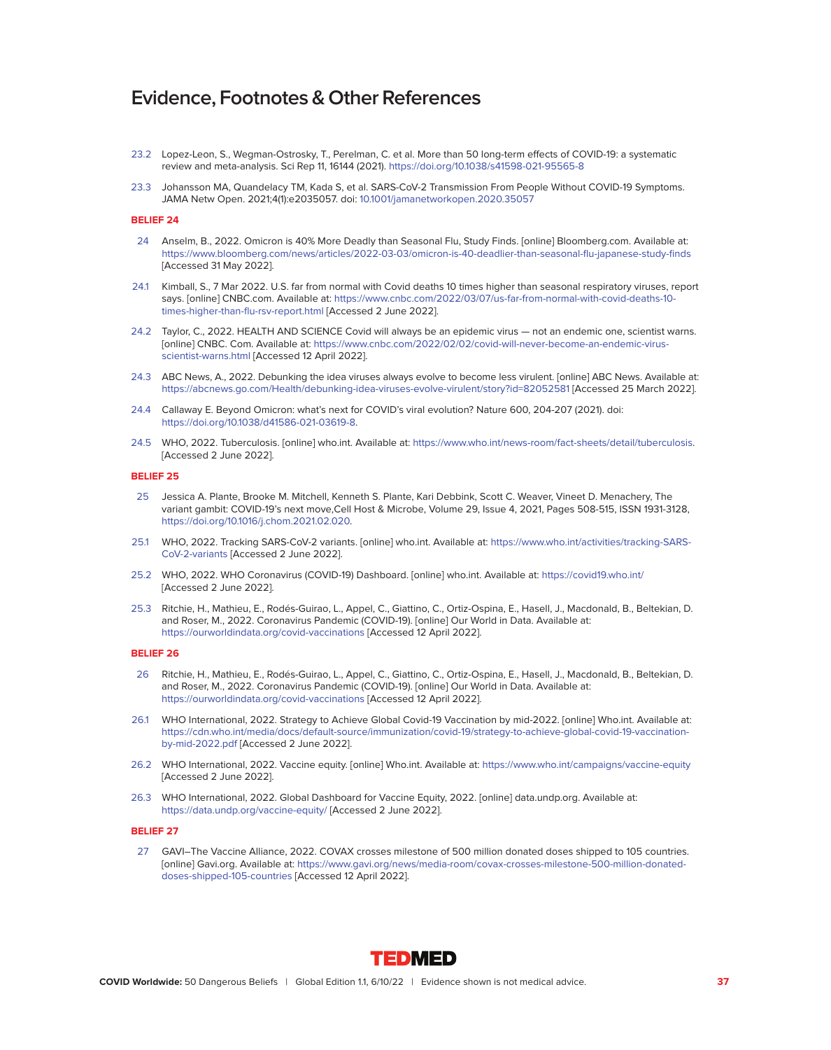- 23.2 Lopez-Leon, S., Wegman-Ostrosky, T., Perelman, C. et al. More than 50 long-term effects of COVID-19: a systematic review and meta-analysis. Sci Rep 11, 16144 (2021).<https://doi.org/10.1038/s41598-021-95565-8>
- 23.3 Johansson MA, Quandelacy TM, Kada S, et al. SARS-CoV-2 Transmission From People Without COVID-19 Symptoms. JAMA Netw Open. 2021;4(1):e2035057. doi: [10.1001/jamanetworkopen.2020.35057](http://10.1001/jamanetworkopen.2020.35057)

#### **BELIEF 24**

- 24 Anselm, B., 2022. Omicron is 40% More Deadly than Seasonal Flu, Study Finds. [online] Bloomberg.com. Available at: <https://www.bloomberg.com/news/articles/2022-03-03/omicron-is-40-deadlier-than-seasonal-flu-japanese-study-finds> [Accessed 31 May 2022].
- 24.1 Kimball, S., 7 Mar 2022. U.S. far from normal with Covid deaths 10 times higher than seasonal respiratory viruses, report says. [online] CNBC.com. Available at: [https://www.cnbc.com/2022/03/07/us-far-from-normal-with-covid-deaths-10](https://www.cnbc.com/2022/03/07/us-far-from-normal-with-covid-deaths-10-times-higher-than-flu-rsv-report.html) [times-higher-than-flu-rsv-report.html](https://www.cnbc.com/2022/03/07/us-far-from-normal-with-covid-deaths-10-times-higher-than-flu-rsv-report.html) [Accessed 2 June 2022].
- 24.2 Taylor, C., 2022. HEALTH AND SCIENCE Covid will always be an epidemic virus not an endemic one, scientist warns. [online] CNBC. Com. Available at: [https://www.cnbc.com/2022/02/02/covid-will-never-become-an-endemic-virus](<https://www.cnbc.com/2022/02/02/covid-will-never-become-an-endemic-virus-scientist-warns.html)[scientist-warns.html](<https://www.cnbc.com/2022/02/02/covid-will-never-become-an-endemic-virus-scientist-warns.html) [Accessed 12 April 2022].
- 24.3 ABC News, A., 2022. Debunking the idea viruses always evolve to become less virulent. [online] ABC News. Available at: <https://abcnews.go.com/Health/debunking-idea-viruses-evolve-virulent/story?id=82052581>[Accessed 25 March 2022].
- 24.4 Callaway E. Beyond Omicron: what's next for COVID's viral evolution? Nature 600, 204-207 (2021). doi: [https://doi.org/10.1038/d41586-021-03619-8.](https://doi.org/10.1038/d41586-021-03619-8)
- 24.5 WHO, 2022. Tuberculosis. [online] who.int. Available at: [https://www.who.int/news-room/fact-sheets/detail/tuberculosis.](https://www.who.int/news-room/fact-sheets/detail/tuberculosis) [Accessed 2 June 2022].

#### **BELIEF 25**

- 25 Jessica A. Plante, Brooke M. Mitchell, Kenneth S. Plante, Kari Debbink, Scott C. Weaver, Vineet D. Menachery, The variant gambit: COVID-19's next move,Cell Host & Microbe, Volume 29, Issue 4, 2021, Pages 508-515, ISSN 1931-3128, [https://doi.org/10.1016/j.chom.2021.02.020.](https://doi.org/10.1016/j.chom.2021.02.020)
- 25.1 WHO, 2022. Tracking SARS-CoV-2 variants. [online] who.int. Available at: [https://www.who.int/activities/tracking-SARS-](https://www.who.int/activities/tracking-SARS-CoV-2-variants)[CoV-2-variants](https://www.who.int/activities/tracking-SARS-CoV-2-variants) [Accessed 2 June 2022].
- 25.2 WHO, 2022. WHO Coronavirus (COVID-19) Dashboard. [online] who.int. Available at:<https://covid19.who.int/> [Accessed 2 June 2022].
- 25.3 Ritchie, H., Mathieu, E., Rodés-Guirao, L., Appel, C., Giattino, C., Ortiz-Ospina, E., Hasell, J., Macdonald, B., Beltekian, D. and Roser, M., 2022. Coronavirus Pandemic (COVID-19). [online] Our World in Data. Available at: <https://ourworldindata.org/covid-vaccinations>[Accessed 12 April 2022].

# **BELIEF 26**

- 26 Ritchie, H., Mathieu, E., Rodés-Guirao, L., Appel, C., Giattino, C., Ortiz-Ospina, E., Hasell, J., Macdonald, B., Beltekian, D. and Roser, M., 2022. Coronavirus Pandemic (COVID-19). [online] Our World in Data. Available at: <https://ourworldindata.org/covid-vaccinations>[Accessed 12 April 2022].
- 26.1 WHO International, 2022. Strategy to Achieve Global Covid-19 Vaccination by mid-2022. [online] Who.int. Available at: [https://cdn.who.int/media/docs/default-source/immunization/covid-19/strategy-to-achieve-global-covid-19-vaccination](https://cdn.who.int/media/docs/default-source/immunization/covid-19/strategy-to-achieve-global-covid-19-vaccination-by-mid-2022.pdf)[by-mid-2022.pdf](https://cdn.who.int/media/docs/default-source/immunization/covid-19/strategy-to-achieve-global-covid-19-vaccination-by-mid-2022.pdf) [Accessed 2 June 2022].
- 26.2 WHO International, 2022. Vaccine equity. [online] Who.int. Available at:<https://www.who.int/campaigns/vaccine-equity> [Accessed 2 June 2022].
- 26.3 WHO International, 2022. Global Dashboard for Vaccine Equity, 2022. [online] data.undp.org. Available at: <https://data.undp.org/vaccine-equity/>[Accessed 2 June 2022].

#### **BELIEF 27**

 27 GAVI–The Vaccine Alliance, 2022. COVAX crosses milestone of 500 million donated doses shipped to 105 countries. [online] Gavi.org. Available at: [https://www.gavi.org/news/media-room/covax-crosses-milestone-500-million-donated](https://www.gavi.org/news/media-room/covax-crosses-milestone-500-million-donated-doses-shipped-105-countries)[doses-shipped-105-countries](https://www.gavi.org/news/media-room/covax-crosses-milestone-500-million-donated-doses-shipped-105-countries) [Accessed 12 April 2022].

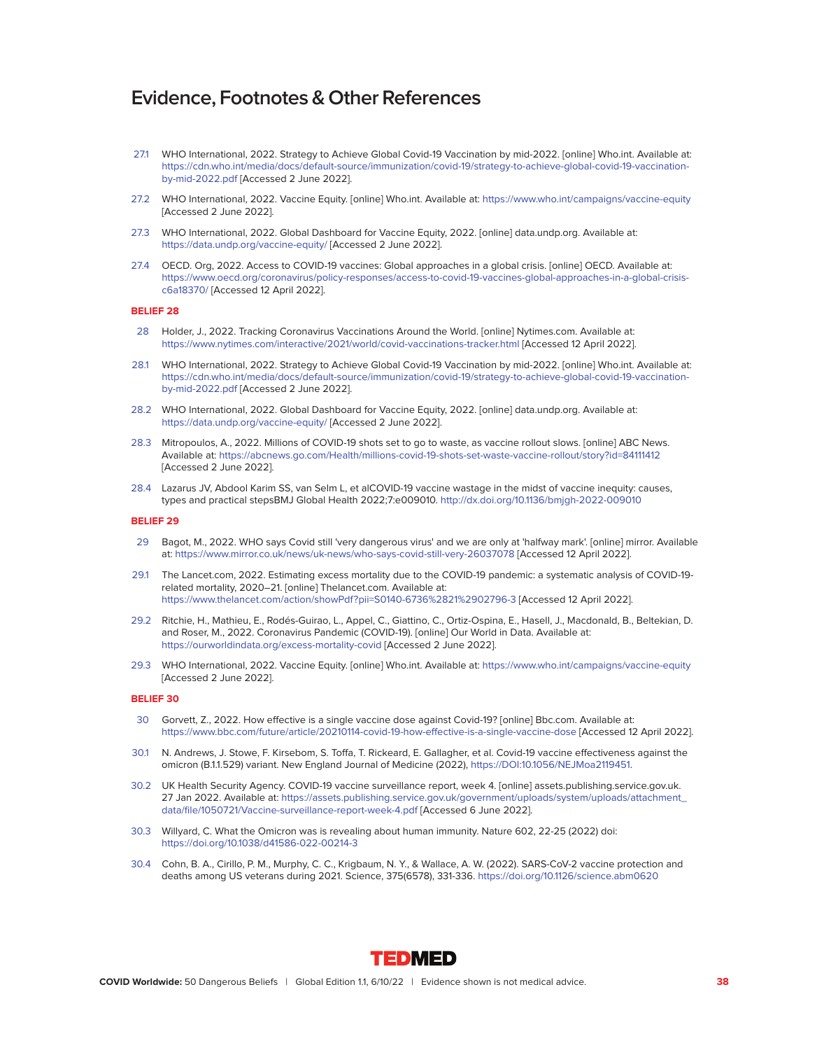- 27.1 WHO International, 2022. Strategy to Achieve Global Covid-19 Vaccination by mid-2022. [online] Who.int. Available at: [https://cdn.who.int/media/docs/default-source/immunization/covid-19/strategy-to-achieve-global-covid-19-vaccination](https://cdn.who.int/media/docs/default-source/immunization/covid-19/strategy-to-achieve-global-covid-19-vaccination-by-mid-2022.pdf)[by-mid-2022.pdf](https://cdn.who.int/media/docs/default-source/immunization/covid-19/strategy-to-achieve-global-covid-19-vaccination-by-mid-2022.pdf) [Accessed 2 June 2022].
- 27.2 WHO International, 2022. Vaccine Equity. [online] Who.int. Available at:<https://www.who.int/campaigns/vaccine-equity> [Accessed 2 June 2022].
- 27.3 WHO International, 2022. Global Dashboard for Vaccine Equity, 2022. [online] data.undp.org. Available at: <https://data.undp.org/vaccine-equity/>[Accessed 2 June 2022].
- 27.4 OECD. Org, 2022. Access to COVID-19 vaccines: Global approaches in a global crisis. [online] OECD. Available at: [https://www.oecd.org/coronavirus/policy-responses/access-to-covid-19-vaccines-global-approaches-in-a-global-crisis](https://www.oecd.org/coronavirus/policy-responses/access-to-covid-19-vaccines-global-approaches-in-a-global-crisis-c6a18370/)[c6a18370/](https://www.oecd.org/coronavirus/policy-responses/access-to-covid-19-vaccines-global-approaches-in-a-global-crisis-c6a18370/) [Accessed 12 April 2022].

#### **BELIEF 28**

- 28 Holder, J., 2022. Tracking Coronavirus Vaccinations Around the World. [online] Nytimes.com. Available at: <https://www.nytimes.com/interactive/2021/world/covid-vaccinations-tracker.html>[Accessed 12 April 2022].
- 28.1 WHO International, 2022. Strategy to Achieve Global Covid-19 Vaccination by mid-2022. [online] Who.int. Available at: [https://cdn.who.int/media/docs/default-source/immunization/covid-19/strategy-to-achieve-global-covid-19-vaccination](https://cdn.who.int/media/docs/default-source/immunization/covid-19/strategy-to-achieve-global-covid-19-vaccination-by-mid-2022.pdf)[by-mid-2022.pdf](https://cdn.who.int/media/docs/default-source/immunization/covid-19/strategy-to-achieve-global-covid-19-vaccination-by-mid-2022.pdf) [Accessed 2 June 2022].
- 28.2 WHO International, 2022. Global Dashboard for Vaccine Equity, 2022. [online] data.undp.org. Available at: <https://data.undp.org/vaccine-equity/>[Accessed 2 June 2022].
- 28.3 Mitropoulos, A., 2022. Millions of COVID-19 shots set to go to waste, as vaccine rollout slows. [online] ABC News. Available at:<https://abcnews.go.com/Health/millions-covid-19-shots-set-waste-vaccine-rollout/story?id=84111412> [Accessed 2 June 2022].
- 28.4 Lazarus JV, Abdool Karim SS, van Selm L, et alCOVID-19 vaccine wastage in the midst of vaccine inequity: causes, types and practical stepsBMJ Global Health 2022;7:e009010.<http://dx.doi.org/10.1136/bmjgh-2022-009010>

#### **BELIEF 29**

- 29 Bagot, M., 2022. WHO says Covid still 'very dangerous virus' and we are only at 'halfway mark'. [online] mirror. Available at: [https://www.mirror.co.uk/news/uk-news/who-says-covid-still-very-26037078](<https://www.mirror.co.uk/news/uk-news/who-says-covid-still-very-26037078) [Accessed 12 April 2022].
- 29.1 The Lancet.com, 2022. Estimating excess mortality due to the COVID-19 pandemic: a systematic analysis of COVID-19 related mortality, 2020–21. [online] Thelancet.com. Available at: <https://www.thelancet.com/action/showPdf?pii=S0140-6736%2821%2902796-3>[Accessed 12 April 2022].
- 29.2 Ritchie, H., Mathieu, E., Rodés-Guirao, L., Appel, C., Giattino, C., Ortiz-Ospina, E., Hasell, J., Macdonald, B., Beltekian, D. and Roser, M., 2022. Coronavirus Pandemic (COVID-19). [online] Our World in Data. Available at: <https://ourworldindata.org/excess-mortality-covid>[Accessed 2 June 2022].
- 29.3 WHO International, 2022. Vaccine Equity. [online] Who.int. Available at:<https://www.who.int/campaigns/vaccine-equity> [Accessed 2 June 2022].

- 30 Gorvett, Z., 2022. How effective is a single vaccine dose against Covid-19? [online] Bbc.com. Available at: <https://www.bbc.com/future/article/20210114-covid-19-how-effective-is-a-single-vaccine-dose>[Accessed 12 April 2022].
- 30.1 N. Andrews, J. Stowe, F. Kirsebom, S. Toffa, T. Rickeard, E. Gallagher, et al. Covid-19 vaccine effectiveness against the omicron (B.1.1.529) variant. New England Journal of Medicine (2022), [https://DOI:10.1056/NEJMoa2119451.](https://DOI:10.1056/NEJMoa2119451)
- 30.2 UK Health Security Agency. COVID-19 vaccine surveillance report, week 4. [online] assets.publishing.service.gov.uk. 27 Jan 2022. Available at: [https://assets.publishing.service.gov.uk/government/uploads/system/uploads/attachment\\_](https://assets.publishing.service.gov.uk/government/uploads/system/uploads/attachment_ data/file/1050721/Vaccine-surveillance-report-week-4.pdf) [data/file/1050721/Vaccine-surveillance-report-week-4.pdf](https://assets.publishing.service.gov.uk/government/uploads/system/uploads/attachment_ data/file/1050721/Vaccine-surveillance-report-week-4.pdf) [Accessed 6 June 2022].
- 30.3 Willyard, C. What the Omicron was is revealing about human immunity. Nature 602, 22-25 (2022) doi: <https://doi.org/10.1038/d41586-022-00214-3>
- 30.4 Cohn, B. A., Cirillo, P. M., Murphy, C. C., Krigbaum, N. Y., & Wallace, A. W. (2022). SARS-CoV-2 vaccine protection and deaths among US veterans during 2021. Science, 375(6578), 331-336.<https://doi.org/10.1126/science.abm0620>

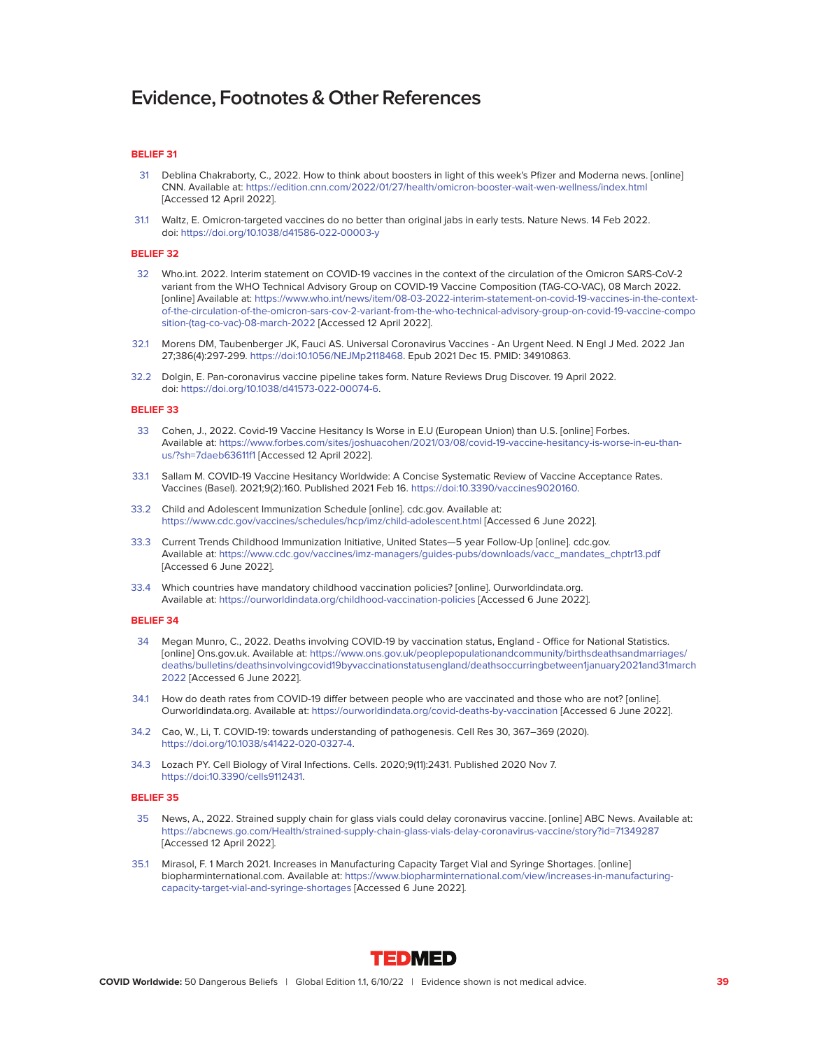#### **BELIEF 31**

- 31 Deblina Chakraborty, C., 2022. How to think about boosters in light of this week's Pfizer and Moderna news. [online] CNN. Available at:<https://edition.cnn.com/2022/01/27/health/omicron-booster-wait-wen-wellness/index.html> [Accessed 12 April 2022].
- 31.1 Waltz, E. Omicron-targeted vaccines do no better than original jabs in early tests. Nature News. 14 Feb 2022. doi:<https://doi.org/10.1038/d41586-022-00003-y>

#### **BELIEF 32**

- 32 Who.int. 2022. Interim statement on COVID-19 vaccines in the context of the circulation of the Omicron SARS-CoV-2 variant from the WHO Technical Advisory Group on COVID-19 Vaccine Composition (TAG-CO-VAC), 08 March 2022. [online] Available at: [https://www.who.int/news/item/08-03-2022-interim-statement-on-covid-19-vaccines-in-the-context](https://www.who.int/news/item/08-03-2022-interim-statement-on-covid-19-vaccines-in-the-context-of-the-circulation-of-the-omicron-sars-cov-2-variant-from-the-who-technical-advisory-group-on-covid-19-vaccine-composition-(tag-co-vac)-08-march-2022)[of-the-circulation-of-the-omicron-sars-cov-2-variant-from-the-who-technical-advisory-group-on-covid-19-vaccine-compo](https://www.who.int/news/item/08-03-2022-interim-statement-on-covid-19-vaccines-in-the-context-of-the-circulation-of-the-omicron-sars-cov-2-variant-from-the-who-technical-advisory-group-on-covid-19-vaccine-composition-(tag-co-vac)-08-march-2022) [sition-\(tag-co-vac\)-08-march-2022](https://www.who.int/news/item/08-03-2022-interim-statement-on-covid-19-vaccines-in-the-context-of-the-circulation-of-the-omicron-sars-cov-2-variant-from-the-who-technical-advisory-group-on-covid-19-vaccine-composition-(tag-co-vac)-08-march-2022) [Accessed 12 April 2022].
- 32.1 Morens DM, Taubenberger JK, Fauci AS. Universal Coronavirus Vaccines An Urgent Need. N Engl J Med. 2022 Jan 27;386(4):297-299. [https://doi:10.1056/NEJMp2118468.](https://doi:10.1056/NEJMp2118468) Epub 2021 Dec 15. PMID: 34910863.
- 32.2 Dolgin, E. Pan-coronavirus vaccine pipeline takes form. Nature Reviews Drug Discover. 19 April 2022. doi: [https://doi.org/10.1038/d41573-022-00074-6.](https://doi.org/10.1038/d41573-022-00074-6)

#### **BELIEF 33**

- 33 Cohen, J., 2022. Covid-19 Vaccine Hesitancy Is Worse in E.U (European Union) than U.S. [online] Forbes. Available at: [https://www.forbes.com/sites/joshuacohen/2021/03/08/covid-19-vaccine-hesitancy-is-worse-in-eu-than](https://www.forbes.com/sites/joshuacohen/2021/03/08/covid-19-vaccine-hesitancy-is-worse-in-eu-than-us/?sh=7daeb63611f1)[us/?sh=7daeb63611f1](https://www.forbes.com/sites/joshuacohen/2021/03/08/covid-19-vaccine-hesitancy-is-worse-in-eu-than-us/?sh=7daeb63611f1) [Accessed 12 April 2022].
- 33.1 Sallam M. COVID-19 Vaccine Hesitancy Worldwide: A Concise Systematic Review of Vaccine Acceptance Rates. Vaccines (Basel). 2021;9(2):160. Published 2021 Feb 16. [https://doi:10.3390/vaccines9020160.](https://doi:10.3390/vaccines9020160)
- 33.2 Child and Adolescent Immunization Schedule [online]. cdc.gov. Available at: <https://www.cdc.gov/vaccines/schedules/hcp/imz/child-adolescent.html>[Accessed 6 June 2022].
- 33.3 Current Trends Childhood Immunization Initiative, United States—5 year Follow-Up [online]. cdc.gov. Available at: [https://www.cdc.gov/vaccines/imz-managers/guides-pubs/downloads/vacc\\_mandates\\_chptr13.pdf](https://www.cdc.gov/vaccines/imz-managers/guides-pubs/downloads/vacc_mandates_chptr13.pdf) [Accessed 6 June 2022].
- 33.4 Which countries have mandatory childhood vaccination policies? [online]. Ourworldindata.org. Available at:<https://ourworldindata.org/childhood-vaccination-policies>[Accessed 6 June 2022].

#### **BELIEF 34**

- 34 Megan Munro, C., 2022. Deaths involving COVID-19 by vaccination status, England Office for National Statistics. [online] Ons.gov.uk. Available at: [https://www.ons.gov.uk/peoplepopulationandcommunity/birthsdeathsandmarriages/](https://www.ons.gov.uk/peoplepopulationandcommunity/birthsdeathsandmarriages/ deaths/bulletins/deathsinvolvingcovid19byvaccinationstatusengland/deathsoccurringbetween1january2021and31march2022) [deaths/bulletins/deathsinvolvingcovid19byvaccinationstatusengland/deathsoccurringbetween1january2021and31march](https://www.ons.gov.uk/peoplepopulationandcommunity/birthsdeathsandmarriages/ deaths/bulletins/deathsinvolvingcovid19byvaccinationstatusengland/deathsoccurringbetween1january2021and31march2022) [2022](https://www.ons.gov.uk/peoplepopulationandcommunity/birthsdeathsandmarriages/ deaths/bulletins/deathsinvolvingcovid19byvaccinationstatusengland/deathsoccurringbetween1january2021and31march2022) [Accessed 6 June 2022].
- 34.1 How do death rates from COVID-19 differ between people who are vaccinated and those who are not? [online]. Ourworldindata.org. Available at:<https://ourworldindata.org/covid-deaths-by-vaccination>[Accessed 6 June 2022].
- 34.2 Cao, W., Li, T. COVID-19: towards understanding of pathogenesis. Cell Res 30, 367–369 (2020). [https://doi.org/10.1038/s41422-020-0327-4.](https://doi.org/10.1038/s41422-020-0327-4)
- 34.3 Lozach PY. Cell Biology of Viral Infections. Cells. 2020;9(11):2431. Published 2020 Nov 7. [https://doi:10.3390/cells9112431.](https://doi:10.3390/cells9112431)

- 35 News, A., 2022. Strained supply chain for glass vials could delay coronavirus vaccine. [online] ABC News. Available at: <https://abcnews.go.com/Health/strained-supply-chain-glass-vials-delay-coronavirus-vaccine/story?id=71349287> [Accessed 12 April 2022].
- 35.1 Mirasol, F. 1 March 2021. Increases in Manufacturing Capacity Target Vial and Syringe Shortages. [online] biopharminternational.com. Available at: [https://www.biopharminternational.com/view/increases-in-manufacturing](https://www.biopharminternational.com/view/increases-in-manufacturing-capacity-target-vial-and-syringe-shortages)[capacity-target-vial-and-syringe-shortages](https://www.biopharminternational.com/view/increases-in-manufacturing-capacity-target-vial-and-syringe-shortages) [Accessed 6 June 2022].

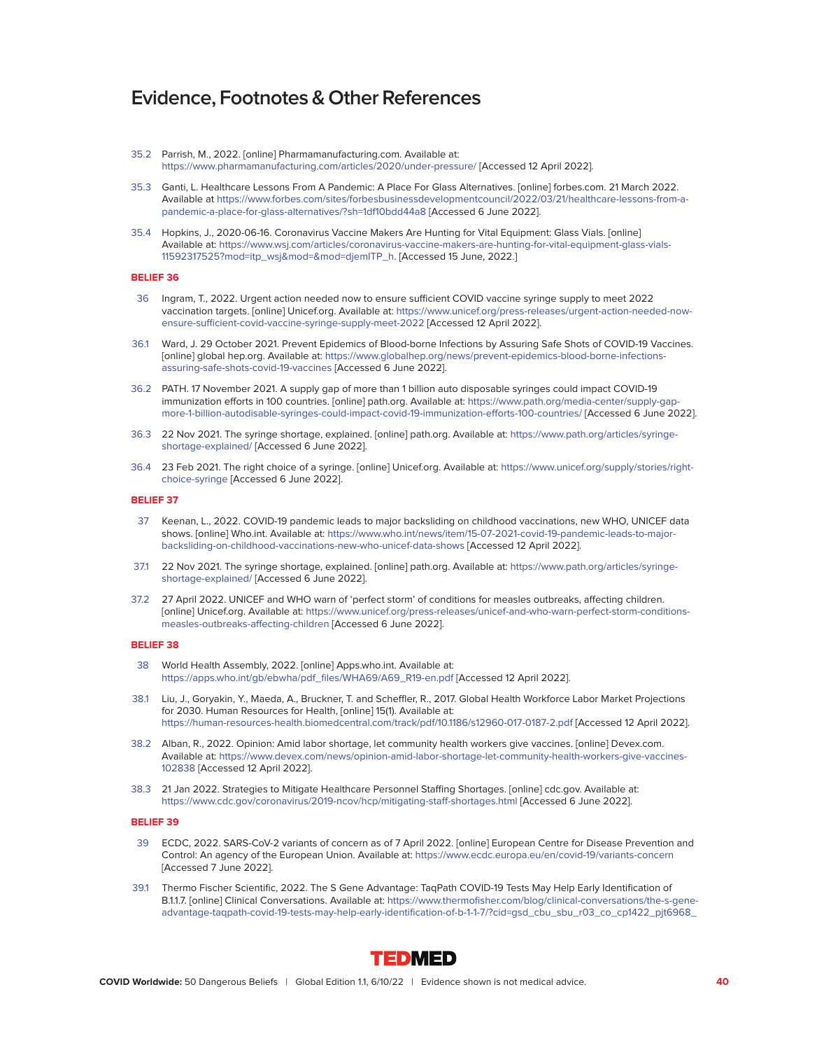- 35.2 Parrish, M., 2022. [online] Pharmamanufacturing.com. Available at: <https://www.pharmamanufacturing.com/articles/2020/under-pressure/>[Accessed 12 April 2022].
- 35.3 Ganti, L. Healthcare Lessons From A Pandemic: A Place For Glass Alternatives. [online] forbes.com. 21 March 2022. Available at [https://www.forbes.com/sites/forbesbusinessdevelopmentcouncil/2022/03/21/healthcare-lessons-from-a](https://www.forbes.com/sites/forbesbusinessdevelopmentcouncil/2022/03/21/healthcare-lessons-from-a-pandemic-a-place-for-glass-alternatives/?sh=1df10bdd44a8)[pandemic-a-place-for-glass-alternatives/?sh=1df10bdd44a8](https://www.forbes.com/sites/forbesbusinessdevelopmentcouncil/2022/03/21/healthcare-lessons-from-a-pandemic-a-place-for-glass-alternatives/?sh=1df10bdd44a8) [Accessed 6 June 2022].
- 35.4 Hopkins, J., 2020-06-16. Coronavirus Vaccine Makers Are Hunting for Vital Equipment: Glass Vials. [online] Available at: [https://www.wsj.com/articles/coronavirus-vaccine-makers-are-hunting-for-vital-equipment-glass-vials-](https://www.wsj.com/articles/coronavirus-vaccine-makers-are-hunting-for-vital-equipment-glass-vials-11592317525?mod=itp_wsj&mod=&mod=djemITP_h)[11592317525?mod=itp\\_wsj&mod=&mod=djemITP\\_h.](https://www.wsj.com/articles/coronavirus-vaccine-makers-are-hunting-for-vital-equipment-glass-vials-11592317525?mod=itp_wsj&mod=&mod=djemITP_h) [Accessed 15 June, 2022.]

#### **BELIEF 36**

- 36 Ingram, T., 2022. Urgent action needed now to ensure sufficient COVID vaccine syringe supply to meet 2022 vaccination targets. [online] Unicef.org. Available at: [https://www.unicef.org/press-releases/urgent-action-needed-now](https://www.unicef.org/press-releases/urgent-action-needed-now-ensure-sufficient-covid-vaccine-syringe-supply-meet-2022)[ensure-sufficient-covid-vaccine-syringe-supply-meet-2022](https://www.unicef.org/press-releases/urgent-action-needed-now-ensure-sufficient-covid-vaccine-syringe-supply-meet-2022) [Accessed 12 April 2022].
- 36.1 Ward, J. 29 October 2021. Prevent Epidemics of Blood-borne Infections by Assuring Safe Shots of COVID-19 Vaccines. [online] global hep.org. Available at: [https://www.globalhep.org/news/prevent-epidemics-blood-borne-infections](https://www.globalhep.org/news/prevent-epidemics-blood-borne-infections-assuring-safe-shots-covid-19-vaccines)[assuring-safe-shots-covid-19-vaccines](https://www.globalhep.org/news/prevent-epidemics-blood-borne-infections-assuring-safe-shots-covid-19-vaccines) [Accessed 6 June 2022].
- 36.2 PATH. 17 November 2021. A supply gap of more than 1 billion auto disposable syringes could impact COVID-19 immunization efforts in 100 countries. [online] path.org. Available at: [https://www.path.org/media-center/supply-gap](https://www.path.org/media-center/supply-gap-more-1-billion-autodisable-syringes-could-impact-covid-19-immunization-efforts-100-countries/)[more-1-billion-autodisable-syringes-could-impact-covid-19-immunization-efforts-100-countries/](https://www.path.org/media-center/supply-gap-more-1-billion-autodisable-syringes-could-impact-covid-19-immunization-efforts-100-countries/) [Accessed 6 June 2022].
- 36.3 22 Nov 2021. The syringe shortage, explained. [online] path.org. Available at: [https://www.path.org/articles/syringe](https://www.path.org/articles/syringe-shortage-explained/)[shortage-explained/](https://www.path.org/articles/syringe-shortage-explained/) [Accessed 6 June 2022].
- 36.4 23 Feb 2021. The right choice of a syringe. [online] Unicef.org. Available at: [https://www.unicef.org/supply/stories/right](https://www.unicef.org/supply/stories/right-choice-syringe)[choice-syringe](https://www.unicef.org/supply/stories/right-choice-syringe) [Accessed 6 June 2022].

#### **BELIEF 37**

- 37 Keenan, L., 2022. COVID-19 pandemic leads to major backsliding on childhood vaccinations, new WHO, UNICEF data shows. [online] Who.int. Available at: [https://www.who.int/news/item/15-07-2021-covid-19-pandemic-leads-to-major](https://www.who.int/news/item/15-07-2021-covid-19-pandemic-leads-to-major-backsliding-on-childhood-vaccinations-new-who-unicef-data-shows)[backsliding-on-childhood-vaccinations-new-who-unicef-data-shows](https://www.who.int/news/item/15-07-2021-covid-19-pandemic-leads-to-major-backsliding-on-childhood-vaccinations-new-who-unicef-data-shows) [Accessed 12 April 2022].
- 37.1 22 Nov 2021. The syringe shortage, explained. [online] path.org. Available at: [https://www.path.org/articles/syringe](https://www.path.org/articles/syringe-shortage-explained/)[shortage-explained/](https://www.path.org/articles/syringe-shortage-explained/) [Accessed 6 June 2022].
- 37.2 27 April 2022. UNICEF and WHO warn of 'perfect storm' of conditions for measles outbreaks, affecting children. [online] Unicef.org. Available at: [https://www.unicef.org/press-releases/unicef-and-who-warn-perfect-storm-conditions](https://www.unicef.org/press-releases/unicef-and-who-warn-perfect-storm-conditions-measles-outbreaks-affecting-children)[measles-outbreaks-affecting-children](https://www.unicef.org/press-releases/unicef-and-who-warn-perfect-storm-conditions-measles-outbreaks-affecting-children) [Accessed 6 June 2022].

#### **BELIEF 38**

- 38 World Health Assembly, 2022. [online] Apps.who.int. Available at: [https://apps.who.int/gb/ebwha/pdf\\_files/WHA69/A69\\_R19-en.pdf](https://apps.who.int/gb/ebwha/pdf_files/WHA69/A69_R19-en.pdf) [Accessed 12 April 2022].
- 38.1 Liu, J., Goryakin, Y., Maeda, A., Bruckner, T. and Scheffler, R., 2017. Global Health Workforce Labor Market Projections for 2030. Human Resources for Health, [online] 15(1). Available at: <https://human-resources-health.biomedcentral.com/track/pdf/10.1186/s12960-017-0187-2.pdf>[Accessed 12 April 2022].
- 38.2 Alban, R., 2022. Opinion: Amid labor shortage, let community health workers give vaccines. [online] Devex.com. Available at: [https://www.devex.com/news/opinion-amid-labor-shortage-let-community-health-workers-give-vaccines-](https://www.devex.com/news/opinion-amid-labor-shortage-let-community-health-workers-give-vaccines-102838)[102838](https://www.devex.com/news/opinion-amid-labor-shortage-let-community-health-workers-give-vaccines-102838) [Accessed 12 April 2022].
- 38.3 21 Jan 2022. Strategies to Mitigate Healthcare Personnel Staffing Shortages. [online] cdc.gov. Available at: <https://www.cdc.gov/coronavirus/2019-ncov/hcp/mitigating-staff-shortages.html>[Accessed 6 June 2022].

- 39 ECDC, 2022. SARS-CoV-2 variants of concern as of 7 April 2022. [online] European Centre for Disease Prevention and Control: An agency of the European Union. Available at:<https://www.ecdc.europa.eu/en/covid-19/variants-concern> [Accessed 7 June 2022].
- 39.1 Thermo Fischer Scientific, 2022. The S Gene Advantage: TaqPath COVID-19 Tests May Help Early Identification of B.1.1.7. [online] Clinical Conversations. Available at: [https://www.thermofisher.com/blog/clinical-conversations/the-s-gene](https://www.thermofisher.com/blog/clinical-conversations/the-)[advantage-taqpath-covid-19-tests-may-help-early-identification-of-b-1-1-7/?cid=gsd\\_cbu\\_sbu\\_r03\\_co\\_cp1422\\_pjt6968\\_](https://www.thermofisher.com/blog/clinical-conversations/the-)

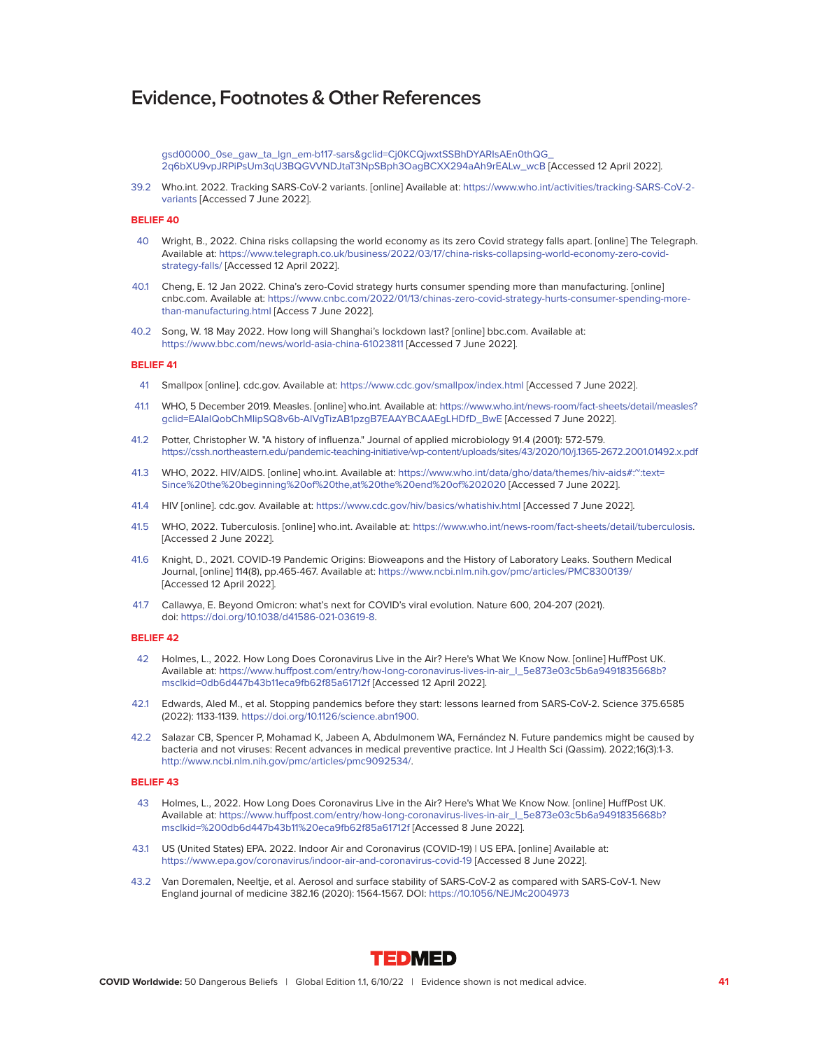[gsd00000\\_0se\\_gaw\\_ta\\_lgn\\_em-b117-sars&gclid=Cj0KCQjwxtSSBhDYARIsAEn0thQG\\_](https://www.thermofisher.com/blog/clinical-conversations/the-) [2q6bXU9vpJRPiPsUm3qU3BQGVVNDJtaT3NpSBph3OagBCXX294aAh9rEALw\\_wcB](https://www.thermofisher.com/blog/clinical-conversations/the-) [Accessed 12 April 2022].

39.2 Who.int. 2022. Tracking SARS-CoV-2 variants. [online] Available at: [https://www.who.int/activities/tracking-SARS-CoV-2](https://www.who.int/activities/tracking-SARS-CoV-2-variants) [variants](https://www.who.int/activities/tracking-SARS-CoV-2-variants) [Accessed 7 June 2022].

#### **BELIEF 40**

- 40 Wright, B., 2022. China risks collapsing the world economy as its zero Covid strategy falls apart. [online] The Telegraph. Available at: [https://www.telegraph.co.uk/business/2022/03/17/china-risks-collapsing-world-economy-zero-covid](https://www.telegraph.co.uk/business/2022/03/17/china-risks-collapsing-world-economy-zero-covid-strategy-falls/)[strategy-falls/](https://www.telegraph.co.uk/business/2022/03/17/china-risks-collapsing-world-economy-zero-covid-strategy-falls/) [Accessed 12 April 2022].
- 40.1 Cheng, E. 12 Jan 2022. China's zero-Covid strategy hurts consumer spending more than manufacturing. [online] cnbc.com. Available at: [https://www.cnbc.com/2022/01/13/chinas-zero-covid-strategy-hurts-consumer-spending-more](https://www.cnbc.com/2022/01/13/chinas-zero-covid-strategy-hurts-consumer-spending-more-than-manufacturing.html)[than-manufacturing.html](https://www.cnbc.com/2022/01/13/chinas-zero-covid-strategy-hurts-consumer-spending-more-than-manufacturing.html) [Access 7 June 2022].
- 40.2 Song, W. 18 May 2022. How long will Shanghai's lockdown last? [online] bbc.com. Available at: <https://www.bbc.com/news/world-asia-china-61023811>[Accessed 7 June 2022].

#### **BELIEF 41**

- 41 Smallpox [online]. cdc.gov. Available at:<https://www.cdc.gov/smallpox/index.html>[Accessed 7 June 2022].
- 41.1 WHO, 5 December 2019. Measles. [online] who.int. Available at: [https://www.who.int/news-room/fact-sheets/detail/measles?](https://www.who.int/news-room/fact-sheets/detail/measles?  gclid=EAIaIQobChMIipSQ8v6b-AIVgTizAB1pzgB7EAAYBCAAEgLHDfD_BwE)  [gclid=EAIaIQobChMIipSQ8v6b-AIVgTizAB1pzgB7EAAYBCAAEgLHDfD\\_BwE](https://www.who.int/news-room/fact-sheets/detail/measles?  gclid=EAIaIQobChMIipSQ8v6b-AIVgTizAB1pzgB7EAAYBCAAEgLHDfD_BwE) [Accessed 7 June 2022].
- 41.2 Potter, Christopher W. "A history of influenza." Journal of applied microbiology 91.4 (2001): 572-579. <https://cssh.northeastern.edu/pandemic-teaching-initiative/wp-content/uploads/sites/43/2020/10/j.1365-2672.2001.01492.x.pdf>
- 41.3 WHO, 2022. HIV/AIDS. [online] who.int. Available at: [https://www.who.int/data/gho/data/themes/hiv-aids#:~:text=](https://www.who.int/data/gho/data/themes/hiv-aids#:~:text= Since%20the%20beginning%20of%20the,at%20the%20end%20of%202020) [Since%20the%20beginning%20of%20the,at%20the%20end%20of%202020](https://www.who.int/data/gho/data/themes/hiv-aids#:~:text= Since%20the%20beginning%20of%20the,at%20the%20end%20of%202020) [Accessed 7 June 2022].
- 41.4 HIV [online]. cdc.gov. Available at:<https://www.cdc.gov/hiv/basics/whatishiv.html>[Accessed 7 June 2022].
- 41.5 WHO, 2022. Tuberculosis. [online] who.int. Available at: [https://www.who.int/news-room/fact-sheets/detail/tuberculosis.](https://www.who.int/news-room/fact-sheets/detail/tuberculosis) [Accessed 2 June 2022].
- 41.6 Knight, D., 2021. COVID-19 Pandemic Origins: Bioweapons and the History of Laboratory Leaks. Southern Medical Journal, [online] 114(8), pp.465-467. Available at:<https://www.ncbi.nlm.nih.gov/pmc/articles/PMC8300139/> [Accessed 12 April 2022].
- 41.7 Callawya, E. Beyond Omicron: what's next for COVID's viral evolution. Nature 600, 204-207 (2021). doi: [https://doi.org/10.1038/d41586-021-03619-8.](https://doi.org/10.1038/d41586-021-03619-8)

#### **BELIEF 42**

- 42 Holmes, L., 2022. How Long Does Coronavirus Live in the Air? Here's What We Know Now. [online] HuffPost UK. Available at: [https://www.huffpost.com/entry/how-long-coronavirus-lives-in-air\\_l\\_5e873e03c5b6a9491835668b?](https://www.huffpost.com/entry/how-long-coronavirus-lives-in-air_l_5e873e03c5b6a9491835668b? msclkid=0db6d447b43b11eca9fb62f85a61712f) [msclkid=0db6d447b43b11eca9fb62f85a61712f](https://www.huffpost.com/entry/how-long-coronavirus-lives-in-air_l_5e873e03c5b6a9491835668b? msclkid=0db6d447b43b11eca9fb62f85a61712f) [Accessed 12 April 2022].
- 42.1 Edwards, Aled M., et al. Stopping pandemics before they start: lessons learned from SARS-CoV-2. Science 375.6585 (2022): 1133-1139. [https://doi.org/10.1126/science.abn1900.](https://doi.org/10.1126/science.abn1900)
- 42.2 Salazar CB, Spencer P, Mohamad K, Jabeen A, Abdulmonem WA, Fernández N. Future pandemics might be caused by bacteria and not viruses: Recent advances in medical preventive practice. Int J Health Sci (Qassim). 2022;16(3):1-3. [http://www.ncbi.nlm.nih.gov/pmc/articles/pmc9092534/.](http://www.ncbi.nlm.nih.gov/pmc/articles/pmc9092534/)

- 43 Holmes, L., 2022. How Long Does Coronavirus Live in the Air? Here's What We Know Now. [online] HuffPost UK. Available at: [https://www.huffpost.com/entry/how-long-coronavirus-lives-in-air\\_l\\_5e873e03c5b6a9491835668b?](https://www.huffpost.com/entry/how-long-coronavirus-lives-in-air_l_5e873e03c5b6a9491835668b? msclkid=%200db6d447b43b11%20eca9fb62f85a61712f) [msclkid=%200db6d447b43b11%20eca9fb62f85a61712f](https://www.huffpost.com/entry/how-long-coronavirus-lives-in-air_l_5e873e03c5b6a9491835668b? msclkid=%200db6d447b43b11%20eca9fb62f85a61712f) [Accessed 8 June 2022].
- 43.1 US (United States) EPA. 2022. Indoor Air and Coronavirus (COVID-19) | US EPA. [online] Available at: <https://www.epa.gov/coronavirus/indoor-air-and-coronavirus-covid-19>[Accessed 8 June 2022].
- 43.2 Van Doremalen, Neeltje, et al. Aerosol and surface stability of SARS-CoV-2 as compared with SARS-CoV-1. New England journal of medicine 382.16 (2020): 1564-1567. DOI:<https://10.1056/NEJMc2004973>

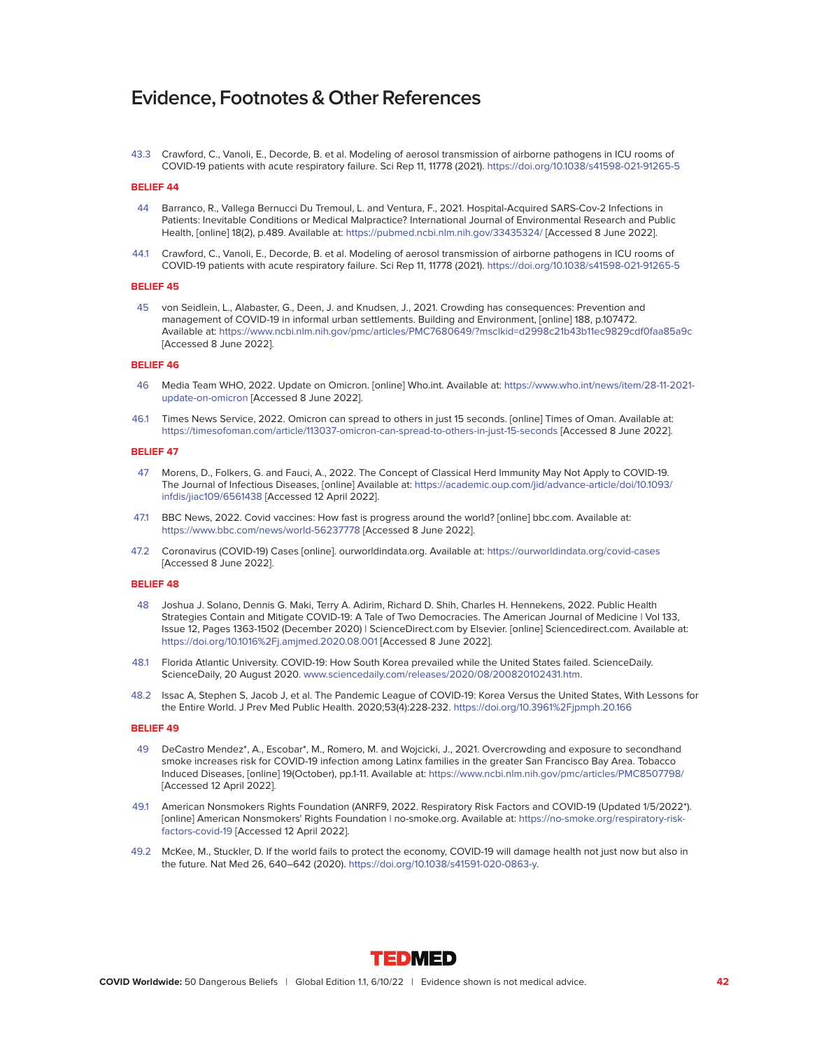43.3 Crawford, C., Vanoli, E., Decorde, B. et al. Modeling of aerosol transmission of airborne pathogens in ICU rooms of COVID-19 patients with acute respiratory failure. Sci Rep 11, 11778 (2021).<https://doi.org/10.1038/s41598-021-91265-5>

## **BELIEF 44**

- 44 Barranco, R., Vallega Bernucci Du Tremoul, L. and Ventura, F., 2021. Hospital-Acquired SARS-Cov-2 Infections in Patients: Inevitable Conditions or Medical Malpractice? International Journal of Environmental Research and Public Health, [online] 18(2), p.489. Available at:<https://pubmed.ncbi.nlm.nih.gov/33435324/>[Accessed 8 June 2022].
- 44.1 Crawford, C., Vanoli, E., Decorde, B. et al. Modeling of aerosol transmission of airborne pathogens in ICU rooms of COVID-19 patients with acute respiratory failure. Sci Rep 11, 11778 (2021).<https://doi.org/10.1038/s41598-021-91265-5>

#### **BELIEF 45**

 45 von Seidlein, L., Alabaster, G., Deen, J. and Knudsen, J., 2021. Crowding has consequences: Prevention and management of COVID-19 in informal urban settlements. Building and Environment, [online] 188, p.107472. Available at:<https://www.ncbi.nlm.nih.gov/pmc/articles/PMC7680649/?msclkid=d2998c21b43b11ec9829cdf0faa85a9c> [Accessed 8 June 2022].

#### **BELIEF 46**

- 46 Media Team WHO, 2022. Update on Omicron. [online] Who.int. Available at: [https://www.who.int/news/item/28-11-2021](<https://www.who.int/news/item/28-11-2021-update-on-omicron) [update-on-omicron](<https://www.who.int/news/item/28-11-2021-update-on-omicron) [Accessed 8 June 2022].
- 46.1 Times News Service, 2022. Omicron can spread to others in just 15 seconds. [online] Times of Oman. Available at: <https://timesofoman.com/article/113037-omicron-can-spread-to-others-in-just-15-seconds>[Accessed 8 June 2022].

#### **BELIEF 47**

- 47 Morens, D., Folkers, G. and Fauci, A., 2022. The Concept of Classical Herd Immunity May Not Apply to COVID-19. The Journal of Infectious Diseases, [online] Available at: [https://academic.oup.com/jid/advance-article/doi/10.1093/](https://academic.oup.com/jid/advance-article/doi/10.1093/ infdis/jiac109/6561438) [infdis/jiac109/6561438](https://academic.oup.com/jid/advance-article/doi/10.1093/ infdis/jiac109/6561438) [Accessed 12 April 2022].
- 47.1 BBC News, 2022. Covid vaccines: How fast is progress around the world? [online] bbc.com. Available at: <https://www.bbc.com/news/world-56237778>[Accessed 8 June 2022].
- 47.2 Coronavirus (COVID-19) Cases [online]. ourworldindata.org. Available at:<https://ourworldindata.org/covid-cases> [Accessed 8 June 2022].

#### **BELIEF 48**

- 48 Joshua J. Solano, Dennis G. Maki, Terry A. Adirim, Richard D. Shih, Charles H. Hennekens, 2022. Public Health Strategies Contain and Mitigate COVID-19: A Tale of Two Democracies. The American Journal of Medicine | Vol 133, Issue 12, Pages 1363-1502 (December 2020) | ScienceDirect.com by Elsevier. [online] Sciencedirect.com. Available at: <https://doi.org/10.1016%2Fj.amjmed.2020.08.001>[Accessed 8 June 2022].
- 48.1 Florida Atlantic University. COVID-19: How South Korea prevailed while the United States failed. ScienceDaily. ScienceDaily, 20 August 2020. [www.sciencedaily.com/releases/2020/08/200820102431.htm.](http://www.sciencedaily.com/releases/2020/08/200820102431.htm)
- 48.2 Issac A, Stephen S, Jacob J, et al. The Pandemic League of COVID-19: Korea Versus the United States, With Lessons for the Entire World. J Prev Med Public Health. 2020;53(4):228-232.<https://doi.org/10.3961%2Fjpmph.20.166>

- 49 DeCastro Mendez\*, A., Escobar\*, M., Romero, M. and Wojcicki, J., 2021. Overcrowding and exposure to secondhand smoke increases risk for COVID-19 infection among Latinx families in the greater San Francisco Bay Area. Tobacco Induced Diseases, [online] 19(October), pp.1-11. Available at:<https://www.ncbi.nlm.nih.gov/pmc/articles/PMC8507798/> [Accessed 12 April 2022].
- 49.1 American Nonsmokers Rights Foundation (ANRF9, 2022. Respiratory Risk Factors and COVID-19 (Updated 1/5/2022\*). [online] American Nonsmokers' Rights Foundation | no-smoke.org. Available at: [https://no-smoke.org/respiratory-risk](https://no-smoke.org/respiratory-risk-factors-covid-19)[factors-covid-19](https://no-smoke.org/respiratory-risk-factors-covid-19) [Accessed 12 April 2022].
- 49.2 McKee, M., Stuckler, D. If the world fails to protect the economy, COVID-19 will damage health not just now but also in the future. Nat Med 26, 640–642 (2020). [https://doi.org/10.1038/s41591-020-0863-y.](https://doi.org/10.1038/s41591-020-0863-y)